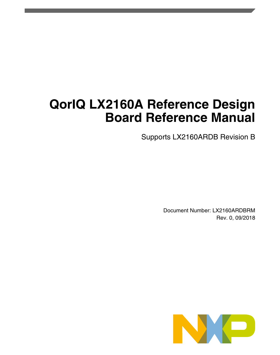# **QorIQ LX2160A Reference Design Board Reference Manual**

Supports LX2160ARDB Revision B

Document Number: LX2160ARDBRM Rev. 0, 09/2018

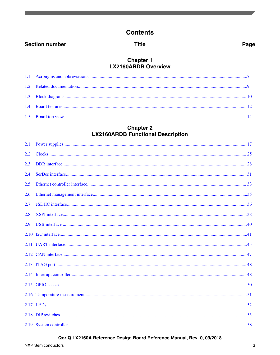### **Contents**

| <b>Section number</b> | Title                                          | Page |
|-----------------------|------------------------------------------------|------|
|                       | <b>Chapter 1</b><br><b>LX2160ARDB Overview</b> |      |
|                       |                                                |      |

# Chapter 2<br>LX2160ARDB Functional Description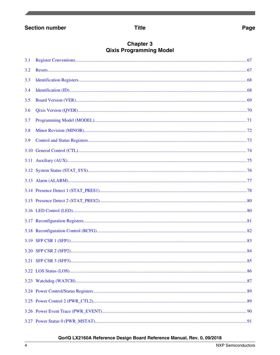### **Title**

### Page

# **Chapter 3**<br>Qixis Programming Model

| 3.1  |  |
|------|--|
| 3.2  |  |
| 3.3  |  |
| 3.4  |  |
| 3.5  |  |
| 3.6  |  |
| 3.7  |  |
| 3.8  |  |
| 3.9  |  |
|      |  |
|      |  |
| 3.12 |  |
|      |  |
|      |  |
|      |  |
|      |  |
|      |  |
|      |  |
| 3.19 |  |
|      |  |
|      |  |
|      |  |
|      |  |
|      |  |
|      |  |
|      |  |
|      |  |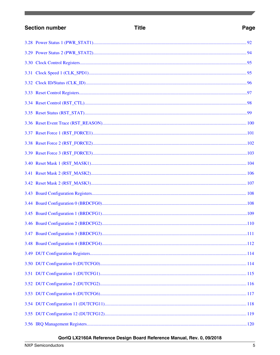| <b>Section number</b> | <b>Title</b> | Page |
|-----------------------|--------------|------|
|                       |              |      |
|                       |              |      |
|                       |              |      |
|                       |              |      |
|                       |              |      |
|                       |              |      |
|                       |              |      |
|                       |              |      |
|                       |              |      |
|                       |              |      |
|                       |              |      |
|                       |              |      |
|                       |              |      |
|                       |              |      |
|                       |              |      |
|                       |              |      |
|                       |              |      |
|                       |              |      |
|                       |              |      |
|                       |              |      |
|                       |              |      |
|                       |              |      |
|                       |              |      |
|                       |              |      |
|                       |              |      |
|                       |              |      |
|                       |              |      |
|                       |              |      |
|                       |              |      |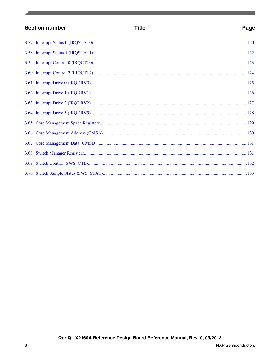| <b>Section number</b> | <b>Title</b> | Page |
|-----------------------|--------------|------|
|                       |              |      |
|                       |              |      |
|                       |              |      |
|                       |              |      |
|                       |              |      |
|                       |              |      |
|                       |              |      |
|                       |              |      |
|                       |              |      |
|                       |              |      |
|                       |              |      |
|                       |              |      |
|                       |              |      |
|                       |              |      |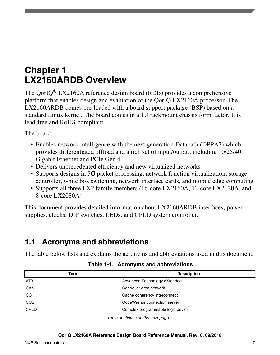# <span id="page-6-0"></span>**Chapter 1 LX2160ARDB Overview**

The QorIQ® LX2160A reference design board (RDB) provides a comprehensive platform that enables design and evaluation of the QorIQ LX2160A processor. The LX2160ARDB comes pre-loaded with a board support package (BSP) based on a standard Linux kernel. The board comes in a 1U rackmount chassis form factor. It is lead-free and RoHS-compliant.

The board:

- Enables network intelligence with the next generation Datapath (DPPA2) which provides differentiated offload and a rich set of input/output, including 10/25/40 Gigabit Ethernet and PCIe Gen 4
- Delivers unprecedented efficiency and new virtualized networks
- Supports designs in 5G packet processing, network function virtualization, storage controller, white box switching, network interface cards, and mobile edge computing
- Supports all three LX2 family members (16-core LX2160A, 12-core LX2120A, and 8-core LX2080A)

This document provides detailed information about LX2160ARDB interfaces, power supplies, clocks, DIP switches, LEDs, and CPLD system controller.

# **1.1 Acronyms and abbreviations**

The table below lists and explains the acronyms and abbreviations used in this document.

| Term        | <b>Description</b>                |
|-------------|-----------------------------------|
| <b>IATX</b> | Advanced Technology eXtended      |
| <b>CAN</b>  | Controller area network           |
| <b>CCI</b>  | Cache coherency interconnect      |
| <b>CCS</b>  | CodeWarrior connection server     |
| <b>CPLD</b> | Complex programmable logic device |

**Table 1-1. Acronyms and abbreviations**

*Table continues on the next page...*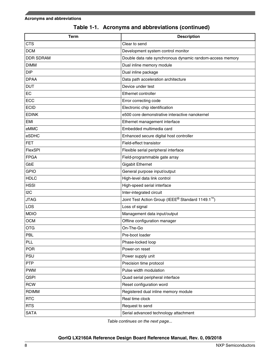|  | Table 1-1. Acronyms and abbreviations (continued) |  |
|--|---------------------------------------------------|--|
|--|---------------------------------------------------|--|

| <b>Term</b>      | <b>Description</b>                                                        |
|------------------|---------------------------------------------------------------------------|
| <b>CTS</b>       | Clear to send                                                             |
| <b>DCM</b>       | Development system control monitor                                        |
| <b>DDR SDRAM</b> | Double data rate synchronous dynamic random-access memory                 |
| <b>DIMM</b>      | Dual inline memory module                                                 |
| <b>DIP</b>       | Dual inline package                                                       |
| <b>DPAA</b>      | Data path acceleration architecture                                       |
| <b>DUT</b>       | Device under test                                                         |
| EC               | Ethernet controller                                                       |
| ECC              | Error correcting code                                                     |
| <b>ECID</b>      | Electronic chip identification                                            |
| <b>EDINK</b>     | e500 core demonstrative interactive nanokernel                            |
| EMI              | Ethernet management interface                                             |
| eMMC             | Embedded multimedia card                                                  |
| eSDHC            | Enhanced secure digital host controller                                   |
| <b>FET</b>       | Field-effect transistor                                                   |
| FlexSPI          | Flexible serial peripheral interface                                      |
| <b>FPGA</b>      | Field-programmable gate array                                             |
| GbE              | <b>Gigabit Ethernet</b>                                                   |
| <b>GPIO</b>      | General purpose input/output                                              |
| <b>HDLC</b>      | High-level data link control                                              |
| <b>HSSI</b>      | High-speed serial interface                                               |
| 12C              | Inter-integrated circuit                                                  |
| <b>JTAG</b>      | Joint Test Action Group (IEEE <sup>®</sup> Standard 1149.1 <sup>™</sup> ) |
| LOS              | Loss of signal                                                            |
| <b>MDIO</b>      | Management data input/output                                              |
| <b>OCM</b>       | Offline configuration manager                                             |
| <b>OTG</b>       | On-The-Go                                                                 |
| PBL              | Pre-boot loader                                                           |
| PLL              | Phase-locked loop                                                         |
| <b>POR</b>       | Power-on reset                                                            |
| <b>PSU</b>       | Power supply unit                                                         |
| PTP              | Precision time protocol                                                   |
| <b>PWM</b>       | Pulse width modulation                                                    |
| <b>QSPI</b>      | Quad serial peripheral interface                                          |
| <b>RCW</b>       | Reset configuration word                                                  |
| RDIMM            | Registered dual inline memory module                                      |
| <b>RTC</b>       | Real time clock                                                           |
| <b>RTS</b>       | Request to send                                                           |
| <b>SATA</b>      | Serial advanced technology attachment                                     |

*Table continues on the next page...*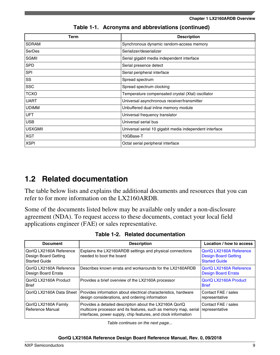<span id="page-8-0"></span>

| Term            | <b>Description</b>                                      |
|-----------------|---------------------------------------------------------|
| <b>SDRAM</b>    | Synchronous dynamic random-access memory                |
| SerDes          | Serializer/deserializer                                 |
| SGMII           | Serial gigabit media independent interface              |
| <b>SPD</b>      | Serial presence detect                                  |
| <b>SPI</b>      | Serial peripheral interface                             |
| SS              | Spread spectrum                                         |
| <b>SSC</b>      | Spread spectrum clocking                                |
| <b>TCXO</b>     | Temperature compensated crystal (Xtal) oscillator       |
| UART            | Universal asynchronous receiver/transmitter             |
| <b>UDIMM</b>    | Unbuffered dual inline memory module                    |
| <b>UFT</b>      | Universal frequency translator                          |
| <b>USB</b>      | Universal serial bus                                    |
| <b>IUSXGMII</b> | Universal serial 10 gigabit media independent interface |
| XGT             | 10GBase-T                                               |
| <b>XSPI</b>     | Octal serial peripheral interface                       |

**Table 1-1. Acronyms and abbreviations (continued)**

## **1.2 Related documentation**

The table below lists and explains the additional documents and resources that you can refer to for more information on the LX2160ARDB.

Some of the documents listed below may be available only under a non-disclosure agreement (NDA). To request access to these documents, contact your local field applications engineer (FAE) or sales representative.

| <b>Document</b>                                                         | <b>Description</b>                                                                                                                                                                                           | Location / how to access                                                       |
|-------------------------------------------------------------------------|--------------------------------------------------------------------------------------------------------------------------------------------------------------------------------------------------------------|--------------------------------------------------------------------------------|
| QorlQ LX2160A Reference<br>Design Board Getting<br><b>Started Guide</b> | Explains the LX2160ARDB settings and physical connections<br>needed to boot the board                                                                                                                        | QorlQ LX2160A Reference<br><b>Design Board Getting</b><br><b>Started Guide</b> |
| QorlQ LX2160A Reference<br>Design Board Errata                          | Describes known errata and workarounds for the LX2160ARDB                                                                                                                                                    | QorlQ LX2160A Reference<br><b>Design Board Errata</b>                          |
| QorIQ LX2160A Product<br><b>Brief</b>                                   | Provides a brief overview of the LX2160A processor                                                                                                                                                           | QorIQ LX2160A Product<br><b>Brief</b>                                          |
| QorIQ LX2160A Data Sheet                                                | Provides information about electrical characteristics, hardware<br>design considerations, and ordering information                                                                                           | Contact FAE / sales<br>representative                                          |
| QorlQ LX2160A Family<br>Reference Manual                                | Provides a detailed description about the LX2160A QorlQ<br>multicore processor and its features, such as memory map, serial representative<br>interfaces, power supply, chip features, and clock information | Contact FAE / sales                                                            |

**Table 1-2. Related documentation**

*Table continues on the next page...*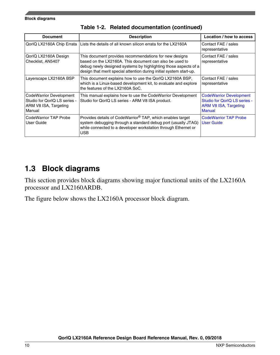#### <span id="page-9-0"></span>**Block diagrams**

| <b>Document</b>                                                                            | <b>Description</b>                                                                                                                                                                                                                                          | Location / how to access                                                                                 |
|--------------------------------------------------------------------------------------------|-------------------------------------------------------------------------------------------------------------------------------------------------------------------------------------------------------------------------------------------------------------|----------------------------------------------------------------------------------------------------------|
| QorlQ LX2160A Chip Errata                                                                  | Lists the details of all known silicon errata for the LX2160A                                                                                                                                                                                               | Contact FAE / sales<br>representative                                                                    |
| QorlQ LX2160A Design<br>Checklist, AN5407                                                  | This document provides recommendations for new designs<br>based on the LX2160A. This document can also be used to<br>debug newly designed systems by highlighting those aspects of a<br>design that merit special attention during initial system start-up. | Contact FAE / sales<br>representative                                                                    |
| Layerscape LX2160A BSP                                                                     | This document explains how to use the QorIQ LX2160A BSP,<br>which is a Linux-based development kit, to evaluate and explore<br>the features of the LX2160A SoC.                                                                                             | Contact FAE / sales<br>representative                                                                    |
| CodeWarrior Development<br>Studio for QorlQ LS series -<br>ARM V8 ISA, Targeting<br>Manual | This manual explains how to use the CodeWarrior Development<br>Studio for QorIQ LS series - ARM V8 ISA product.                                                                                                                                             | <b>CodeWarrior Development</b><br>Studio for QorlQ LS series -<br>ARM V8 ISA, Targeting<br><b>Manual</b> |
| CodeWarrior TAP Probe<br>User Guide                                                        | Provides details of CodeWarrior® TAP, which enables target<br>system debugging through a standard debug port (usually JTAG)<br>while connected to a developer workstation through Ethernet or<br><b>USB</b>                                                 | <b>CodeWarrior TAP Probe</b><br>User Guide                                                               |

**Table 1-2. Related documentation (continued)**

# **1.3 Block diagrams**

This section provides block diagrams showing major functional units of the LX2160A processor and LX2160ARDB.

The figure below shows the LX2160A processor block diagram.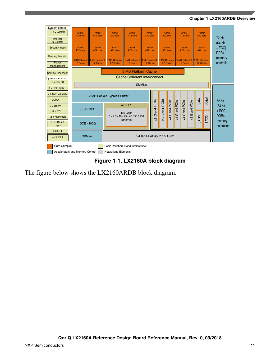#### **Chapter 1 LX2160ARDB Overview**



### **Figure 1-1. LX2160A block diagram**

The figure below shows the LX2160ARDB block diagram.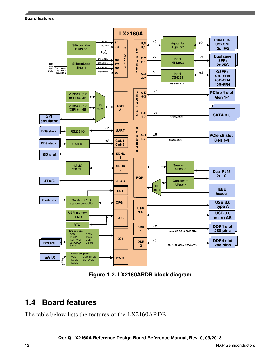#### <span id="page-11-0"></span>**Board features**



**Figure 1-2. LX2160ARDB block diagram**

### **1.4 Board features**

The table below lists the features of the LX2160ARDB.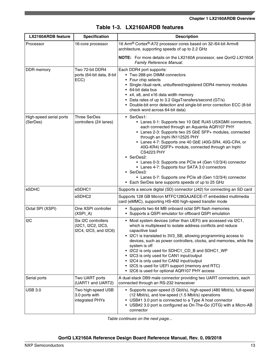| <b>LX2160ARDB</b> feature           | <b>Specification</b>                                               | <b>Description</b>                                                                                                                                                                                                                                                                                                                                                                                                                                                                                                                                                                                                      |  |  |  |
|-------------------------------------|--------------------------------------------------------------------|-------------------------------------------------------------------------------------------------------------------------------------------------------------------------------------------------------------------------------------------------------------------------------------------------------------------------------------------------------------------------------------------------------------------------------------------------------------------------------------------------------------------------------------------------------------------------------------------------------------------------|--|--|--|
| Processor                           | 16-core processor                                                  | 16 Arm <sup>®</sup> Cortex <sup>®</sup> -A72 processor cores based on 32-/64-bit Armv8<br>architecture, supporting speeds of up to 2.2 GHz                                                                                                                                                                                                                                                                                                                                                                                                                                                                              |  |  |  |
|                                     |                                                                    | NOTE: For more details on the LX2160A processor, see QorlQ LX2160A<br>Family Reference Manual.                                                                                                                                                                                                                                                                                                                                                                                                                                                                                                                          |  |  |  |
| DDR memory                          | Two 72-bit DDR4<br>ports (64-bit data, 8-bit<br>ECC)               | Each DDR4 port supports:<br>• Two 288-pin DIMM connectors<br>• Four chip selects<br>Single-/dual-rank, unbuffered/registered DDR4 memory modules<br>• 64-bit data bus<br>• x4, x8, and x16 data width memory<br>• Data rates of up to 3.2 GigaTransfers/second (GT/s)<br>• Double-bit error detection and single-bit error correction ECC (8-bit<br>check word across 64-bit data)                                                                                                                                                                                                                                      |  |  |  |
| High-speed serial ports<br>(SerDes) | <b>Three SerDes</b><br>controllers (24 lanes)                      | • SerDes1:<br>• Lanes 0-1: Supports two 10 GbE RJ45 USXGMII connectors,<br>each connected through an Aquantia AQR107 PHY<br>• Lanes 2-3: Supports two 25 GbE SFP+ modules, connected<br>through an Inphi IN112525 PHY<br>• Lanes 4-7: Supports one 40 GbE (40G-SR4, 40G-CR4, or<br>40G-KR4) QSFP+ module, connected through an Inphi<br><b>CS4223 PHY</b><br>• SerDes2:<br>• Lanes 0-3: Supports one PCIe x4 (Gen 1/2/3/4) connector<br>• Lanes 4-7: Supports four SATA 3.0 connectors<br>• SerDes3:<br>• Lanes 0-7: Supports one PCIe x8 (Gen 1/2/3/4) connector<br>• Each SerDes lane supports speeds of up to 25 GHz |  |  |  |
| eSDHC                               | eSDHC1                                                             | Supports a secure digital (SD) connector (J42) for connecting an SD card                                                                                                                                                                                                                                                                                                                                                                                                                                                                                                                                                |  |  |  |
|                                     | eSDHC2                                                             | Supports 128 GB Micron MTFC128GAJAECE-IT embedded multimedia<br>card (eMMC), supporting HS-400 high-speed transfer mode                                                                                                                                                                                                                                                                                                                                                                                                                                                                                                 |  |  |  |
| Octal SPI (XSPI)                    | One XSPI controller<br>$(XSPI_A)$                                  | • Supports two 64 MB onboard octal SPI flash memories<br>• Supports a QSPI emulator for offboard QSPI emulation                                                                                                                                                                                                                                                                                                                                                                                                                                                                                                         |  |  |  |
| 12C                                 | Six I2C controllers<br>(I2C1, I2C2, I2C3,<br>I2C4, I2C5, and I2C6) | • Most system devices (other than UEFI) are accessed via I2C1,<br>which is multiplexed to isolate address conflicts and reduce<br>capacitive load<br>• I2C1 is translated to 3V3_SB, allowing programming access to<br>devices, such as power controllers, clocks, and memories, while the<br>system is off<br>• I2C2 is only used for SDHC1_CD_B and SDHC1_WP<br>• I2C3 is only used for CAN1 input/output<br>• I2C4 is only used for CAN2 input/output<br>• I2C5 is used for UEFI support (memory and RTC)<br>• I2C6 is used for optional AQR107 PHY access                                                           |  |  |  |
| Serial ports                        | Two UART ports<br>(UART1 and UART2)                                | A dual-stack DB9 male connector providing two UART connectors, each<br>connected through an RS-232 transceiver                                                                                                                                                                                                                                                                                                                                                                                                                                                                                                          |  |  |  |
| <b>USB 3.0</b>                      | Two high-speed USB<br>3.0 ports with<br>integrated PHYs            | • Supports super-speed (5 Gbit/s), high-speed (480 Mbit/s), full-speed<br>(12 Mbit/s), and low-speed (1.5 Mbit/s) operations<br>• USB#1 3.0 port is connected to a Type A host connector<br>• USB#2 3.0 port is configured as On-The-Go (OTG) with a Micro-AB<br>connector                                                                                                                                                                                                                                                                                                                                              |  |  |  |

**Table 1-3. LX2160ARDB features**

*Table continues on the next page...*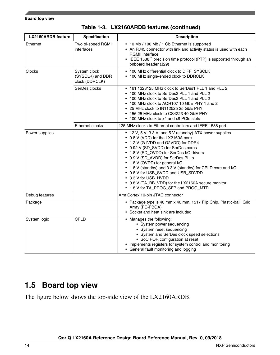#### <span id="page-13-0"></span>**Board top view**

| <b>LX2160ARDB</b> feature | <b>Specification</b>                               | <b>Description</b>                                                                                                                                                                                                                                                                                                                                                                                                                                                                                                        |  |
|---------------------------|----------------------------------------------------|---------------------------------------------------------------------------------------------------------------------------------------------------------------------------------------------------------------------------------------------------------------------------------------------------------------------------------------------------------------------------------------------------------------------------------------------------------------------------------------------------------------------------|--|
| Ethernet                  | Two tri-speed RGMII<br>interfaces                  | • 10 Mb / 100 Mb / 1 Gb Ethernet is supported<br>• An RJ45 connector with link and activity status is used with each<br><b>RGMII</b> interface<br>• IEEE 1588™ precision time protocol (PTP) is supported through an<br>onboard header (J29)                                                                                                                                                                                                                                                                              |  |
| Clocks                    | System clock<br>(SYSCLK) and DDR<br>clock (DDRCLK) | • 100 MHz differential clock to DIFF_SYSCLK<br>• 100 MHz single-ended clock to DDRCLK                                                                                                                                                                                                                                                                                                                                                                                                                                     |  |
|                           | SerDes clocks                                      | • 161.1328125 MHz clock to SerDes1 PLL 1 and PLL 2<br>• 100 MHz clock to SerDes2 PLL 1 and PLL 2<br>• 100 MHz clock to SerDes3 PLL 1 and PLL 2<br>• 100 MHz clock to AQR107 10 GbE PHY 1 and 2<br>25 MHz clock to IN112525 25 GbE PHY<br>• 156.25 MHz clock to CS4223 40 GbE PHY<br>• 100 MHz clock to x4 and x8 PCIe slots                                                                                                                                                                                               |  |
|                           | <b>Ethernet clocks</b>                             | 125 MHz clocks to Ethernet controllers and IEEE 1588 port                                                                                                                                                                                                                                                                                                                                                                                                                                                                 |  |
| Power supplies            |                                                    | • 12 V, 5 V, 3.3 V, and 5 V (standby) ATX power supplies<br>• 0.8 V (VDD) for the LX2160A core<br>• 1.2 V (G1VDD and G2VDD) for DDR4<br>• 0.92 V (SD_SVDD) for SerDes cores<br>• 1.8 V (SD_OVDD) for SerDes I/O drivers<br>• 0.9 V (SD_AVDD) for SerDes PLLs<br>• 1.8 V (OVDD) for general I/O<br>• 1.8 V (standby) and 3.3 V (standby) for CPLD core and I/O<br>• 0.8 V for USB_SVDD and USB_SDVDD<br>• 3.3 V for USB_HVDD<br>• 0.8 V (TA_BB_VDD) for the LX2160A secure monitor<br>• 1.8 V for TA_PROG_SFP and PROG_MTR |  |
| Debug features            |                                                    | Arm Cortex 10-pin JTAG connector                                                                                                                                                                                                                                                                                                                                                                                                                                                                                          |  |
| Package                   |                                                    | • Package type is 40 mm x 40 mm, 1517 Flip Chip, Plastic-ball, Grid<br>Array (FC-PBGA)<br>• Socket and heat sink are included                                                                                                                                                                                                                                                                                                                                                                                             |  |
| System logic              | <b>CPLD</b>                                        | • Manages the following:<br>• System power sequencing<br>• System reset sequencing<br>• System and SerDes clock speed selections<br>• SoC POR configuration at reset<br>• Implements registers for system control and monitoring<br>• General fault monitoring and logging                                                                                                                                                                                                                                                |  |

### **Table 1-3. LX2160ARDB features (continued)**

### **1.5 Board top view**

The figure below shows the top-side view of the LX2160ARDB.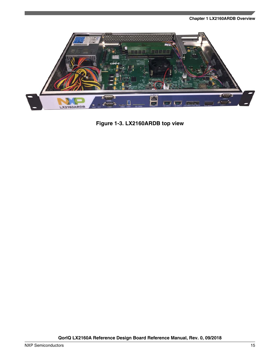

**Figure 1-3. LX2160ARDB top view**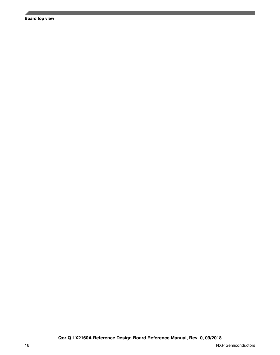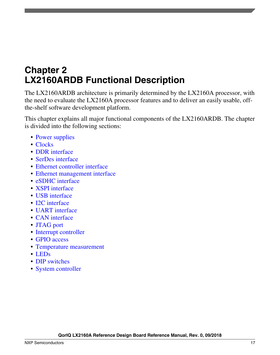# <span id="page-16-0"></span>**Chapter 2 LX2160ARDB Functional Description**

The LX2160ARDB architecture is primarily determined by the LX2160A processor, with the need to evaluate the LX2160A processor features and to deliver an easily usable, offthe-shelf software development platform.

This chapter explains all major functional components of the LX2160ARDB. The chapter is divided into the following sections:

- Power supplies
- [Clocks](#page-24-0)
- [DDR interface](#page-27-0)
- [SerDes interface](#page-30-0)
- [Ethernet controller interface](#page-32-0)
- [Ethernet management interface](#page-34-0)
- [eSDHC interface](#page-35-0)
- [XSPI interface](#page-37-0)
- [USB interface](#page-39-0)
- [I2C interface](#page-40-0)
- [UART interface](#page-44-0)
- [CAN interface](#page-46-0)
- [JTAG port](#page-47-0)
- [Interrupt controller](#page-47-0)
- [GPIO access](#page-49-0)
- [Temperature measurement](#page-50-0)
- [LEDs](#page-51-0)
- **DIP** switches
- [System controller](#page-57-0)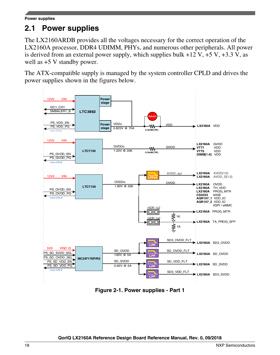# **2.1 Power supplies**

The LX2160ARDB provides all the voltages necessary for the correct operation of the LX2160A processor, DDR4 UDIMM, PHYs, and numerous other peripherals. All power is derived from an external power supply, which supplies bulk  $+12$  V,  $+5$  V,  $+3.3$  V, as well as +5 V standby power.

The ATX-compatible supply is managed by the system controller CPLD and drives the power supplies shown in the figures below.



**Figure 2-1. Power supplies - Part 1**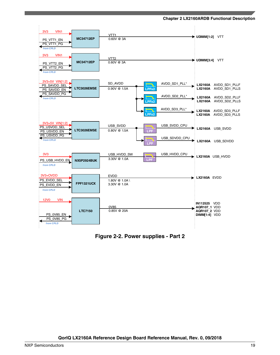

**Figure 2-2. Power supplies - Part 2**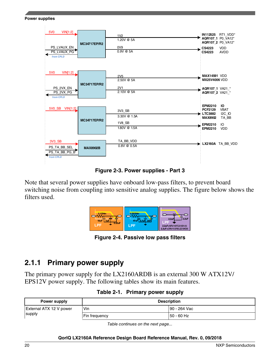

**Figure 2-3. Power supplies - Part 3**

Note that several power supplies have onboard low-pass filters, to prevent board switching noise from coupling into sensitive analog supplies. The figure below shows the filters used.



**Figure 2-4. Passive low pass filters**

## **2.1.1 Primary power supply**

The primary power supply for the LX2160ARDB is an external 300 W ATX12V/ EPS12V power supply. The following tables show its main features.

| Table 2-1. Primary power supply |  |  |  |
|---------------------------------|--|--|--|
|---------------------------------|--|--|--|

| Power supply            | <b>Description</b> |               |  |
|-------------------------|--------------------|---------------|--|
| External ATX 12 V power | Vin                | 190 - 264 Vac |  |
| supply                  | ∣Fin frequency     | 50 - 60 Hz    |  |

*Table continues on the next page...*

#### **QorIQ LX2160A Reference Design Board Reference Manual, Rev. 0, 09/2018**

**Power supplies**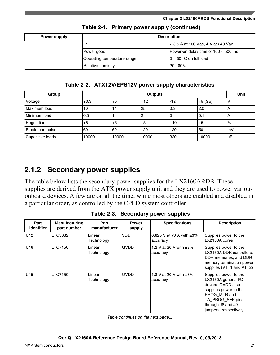#### **Chapter 2 LX2160ARDB Functional Description**

| Power supply | <b>Description</b>          |                                     |  |  |
|--------------|-----------------------------|-------------------------------------|--|--|
|              | lin                         | < 8.5 A at 100 Vac, 4 A at 240 Vac  |  |  |
|              | Power good                  | Power-on delay time of 100 ~ 500 ms |  |  |
|              | Operating temperature range | $10 \sim 50$ °C on full load        |  |  |
|              | Relative humidity           | l 20∼ 80%                           |  |  |

**Table 2-1. Primary power supply (continued)**

### **Table 2-2. ATX12V/EPS12V power supply characteristics**

| Group            |        | Unit  |       |          |           |      |
|------------------|--------|-------|-------|----------|-----------|------|
| Voltage          | $+3.3$ | $+5$  | $+12$ | $-12$    | $+5$ (SB) |      |
| Maximum load     | 10     | 14    | 25    | 0.3      | 2.0       | А    |
| Minimum load     | 0.5    |       | 2     |          | 0.1       | А    |
| Regulation       | ±5     | ±5    | l±5   | $\pm 10$ | ±5        | $\%$ |
| Ripple and noise | 60     | 60    | 120   | 120      | 50        | mV   |
| Capacitive loads | 10000  | 10000 | 10000 | 330      | 10000     | μF   |

## **2.1.2 Secondary power supplies**

The table below lists the secondary power supplies for the LX2160ARDB. These supplies are derived from the ATX power supply unit and they are used to power various onboard devices. A few are on all the time, while most others are enabled and disabled in a particular order, as controlled by the CPLD system controller.

| Part<br>identifier | <b>Manufacturing</b><br>part number | Part<br>manufacturer | <b>Power</b><br>supply | <b>Specifications</b>                      | <b>Description</b>                                                                                                                                                              |
|--------------------|-------------------------------------|----------------------|------------------------|--------------------------------------------|---------------------------------------------------------------------------------------------------------------------------------------------------------------------------------|
| U12                | LTC3882                             | Linear<br>Technology | VDD                    | 0.825 V at 70 A with $\pm 3\%$<br>accuracy | Supplies power to the<br>LX2160A cores                                                                                                                                          |
| U <sub>16</sub>    | LTC7150                             | Linear<br>Technology | <b>GVDD</b>            | 1.2 V at 20 A with $\pm 3\%$<br>accuracy   | Supplies power to the<br>LX2160A DDR controllers,<br>DDR memories, and DDR<br>memory termination power<br>supplies (VTT1 and VTT2)                                              |
| U <sub>15</sub>    | LTC7150                             | Linear<br>Technology | <b>OVDD</b>            | 1.8 V at 20 A with $\pm 3\%$<br>accuracy   | Supplies power to the<br>LX2160A general I/O<br>drivers, OVDD also<br>supplies power to the<br>PROG MTR and<br>TA_PROG_SFP pins,<br>through J8 and J9<br>jumpers, respectively, |

**Table 2-3. Secondary power supplies**

*Table continues on the next page...*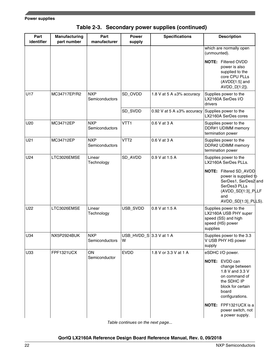#### **Power supplies**

| Part<br>identifier | <b>Manufacturing</b><br>part number | Part<br>manufacturer         | <b>Power</b><br>supply       | <b>Specifications</b>            | <b>Description</b>                                                                                                                                                                                                        |
|--------------------|-------------------------------------|------------------------------|------------------------------|----------------------------------|---------------------------------------------------------------------------------------------------------------------------------------------------------------------------------------------------------------------------|
|                    |                                     |                              |                              |                                  | which are normally open<br>(unmounted).<br><b>NOTE: Filtered OVDD</b><br>power is also<br>supplied to the<br>core CPU PLLs<br>(AVDD[1:5] and<br>AVDD_D[1:2]).                                                             |
| U17                | MC34717EP/R2                        | <b>NXP</b><br>Semiconductors | SD_OVDD                      | 1.8 V at 5 A $\pm 3\%$ accuracy  | Supplies power to the<br>LX2160A SerDes I/O<br>drivers                                                                                                                                                                    |
|                    |                                     |                              | SD_SVDD                      | 0.92 V at 5 A $\pm 3\%$ accuracy | Supplies power to the<br>LX2160A SerDes cores                                                                                                                                                                             |
| U20                | MC34712EP                           | <b>NXP</b><br>Semiconductors | VTT <sub>1</sub>             | 0.6 V at 3 A                     | Supplies power to the<br>DDR#1 UDIMM memory<br>termination power                                                                                                                                                          |
| U21                | MC34712EP                           | <b>NXP</b><br>Semiconductors | VTT <sub>2</sub>             | 0.6 V at 3 A                     | Supplies power to the<br>DDR#2 UDIMM memory<br>termination power                                                                                                                                                          |
| U24                | LTC3026EMSE                         | Linear<br>Technology         | SD_AVDD                      | 0.9 V at 1.5 A                   | Supplies power to the<br>LX2160A SerDes PLLs.<br>NOTE: Filtered SD_AVDD<br>power is supplied to<br>SerDes1, SerDes2 and<br>SerDes3 PLLs<br>(AVDD_SD[1:3]_PLLF<br>and<br>AVDD_SD[1:3]_PLLS).                               |
| U22                | LTC3026EMSE                         | Linear<br>Technology         | USB_SVDD                     | 0.8 V at 1.5 A                   | Supplies power to the<br>LX2160A USB PHY super<br>speed (SS) and high<br>speed (HS) power<br>supplies                                                                                                                     |
| U34                | NX5P2924BUK                         | <b>NXP</b><br>Semiconductors | USB_HVDD_S 3.3 V at 1 A<br>W |                                  | Supplies power to the 3.3<br>V USB PHY HS power<br>supply                                                                                                                                                                 |
| U33                | <b>FPF1321UCX</b>                   | ON<br>Semiconductor          | <b>EVDD</b>                  | 1.8 V or 3.3 V at 1 A            | eSDHC I/O power.<br>NOTE: EVDD can<br>change between<br>1.8 V and 3.3 V<br>on command of<br>the SDHC IP<br>block for certain<br>board<br>configurations.<br>NOTE: FPF1321UCX is a<br>power switch, not<br>a power supply. |

### **Table 2-3. Secondary power supplies (continued)**

*Table continues on the next page...*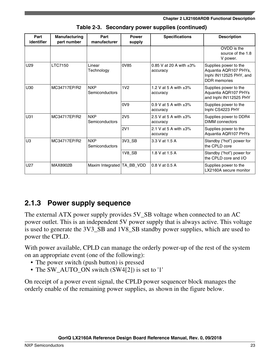#### **Chapter 2 LX2160ARDB Functional Description**

| Part<br>identifier | <b>Manufacturing</b><br>part number | Part<br>manufacturer         | <b>Power</b><br>supply | <b>Specifications</b>                     | <b>Description</b>                                                                               |
|--------------------|-------------------------------------|------------------------------|------------------------|-------------------------------------------|--------------------------------------------------------------------------------------------------|
|                    |                                     |                              |                        |                                           | OVDD is the<br>source of the 1.8<br>V power.                                                     |
| U <sub>29</sub>    | LTC7150                             | Linear<br>Technology         | 0V85                   | 0.85 V at 20 A with $\pm 3\%$<br>accuracy | Supplies power to the<br>Aquantia AQR107 PHYs,<br>Inphi IN112525 PHY, and<br><b>DDR</b> memories |
| U30                | MC34717EP/R2                        | <b>NXP</b><br>Semiconductors | 1V <sub>2</sub>        | 1.2 V at 5 A with $+3\%$<br>accuracy      | Supplies power to the<br>Aquantia AQR107 PHYs<br>and Inphi IN112525 PHY                          |
|                    |                                     |                              | 0V9                    | 0.9 V at 5 A with $\pm 3\%$<br>accuracy   | Supplies power to the<br>Inphi CS4223 PHY                                                        |
| U31                | MC34717EP/R2                        | <b>NXP</b><br>Semiconductors | 2V <sub>5</sub>        | 2.5 V at 5 A with $\pm 3\%$<br>accuracy   | Supplies power to DDR4<br><b>DIMM</b> connectors                                                 |
|                    |                                     |                              | 2V1                    | 2.1 V at 5 A with $\pm 3\%$<br>accuracy   | Supplies power to the<br>Aquantia AQR107 PHYs                                                    |
| U <sub>3</sub>     | MC34717EP/R2                        | <b>NXP</b><br>Semiconductors | 3V3_SB                 | 3.3 V at 1.5 A                            | Standby ("hot") power for<br>the CPLD core                                                       |
|                    |                                     |                              | 1V8_SB                 | 1.8 V at 1.5 A                            | Standby ("hot") power for<br>the CPLD core and I/O                                               |
| U <sub>27</sub>    | MAX8902B                            | Maxim Integrated   TA_BB_VDD |                        | 0.8 V at 0.5 A                            | Supplies power to the<br>LX2160A secure monitor                                                  |

**Table 2-3. Secondary power supplies (continued)**

## **2.1.3 Power supply sequence**

The external ATX power supply provides 5V\_SB voltage when connected to an AC power outlet. This is an independent 5V power supply that is always active. This voltage is used to generate the 3V3\_SB and 1V8\_SB standby power supplies, which are used to power the CPLD.

With power available, CPLD can manage the orderly power-up of the rest of the system on an appropriate event (one of the following):

- The power switch (push button) is pressed
- The SW AUTO ON switch (SW4[2]) is set to '1'

On receipt of a power event signal, the CPLD power sequencer block manages the orderly enable of the remaining power supplies, as shown in the figure below.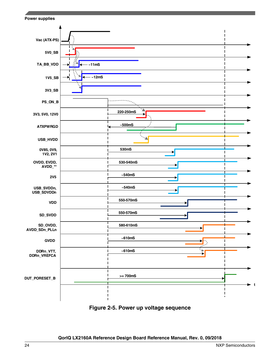**Power supplies**



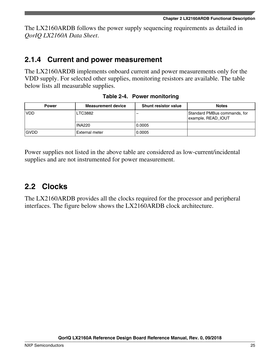<span id="page-24-0"></span>The LX2160ARDB follows the power supply sequencing requirements as detailed in *QorIQ LX2160A Data Sheet*.

## **2.1.4 Current and power measurement**

The LX2160ARDB implements onboard current and power measurements only for the VDD supply. For selected other supplies, monitoring resistors are available. The table below lists all measurable supplies.

| <b>Power</b> | <b>Measurement device</b> | <b>Shunt resistor value</b> | <b>Notes</b>                                       |
|--------------|---------------------------|-----------------------------|----------------------------------------------------|
| VDD          | LTC3882                   | -                           | Standard PMBus commands, for<br>example, READ_IOUT |
|              | <b>INA220</b>             | 0.0005                      |                                                    |
| GVDD         | External meter            | 0.0005                      |                                                    |

**Table 2-4. Power monitoring**

Power supplies not listed in the above table are considered as low-current/incidental supplies and are not instrumented for power measurement.

# **2.2 Clocks**

The LX2160ARDB provides all the clocks required for the processor and peripheral interfaces. The figure below shows the LX2160ARDB clock architecture.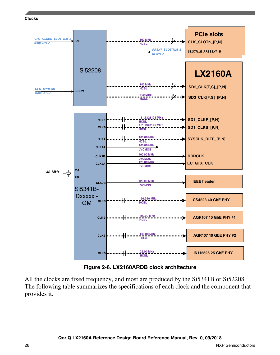

**Figure 2-6. LX2160ARDB clock architecture**

All the clocks are fixed frequency, and most are produced by the Si5341B or Si52208. The following table summarizes the specifications of each clock and the component that provides it.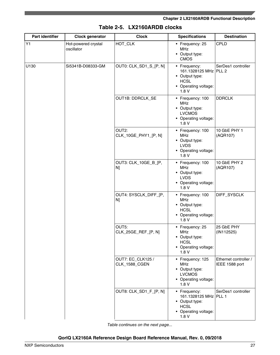#### **Chapter 2 LX2160ARDB Functional Description**

| <b>Part identifier</b> | <b>Clock generator</b>            | <b>Clock</b>                       | <b>Specifications</b>                                                                                  | <b>Destination</b>                      |
|------------------------|-----------------------------------|------------------------------------|--------------------------------------------------------------------------------------------------------|-----------------------------------------|
| Y1                     | Hot-powered crystal<br>oscillator | HOT_CLK                            | • Frequency: 25<br><b>MHz</b><br>• Output type:<br><b>CMOS</b>                                         | <b>CPLD</b>                             |
| U130                   | Si5341B-D08333-GM                 | OUT0: CLK_SD1_S_[P, N]             | • Frequency:<br>161.1328125 MHz PLL 2<br>• Output type:<br><b>HCSL</b><br>• Operating voltage:<br>1.8V | SerDes1 controller                      |
|                        |                                   | OUT1B: DDRCLK_SE                   | • Frequency: 100<br><b>MHz</b><br>• Output type:<br><b>LVCMOS</b><br>• Operating voltage:<br>1.8V      | <b>DDRCLK</b>                           |
|                        |                                   | OUT2:<br>CLK_10GE_PHY1_[P, N]      | • Frequency: 100<br><b>MHz</b><br>• Output type:<br><b>LVDS</b><br>• Operating voltage:<br>1.8V        | 10 GbE PHY 1<br>(AQR107)                |
|                        |                                   | OUT3: CLK_10GE_B_[P,<br>N]         | • Frequency: 100<br><b>MHz</b><br>• Output type:<br><b>LVDS</b><br>• Operating voltage:<br>1.8V        | 10 GbE PHY 2<br>(AQR107)                |
|                        |                                   | OUT4: SYSCLK_DIFF_[P,<br>N]        | • Frequency: 100<br><b>MHz</b><br>• Output type:<br><b>HCSL</b><br>• Operating voltage:<br>1.8V        | DIFF_SYSCLK                             |
|                        |                                   | OUT5:<br>CLK_25GE_REF_[P, N]       | • Frequency: 25<br><b>MHz</b><br>• Output type:<br><b>HCSL</b><br>• Operating voltage:<br>1.8V         | 25 GbE PHY<br>(IN112525)                |
|                        |                                   | OUT7: EC_CLK125 /<br>CLK_1588_CGEN | • Frequency: 125<br><b>MHz</b><br>• Output type:<br><b>LVCMOS</b><br>• Operating voltage:<br>1.8V      | Ethernet controller /<br>IEEE 1588 port |
|                        |                                   | OUT8: CLK_SD1_F_[P, N]             | • Frequency:<br>161.1328125 MHz<br>• Output type:<br><b>HCSL</b><br>• Operating voltage:<br>1.8V       | SerDes1 controller<br>PLL 1             |

**Table 2-5. LX2160ARDB clocks**

*Table continues on the next page...*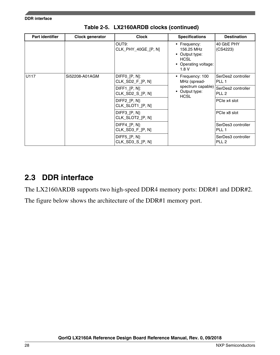<span id="page-27-0"></span>

| <b>Part identifier</b> | <b>Clock generator</b> | <b>Clock</b>                               | <b>Specifications</b>                                                                       | <b>Destination</b>                     |
|------------------------|------------------------|--------------------------------------------|---------------------------------------------------------------------------------------------|----------------------------------------|
|                        |                        | OUT9:<br>CLK_PHY_40GE_[P, N]               | • Frequency:<br>156.25 MHz<br>• Output type:<br><b>HCSL</b><br>• Operating voltage:<br>1.8V | 40 GbE PHY<br>(CS4223)                 |
| U117                   | Si52208-A01AGM         | $DIFFO_{P, N}$<br>$CLK_SD2_F_{I}P, N$      | • Frequency: 100<br>MHz (spread-                                                            | SerDes2 controller<br>PLL 1            |
|                        |                        | $D$ IFF1_ $[P, N]$ :<br>$CLK_SD2_S_{P, N}$ | spectrum capable)<br>Output type:<br>٠<br><b>HCSL</b>                                       | SerDes2 controller<br>PLL <sub>2</sub> |
|                        |                        | $D$ IFF2 $[P, N]$ :<br>CLK_SLOT1_[P, N]    |                                                                                             | PCIe x4 slot                           |
|                        |                        | DIFF3[P, N]:<br>CLK_SLOT2_[P, N]           | PCIe x8 slot                                                                                |                                        |
|                        |                        | DIFF4[P, N]:<br>CLK_SD3_F_[P, N]           |                                                                                             | SerDes3 controller<br>PLL 1            |
|                        |                        | $D$ IFF5_ $[P, N]$ :<br>$CLK_SD3_S_FP, N$  |                                                                                             | SerDes3 controller<br>PLL <sub>2</sub> |

**Table 2-5. LX2160ARDB clocks (continued)**

## **2.3 DDR interface**

The LX2160ARDB supports two high-speed DDR4 memory ports: DDR#1 and DDR#2.

The figure below shows the architecture of the DDR#1 memory port.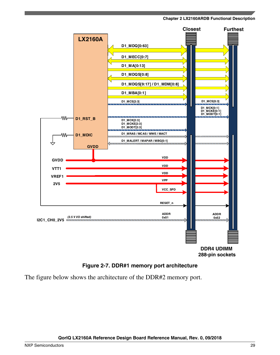

#### **Chapter 2 LX2160ARDB Functional Description**

**Figure 2-7. DDR#1 memory port architecture**

The figure below shows the architecture of the DDR#2 memory port.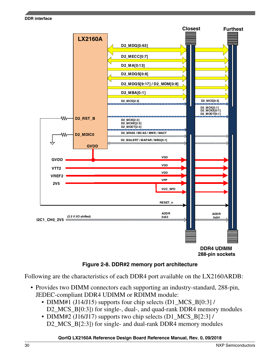**DDR interface**



**Figure 2-8. DDR#2 memory port architecture**

Following are the characteristics of each DDR4 port available on the LX2160ARDB:

- Provides two DIMM connectors each supporting an industry-standard, 288-pin, JEDEC-compliant DDR4 UDIMM or RDIMM module:
	- DIMM#1 (J14/J15) supports four chip selects (D1\_MCS\_B[0:3] /
		- D2 MCS B[0:3]) for single-, dual-, and quad-rank DDR4 memory modules
	- DIMM#2 (J16/J17) supports two chip selects (D1\_MCS\_B[2:3] / D2 MCS B[2:3]) for single- and dual-rank DDR4 memory modules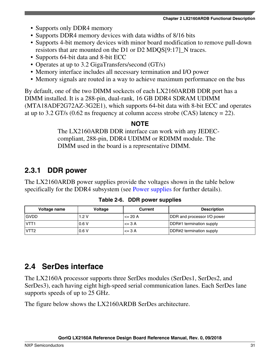- <span id="page-30-0"></span>• Supports only DDR4 memory
- Supports DDR4 memory devices with data widths of 8/16 bits
- Supports 4-bit memory devices with minor board modification to remove pull-down resistors that are mounted on the D1 or D2 MDQS[9:17] N traces.
- Supports 64-bit data and 8-bit ECC
- Operates at up to 3.2 GigaTransfers/second (GT/s)
- Memory interface includes all necessary termination and I/O power
- Memory signals are routed in a way to achieve maximum performance on the bus

By default, one of the two DIMM sockects of each LX2160ARDB DDR port has a DIMM installed. It is a 288-pin, dual-rank, 16 GB DDR4 SDRAM UDIMM (MTA18ADF2G72AZ-3G2E1), which supports 64-bit data with 8-bit ECC and operates at up to 3.2 GT/s (0.62 ns frequency at column access strobe (CAS) latency = 22).

### **NOTE**

The LX2160ARDB DDR interface can work with any JEDECcompliant, 288-pin, DDR4 UDIMM or RDIMM module. The DIMM used in the board is a representative DIMM.

# **2.3.1 DDR power**

The LX2160ARDB power supplies provide the voltages shown in the table below specifically for the DDR4 subsystem (see [Power supplies](#page-16-0) for further details).

| Voltage name | <b>Voltage</b> | Current     | <b>Description</b>          |
|--------------|----------------|-------------|-----------------------------|
| <b>GVDD</b>  | 1.2V           | $\leq$ 20 A | DDR and processor I/O power |
| VTT1         | 0.6V           | $\leq$ 3 A  | DDR#1 termination supply    |
| VTT2         | 0.6V           | $\leq$ 3 A  | DDR#2 termination supply    |

**Table 2-6. DDR power supplies**

# **2.4 SerDes interface**

The LX2160A processor supports three SerDes modules (SerDes1, SerDes2, and SerDes3), each having eight high-speed serial communication lanes. Each SerDes lane supports speeds of up to 25 GHz.

The figure below shows the LX2160ARDB SerDes architecture.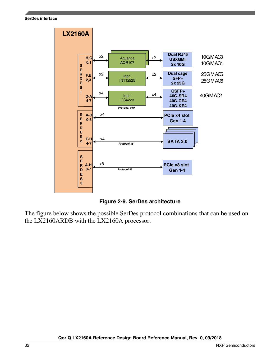

**Figure 2-9. SerDes architecture**

The figure below shows the possible SerDes protocol combinations that can be used on the LX2160ARDB with the LX2160A processor.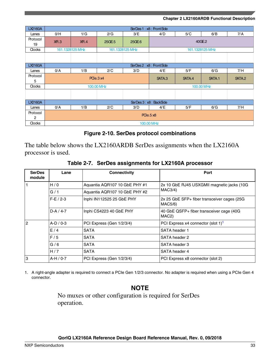**Chapter 2 LX2160ARDB Functional Description**

<span id="page-32-0"></span>

| <b>LX2160A</b>             | SerDes 1: x8: Front Side           |      |                 |                   |       |                   |                   |     |
|----------------------------|------------------------------------|------|-----------------|-------------------|-------|-------------------|-------------------|-----|
| Lanes                      | O/H                                | 1/G  | 2/G             | 3/E               | 4/D   | 5/C               | 6/B               | 7/A |
| Protocol<br>19             | XH.3                               | XH.4 | 25GE5           | 25GE6             | 40GE2 |                   |                   |     |
| <b>Clocks</b>              | 161.1328125 MHz<br>161.1328125 MHz |      | 161.1328125 MHz |                   |       |                   |                   |     |
|                            |                                    |      |                 |                   |       |                   |                   |     |
| <b>LX2160A</b>             | SerDes 2: x8: Front Side           |      |                 |                   |       |                   |                   |     |
| Lanes                      | 0/A                                | 1/B  | 2/C             | 3/D               | 4/E   | 5/F               | 6/G               | 7/H |
| Protocol<br>5              | PCIe.3 x4                          |      |                 | SATA <sub>3</sub> | SATA4 | SATA <sub>1</sub> | SATA <sub>2</sub> |     |
| <b>Clocks</b>              | 100,00 MHz                         |      |                 | 100,00 MHz        |       |                   |                   |     |
|                            |                                    |      |                 |                   |       |                   |                   |     |
| LX2160A                    | SerDes 3: x8: BackSide             |      |                 |                   |       |                   |                   |     |
| Lanes                      | O/A                                | 1/B  | 2/C             | 3/D               | 4/E   | 5/F               | 6/G               | 7/H |
| Protocol<br>$\overline{2}$ | PCIe.5 x8                          |      |                 |                   |       |                   |                   |     |
| Clocks                     | 100.00 MHz                         |      |                 |                   |       |                   |                   |     |

#### **Figure 2-10. SerDes protocol combinations**

The table below shows the LX2160ARDB SerDes assignments when the LX2160A processor is used.

|  |  | Table 2-7. SerDes assignments for LX2160A processor |  |  |  |
|--|--|-----------------------------------------------------|--|--|--|
|--|--|-----------------------------------------------------|--|--|--|

| <b>SerDes</b><br>module  | Lane                                 | <b>Connectivity</b>           | Port                                                            |  |  |
|--------------------------|--------------------------------------|-------------------------------|-----------------------------------------------------------------|--|--|
|                          | H/0<br>Aquantia AQR107 10 GbE PHY #1 |                               | 2x 10 GbE RJ45 USXGMII magnetic jacks (10G                      |  |  |
|                          | G/1                                  | Aquantia AQR107 10 GbE PHY #2 | MAC3/4)                                                         |  |  |
|                          | $F-E/2-3$                            | Inphi IN112525 25 GbE PHY     | 2x 25 GbE SFP+ fiber transceiver cages (25G)<br><b>MAC5/6)</b>  |  |  |
|                          | $D-A/4-7$                            | Inphi CS4223 40 GbE PHY       | 40 GbE QSFP+ fiber transceiver cage (40G)<br>MAC <sub>2</sub> ) |  |  |
| $\overline{c}$           | $A-D/0-3$                            | PCI Express (Gen 1/2/3/4)     | PCI Express x4 connector (slot 1) <sup>1</sup>                  |  |  |
| E/4<br>F/5<br>G/6<br>H/7 |                                      | <b>SATA</b>                   | SATA header 1                                                   |  |  |
|                          |                                      | <b>SATA</b>                   | SATA header 2                                                   |  |  |
|                          |                                      | <b>SATA</b>                   | SATA header 3                                                   |  |  |
|                          |                                      | <b>SATA</b>                   | SATA header 4                                                   |  |  |
| 3                        | $A-H / 0-7$                          | PCI Express (Gen 1/2/3/4)     | PCI Express x8 connector (slot 2)                               |  |  |

1. A right-angle adapter is required to connect a PCIe Gen 1/2/3 connector. No adapter is required when using a PCIe Gen 4 connector.

### **NOTE**

No muxes or other configuration is required for SerDes operation.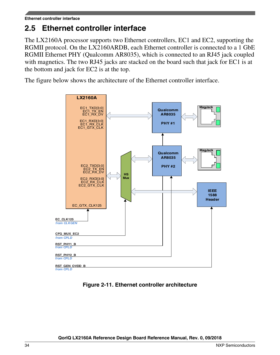**Ethernet controller interface**

# **2.5 Ethernet controller interface**

The LX2160A processor supports two Ethernet controllers, EC1 and EC2, supporting the RGMII protocol. On the LX2160ARDB, each Ethernet controller is connected to a 1 GbE RGMII Ethernet PHY (Qualcomm AR8035), which is connected to an RJ45 jack coupled with magnetics. The two RJ45 jacks are stacked on the board such that jack for EC1 is at the bottom and jack for EC2 is at the top.

The figure below shows the architecture of the Ethernet controller interface.



**Figure 2-11. Ethernet controller architecture**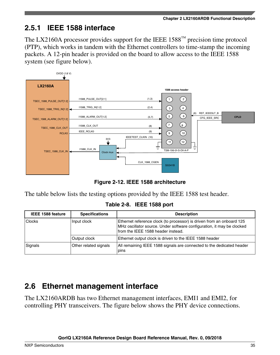# <span id="page-34-0"></span>**2.5.1 IEEE 1588 interface**

The LX2160A processor provides support for the IEEE  $1588^{\text{m}}$  precision time protocol (PTP), which works in tandem with the Ethernet controllers to time-stamp the incoming packets. A 12-pin header is provided on the board to allow access to the IEEE 1588 system (see figure below).



**Figure 2-12. IEEE 1588 architecture**

The table below lists the testing options provided by the IEEE 1588 test header.

**Table 2-8. IEEE 1588 port**

| IEEE 1588 feature | <b>Specifications</b> | <b>Description</b>                                                                                                                                                                    |  |
|-------------------|-----------------------|---------------------------------------------------------------------------------------------------------------------------------------------------------------------------------------|--|
| Clocks            | Input clock           | Ethernet reference clock (to processor) is driven from an onboard 125<br>MHz oscillator source. Under software configuration, it may be clocked<br>from the IEEE 1588 header instead. |  |
|                   | Output clock          | Ethernet output clock is driven to the IEEE 1588 header                                                                                                                               |  |
| Signals           | Other related signals | All remaining IEEE 1588 signals are connected to the dedicated header<br>pins                                                                                                         |  |

# **2.6 Ethernet management interface**

The LX2160ARDB has two Ethernet management interfaces, EMI1 and EMI2, for controlling PHY transceivers. The figure below shows the PHY device connections.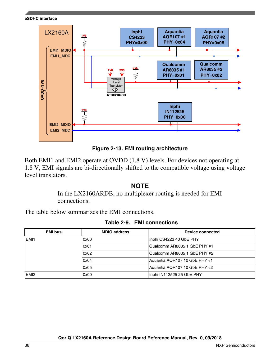#### <span id="page-35-0"></span>**eSDHC interface**



**Figure 2-13. EMI routing architecture**

Both EMI1 and EMI2 operate at OVDD (1.8 V) levels. For devices not operating at 1.8 V, EMI signals are bi-directionally shifted to the compatible voltage using voltage level translators.

### **NOTE**

In the LX2160ARDB, no multiplexer routing is needed for EMI connections.

The table below summarizes the EMI connections.

**Table 2-9. EMI connections**

| <b>EMI</b> bus   | <b>MDIO address</b> | Device connected              |
|------------------|---------------------|-------------------------------|
| EMI1             | 0x00                | Inphi CS4223 40 GbE PHY       |
|                  | 0x01                | Qualcomm AR8035 1 GbE PHY #1  |
|                  | 0x02                | Qualcomm AR8035 1 GbE PHY #2  |
|                  | 0x04                | Aquantia AQR107 10 GbE PHY #1 |
|                  | 0x05                | Aquantia AQR107 10 GbE PHY #2 |
| EMI <sub>2</sub> | 0x00                | Inphi IN112525 25 GbE PHY     |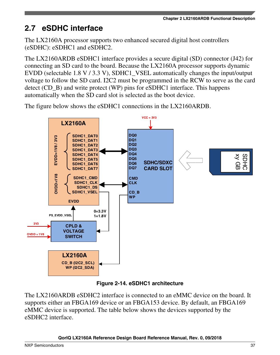# **2.7 eSDHC interface**

The LX2160A processor supports two enhanced secured digital host controllers (eSDHC): eSDHC1 and eSDHC2.

The LX2160ARDB eSDHC1 interface provides a secure digital (SD) connector (J42) for connecting an SD card to the board. Because the LX2160A processor supports dynamic EVDD (selectable 1.8 V / 3.3 V), SDHC1\_VSEL automatically changes the input/output voltage to follow the SD card. I2C2 must be programmed in the RCW to serve as the card detect (CD\_B) and write protect (WP) pins for eSDHC1 interface. This happens automatically when the SD card slot is selected as the boot device.

The figure below shows the eSDHC1 connections in the LX2160ARDB.



### **Figure 2-14. eSDHC1 architecture**

The LX2160ARDB eSDHC2 interface is connected to an eMMC device on the board. It supports either an FBGA169 device or an FBGA153 device. By default, an FBGA169 eMMC device is supported. The table below shows the devices supported by the eSDHC2 interface.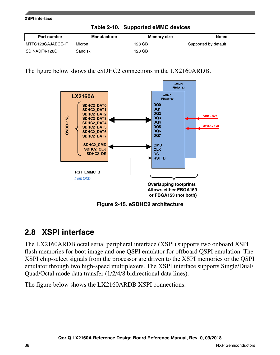### **XSPI interface**

| <b>Part number</b> | <b>Manufacturer</b> | Memory size | <b>Notes</b>         |
|--------------------|---------------------|-------------|----------------------|
| MTFC128GAJAECE-IT  | l Micron            | 128 GB      | Supported by default |
| SDINADF4-128G      | Sandisk             | 128 GB      |                      |

**Table 2-10. Supported eMMC devices**

The figure below shows the eSDHC2 connections in the LX2160ARDB.



**Figure 2-15. eSDHC2 architecture**

# **2.8 XSPI interface**

The LX2160ARDB octal serial peripheral interface (XSPI) supports two onboard XSPI flash memories for boot image and one QSPI emulator for offboard QSPI emulation. The XSPI chip-select signals from the processor are driven to the XSPI memories or the QSPI emulator through two high-speed multiplexers. The XSPI interface supports Single/Dual/ Quad/Octal mode data transfer (1/2/4/8 bidirectional data lines).

The figure below shows the LX2160ARDB XSPI connections.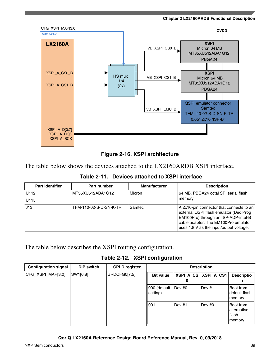

### **Figure 2-16. XSPI architecture**

The table below shows the devices attached to the LX2160ARDB XSPI interface.

| Table 2-11. Devices attached to XSPI interface |  |  |  |  |
|------------------------------------------------|--|--|--|--|
|------------------------------------------------|--|--|--|--|

| <b>Part identifier</b> | Part number            | <b>Manufacturer</b> | <b>Description</b>                                                                                                                                                                                            |
|------------------------|------------------------|---------------------|---------------------------------------------------------------------------------------------------------------------------------------------------------------------------------------------------------------|
| U112                   | MT35XU512ABA1G12       | Micron              | 64 MB, PBGA24 octal SPI serial flash                                                                                                                                                                          |
| U115                   |                        |                     | memory                                                                                                                                                                                                        |
| <b>J13</b>             | TFM-110-02-S-D-SN-K-TR | Samtec              | A 2x10-pin connector that connects to an<br>external QSPI flash emulator (DediProg<br>EM100Pro) through an ISP-ADP-intel-B<br>cable adapter. The EM100Pro emulator<br>uses 1.8 V as the input/output voltage. |

The table below describes the XSPI routing configuration.

**Table 2-12. XSPI configuration**

| <b>Configuration signal</b> | <b>DIP switch</b> | <b>CPLD register</b> |                          |          | <b>Description</b>     |                                             |
|-----------------------------|-------------------|----------------------|--------------------------|----------|------------------------|---------------------------------------------|
| CFG_XSPI_MAP[3:0]           | SW1[6:8]          | <b>BRDCFG0[7:5]</b>  | <b>Bit value</b>         | o        | XSPI_A_CS   XSPI_A_CS1 | <b>Descriptio</b><br>n                      |
|                             |                   |                      | 000 (default<br>setting) | Dev $#0$ | Dev #1                 | Boot from<br>default flash<br>memory        |
|                             |                   |                      | 1001                     | Dev $#1$ | Dev #0                 | Boot from<br>alternative<br>flash<br>memory |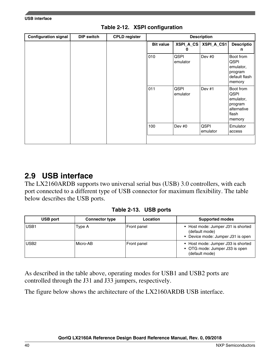| <b>Configuration signal</b> | <b>DIP switch</b> | <b>CPLD register</b> | <b>Description</b> |                         |                         |                                                                                    |
|-----------------------------|-------------------|----------------------|--------------------|-------------------------|-------------------------|------------------------------------------------------------------------------------|
|                             |                   |                      | <b>Bit value</b>   | $XSPI_A_CS$<br>0        | XSPI_A_CS1              | <b>Descriptio</b><br>n                                                             |
|                             |                   |                      | 010                | <b>QSPI</b><br>emulator | Dev #0                  | Boot from<br><b>QSPI</b><br>emulator,<br>program<br>default flash<br>memory        |
|                             |                   |                      | 011                | <b>QSPI</b><br>emulator | Dev $#1$                | Boot from<br><b>QSPI</b><br>emulator,<br>program<br>alternative<br>flash<br>memory |
|                             |                   |                      | 100                | Dev #0                  | <b>QSPI</b><br>emulator | Emulator<br>access                                                                 |
|                             |                   |                      |                    |                         |                         |                                                                                    |

### **Table 2-12. XSPI configuration**

# **2.9 USB interface**

The LX2160ARDB supports two universal serial bus (USB) 3.0 controllers, with each port connected to a different type of USB connector for maximum flexibility. The table below describes the USB ports.

| <b>USB port</b>  | <b>Connector type</b> | Location    | <b>Supported modes</b>                                                                    |
|------------------|-----------------------|-------------|-------------------------------------------------------------------------------------------|
| USB <sub>1</sub> | Type A                | Front panel | • Host mode: Jumper J31 is shorted<br>(default mode)<br>• Device mode: Jumper J31 is open |
| USB <sub>2</sub> | l Micro-AB            | Front panel | • Host mode: Jumper J33 is shorted<br>• OTG mode: Jumper J33 is open<br>(default mode)    |

As described in the table above, operating modes for USB1 and USB2 ports are controlled through the J31 and J33 jumpers, respectively.

The figure below shows the architecture of the LX2160ARDB USB interface.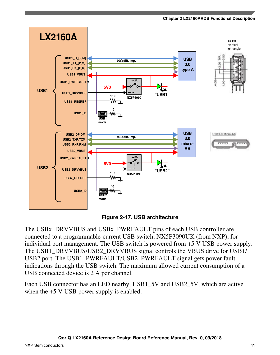<span id="page-40-0"></span>

**Figure 2-17. USB architecture**

The USBx\_DRVVBUS and USBx\_PWRFAULT pins of each USB controller are connected to a programmable-current USB switch, NX5P3090UK (from NXP), for individual port management. The USB switch is powered from +5 V USB power supply. The USB1\_DRVVBUS/USB2\_DRVVBUS signal controls the VBUS drive for USB1/ USB2 port. The USB1\_PWRFAULT/USB2\_PWRFAULT signal gets power fault indications through the USB switch. The maximum allowed current consumption of a USB connected device is 2 A per channel.

Each USB connector has an LED nearby, USB1\_5V and USB2\_5V, which are active when the  $+5$  V USB power supply is enabled.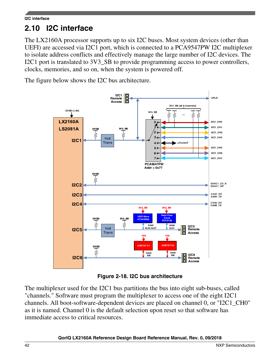# **2.10 I2C interface**

The LX2160A processor supports up to six I2C buses. Most system devices (other than UEFI) are accessed via I2C1 port, which is connected to a PCA9547PW I2C multiplexer to isolate address conflicts and effectively manage the large number of I2C devices. The I2C1 port is translated to 3V3\_SB to provide programming access to power controllers, clocks, memories, and so on, when the system is powered off.

The figure below shows the I2C bus architecture.



**Figure 2-18. I2C bus architecture**

The multiplexer used for the I2C1 bus partitions the bus into eight sub-buses, called "channels." Software must program the multiplexer to access one of the eight I2C1 channels. All boot-software-dependent devices are placed on channel 0, or "I2C1\_CH0" as it is named. Channel 0 is the default selection upon reset so that software has immediate access to critical resources.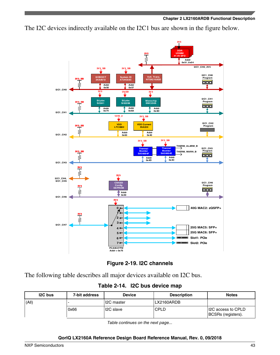The I2C devices indirectly available on the I2C1 bus are shown in the figure below.



**Figure 2-19. I2C channels**

The following table describes all major devices available on I2C bus.

**Table 2-14. I2C bus device map**

| <b>I2C bus</b> | 7-bit address | <b>Device</b> | <b>Description</b> | <b>Notes</b>                             |
|----------------|---------------|---------------|--------------------|------------------------------------------|
| (A  )          |               | 12C master    | LX2160ARDB         |                                          |
|                | 0x66          | 12C slave     | <b>CPLD</b>        | 12C access to CPLD<br>BCSRs (registers). |

*Table continues on the next page...*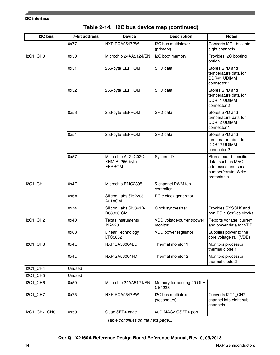#### **I2C interface**

| I2C bus         | 7-bit address | <b>Device</b>                                           | <b>Description</b>                   | <b>Notes</b>                                                                                               |
|-----------------|---------------|---------------------------------------------------------|--------------------------------------|------------------------------------------------------------------------------------------------------------|
|                 | 0x77          | NXP PCA9547PW                                           | I2C bus multiplexer<br>(primary)     | Converts I2C1 bus into<br>eight channels                                                                   |
| I2C1_CH0        | 0x50          | Microchip 24AA512-I/SN                                  | I2C boot memory                      | Provides I2C booting<br>option                                                                             |
|                 | 0x51          | 256-byte EEPROM                                         | SPD data                             | Stores SPD and<br>temperature data for<br>DDR#1 UDIMM<br>connector 1                                       |
|                 | 0x52          | 256-byte EEPROM                                         | SPD data                             | Stores SPD and<br>temperature data for<br>DDR#1 UDIMM<br>connector 2                                       |
|                 | 0x53          | 256-byte EEPROM                                         | SPD data                             | Stores SPD and<br>temperature data for<br>DDR#2 UDIMM<br>connector 1                                       |
|                 | 0x54          | 256-byte EEPROM                                         | SPD data                             | Stores SPD and<br>temperature data for<br>DDR#2 UDIMM<br>connector 2                                       |
|                 | 0x57          | Microchip AT24C02C-<br>XHM-B: 256-byte<br><b>EEPROM</b> | System ID                            | Stores board-specific<br>data, such as MAC<br>addresses and serial<br>number/errata. Write<br>protectable. |
| <b>I2C1_CH1</b> | 0x4D          | Microchip EMC2305                                       | 5-channel PWM fan<br>controller      |                                                                                                            |
|                 | 0x6A          | Silicon Labs Si52208-<br>A01AGM                         | PCIe clock generator                 |                                                                                                            |
|                 | 0x74          | Silicon Labs Si5341B-<br>D08333-GM                      | Clock synthesizer                    | Provides SYSCLK and<br>non-PCIe SerDes clocks                                                              |
| <b>I2C1_CH2</b> | 0x40          | <b>Texas Instruments</b><br><b>INA220</b>               | VDD voltage/current/power<br>monitor | Reports voltage, current,<br>and power data for VDD                                                        |
|                 | 0x63          | Linear Technology<br>LTC3882                            | VDD power regulator                  | Supplies power to the<br>core voltage rail (VDD)                                                           |
| <b>I2C1_CH3</b> | 0x4C          | NXP SA56004ED                                           | Thermal monitor 1                    | Monitors processor<br>thermal diode 1                                                                      |
|                 | 0x4D          | NXP SA56004FD                                           | Thermal monitor 2                    | Monitors processor<br>thermal diode 2                                                                      |
| I2C1_CH4        | Unused        |                                                         |                                      |                                                                                                            |
| <b>I2C1_CH5</b> | Unused        |                                                         |                                      |                                                                                                            |
| I2C1_CH6        | 0x50          | Microchip 24AA512-I/SN                                  | Memory for booting 40 GbE<br>CS4223  |                                                                                                            |
| I2C1_CH7        | 0x75          | NXP PCA9547PW                                           | I2C bus multiplexer<br>(secondary)   | Converts I2C1_CH7<br>channel into eight sub-<br>channels                                                   |
| I2C1_CH7_CH0    | 0x50          | Quad SFP+ cage                                          | 40G MAC2 QSFP+ port                  |                                                                                                            |

**Table 2-14. I2C bus device map (continued)**

*Table continues on the next page...*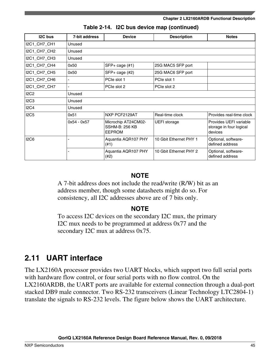#### **Chapter 2 LX2160ARDB Functional Description**

| <b>I2C bus</b> | 7-bit address | <b>Device</b>                                                 | <b>Description</b>     | <b>Notes</b>                                                 |  |  |  |
|----------------|---------------|---------------------------------------------------------------|------------------------|--------------------------------------------------------------|--|--|--|
| I2C1_CH7_CH1   | Unused        |                                                               |                        |                                                              |  |  |  |
| I2C1_CH7_CH2   | Unused        |                                                               |                        |                                                              |  |  |  |
| I2C1_CH7_CH3   | Unused        |                                                               |                        |                                                              |  |  |  |
| I2C1_CH7_CH4   | 0x50          | $SFP+ cage$ (#1)                                              | 25G MAC5 SFP port      |                                                              |  |  |  |
| I2C1_CH7_CH5   | 0x50          | SFP+ cage (#2)                                                | 25G MAC6 SFP port      |                                                              |  |  |  |
| I2C1 CH7 CH6   |               | PCIe slot 1                                                   | PCIe slot 1            |                                                              |  |  |  |
| I2C1_CH7_CH7   | ۰             | PCIe slot 2                                                   | PCIe slot 2            |                                                              |  |  |  |
| <b>I2C2</b>    | Unused        |                                                               |                        |                                                              |  |  |  |
| IC3            | Unused        |                                                               |                        |                                                              |  |  |  |
| I2C4           | Unused        |                                                               |                        |                                                              |  |  |  |
| I2C5           | 0x51          | NXP PCF2129AT                                                 | Real-time clock        | Provides real-time clock                                     |  |  |  |
|                | $0x54 - 0x57$ | Microchip AT24CM02-<br><b>SSHM-B: 256 KB</b><br><b>EEPROM</b> | <b>UEFI</b> storage    | Provides UEFI variable<br>storage in four logical<br>devices |  |  |  |
| <b>I2C6</b>    |               | Aquantia AQR107 PHY<br>(#1)                                   | 10 Gbit Ethernet PHY 1 | Optional, software-<br>defined address                       |  |  |  |
|                |               | Aquantia AQR107 PHY<br>(#2)                                   | 10 Gbit Ethernet PHY 2 | Optional, software-<br>defined address                       |  |  |  |

|  |  |  |  | Table 2-14. I2C bus device map (continued) |
|--|--|--|--|--------------------------------------------|
|--|--|--|--|--------------------------------------------|

### **NOTE**

A 7-bit address does not include the read/write (R/W) bit as an address member, though some datasheets might do so. For consistency, all I2C addresses above are of 7 bits only.

### **NOTE**

To access I2C devices on the secondary I2C mux, the primary I2C mux needs to be programmed at address 0x77 and the secondary I2C mux at address 0x75.

# **2.11 UART interface**

The LX2160A processor provides two UART blocks, which support two full serial ports with hardware flow control, or four serial ports with no flow control. On the LX2160ARDB, the UART ports are available for external connection through a dual-port stacked DB9 male connector. Two RS-232 transceivers (Linear Technology LTC2804-1) translate the signals to RS-232 levels. The figure below shows the UART architecture.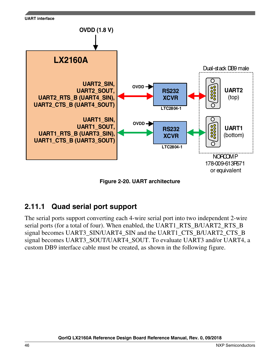

**Figure 2-20. UART architecture**

# **2.11.1 Quad serial port support**

The serial ports support converting each 4-wire serial port into two independent 2-wire serial ports (for a total of four). When enabled, the UART1\_RTS\_B/UART2\_RTS\_B signal becomes UART3\_SIN/UART4\_SIN and the UART1\_CTS\_B/UART2\_CTS\_B signal becomes UART3\_SOUT/UART4\_SOUT. To evaluate UART3 and/or UART4, a custom DB9 interface cable must be created, as shown in the following figure.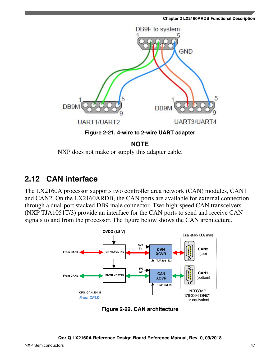#### **Chapter 2 LX2160ARDB Functional Description**



**NOTE** NXP does not make or supply this adapter cable.

# **2.12 CAN interface**

The LX2160A processor supports two controller area network (CAN) modules, CAN1 and CAN2. On the LX2160ARDB, the CAN ports are available for external connection through a dual-port stacked DB9 male connector. Two high-speed CAN transceivers (NXP TJA1051T/3) provide an interface for the CAN ports to send and receive CAN signals to and from the processor. The figure below shows the CAN architecture.



**Figure 2-22. CAN architecture**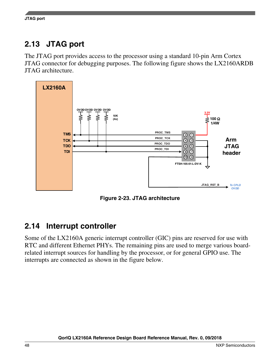# **2.13 JTAG port**

The JTAG port provides access to the processor using a standard 10-pin Arm Cortex JTAG connector for debugging purposes. The following figure shows the LX2160ARDB JTAG architecture.



**Figure 2-23. JTAG architecture**

# **2.14 Interrupt controller**

Some of the LX2160A generic interrupt controller (GIC) pins are reserved for use with RTC and different Ethernet PHYs. The remaining pins are used to merge various boardrelated interrupt sources for handling by the processor, or for general GPIO use. The interrupts are connected as shown in the figure below.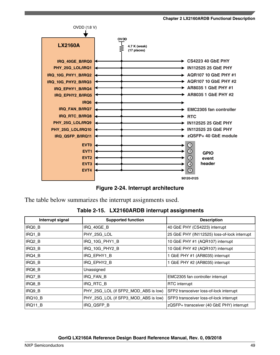#### **Chapter 2 LX2160ARDB Functional Description**



**Figure 2-24. Interrupt architecture**

The table below summarizes the interrupt assignments used.

|  | Table 2-15. LX2160ARDB interrupt assignments |
|--|----------------------------------------------|
|--|----------------------------------------------|

| Interrupt signal    | <b>Supported function</b>            | <b>Description</b>                           |  |
|---------------------|--------------------------------------|----------------------------------------------|--|
| IRQ0_B              | IRQ_40GE_B                           | 40 GbE PHY (CS4223) interrupt                |  |
| IRQ1_B              | PHY 25G LOL                          | 25 GbE PHY (IN112525) loss-of-lock interrupt |  |
| IRQ <sub>2_</sub> B | IRQ_10G_PHY1_B                       | 10 GbE PHY #1 (AQR107) interrupt             |  |
| IRQ3 B              | IRQ_10G_PHY2_B                       | 10 GbE PHY #2 (AQR107) interrupt             |  |
| IRQ4_B              | IRQ EPHY1 B                          | 1 GbE PHY #1 (AR8035) interrupt              |  |
| IRQ5_B              | IRQ EPHY2_B                          | 1 GbE PHY #2 (AR8035) interrupt              |  |
| IRQ6_B              | Unassigned                           |                                              |  |
| IRQ7_B              | IRQ FAN B                            | EMC2305 fan controller interrupt             |  |
| IRQ8 B              | IRQ RTC B                            | <b>RTC</b> interrupt                         |  |
| IRQ9_B              | PHY_25G_LOL (if SFP2_MOD_ABS is low) | SFP2 transceiver loss-of-lock interrupt      |  |
| IRQ10_B             | PHY_25G_LOL (if SFP3_MOD_ABS is low) | SFP3 transceiver loss-of-lock interrupt      |  |
| IRQ11_B             | IRQ_QSFP_B                           | zQSFP+ transceiver (40 GbE PHY) interrupt    |  |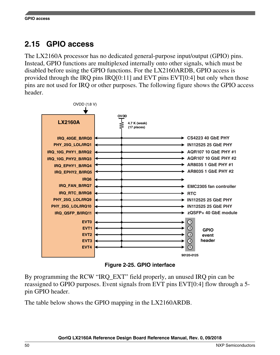# **2.15 GPIO access**

The LX2160A processor has no dedicated general-purpose input/output (GPIO) pins. Instead, GPIO functions are multiplexed internally onto other signals, which must be disabled before using the GPIO functions. For the LX2160ARDB, GPIO access is provided through the IRQ pins IRQ[0:11] and EVT pins EVT[0:4] but only when those pins are not used for IRQ or other purposes. The following figure shows the GPIO access header.



**Figure 2-25. GPIO interface**

By programming the RCW "IRQ EXT" field properly, an unused IRQ pin can be reassigned to GPIO purposes. Event signals from EVT pins EVT[0:4] flow through a 5 pin GPIO header.

The table below shows the GPIO mapping in the LX2160ARDB.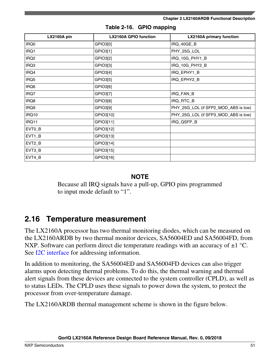| LX2160A pin      | <b>LX2160A GPIO function</b> | <b>LX2160A primary function</b>      |
|------------------|------------------------------|--------------------------------------|
| IRQ0             | GPIO3[0]                     | IRQ_40GE_B                           |
| IRQ1             | GPIO3[1]                     | PHY_25G_LOL                          |
| IRQ <sub>2</sub> | GPIO3[2]                     | IRQ_10G_PHY1_B                       |
| IRQ3             | GPIO3[3]                     | IRQ_10G_PHY2_B                       |
| IRQ4             | GPIO3[4]                     | IRQ_EPHY1_B                          |
| IRQ5             | GPIO3[5]                     | IRQ_EPHY2_B                          |
| IRQ6             | GPIO3[6]                     |                                      |
| IRQ7             | GPIO3[7]                     | IRQ_FAN_B                            |
| IRQ8             | GPIO3[8]                     | IRQ_RTC_B                            |
| IRQ9             | GPIO3[9]                     | PHY_25G_LOL (if SFP2_MOD_ABS is low) |
| IRQ10            | GPIO3[10]                    | PHY_25G_LOL (if SFP3_MOD_ABS is low) |
| IRQ11            | GPIO3[11]                    | IRQ_QSFP_B                           |
| EVT0_B           | GPIO3[12]                    |                                      |
| EVT1_B           | GPIO3[13]                    |                                      |
| EVT2_B           | GPIO3[14]                    |                                      |
| EVT3_B           | GPIO3[15]                    |                                      |
| EVT4_B           | GPIO3[16]                    |                                      |

### **Table 2-16. GPIO mapping**

### **NOTE**

Because all IRQ signals have a pull-up, GPIO pins programmed to input mode default to "1".

# **2.16 Temperature measurement**

The LX2160A processor has two thermal monitoring diodes, which can be measured on the LX2160ARDB by two thermal monitor devices, SA56004ED and SA56004FD, from NXP. Software can perform direct die temperature readings with an accuracy of  $\pm 1$  °C. See [I2C interface](#page-40-0) for addressing information.

In addition to monitoring, the SA56004ED and SA56004FD devices can also trigger alarms upon detecting thermal problems. To do this, the thermal warning and thermal alert signals from these devices are connected to the system controller (CPLD), as well as to status LEDs. The CPLD uses these signals to power down the system, to protect the processor from over-temperature damage.

The LX2160ARDB thermal management scheme is shown in the figure below.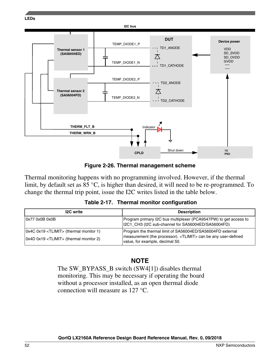



**Figure 2-26. Thermal management scheme**

Thermal monitoring happens with no programming involved. However, if the thermal limit, by default set as 85 °C, is higher than desired, it will need to be re-programmed. To change the thermal trip point, issue the I2C writes listed in the table below.

|  |  |  | Table 2-17. Thermal monitor configuration |
|--|--|--|-------------------------------------------|
|--|--|--|-------------------------------------------|

| <b>I2C</b> write                                                                                    | <b>Description</b>                                                                                                                                                      |  |  |
|-----------------------------------------------------------------------------------------------------|-------------------------------------------------------------------------------------------------------------------------------------------------------------------------|--|--|
| 0x77 0x0B 0x0B                                                                                      | Program primary I2C bus multiplexer (PCA9547PW) to get access to<br> I2C1_CH3 (I2C sub-channel for SA56004ED/SA56004FD)                                                 |  |  |
| 0x4C 0x19 <tlimit> (thermal monitor 1)<br/>0x4D 0x19 <tlimit> (thermal monitor 2)</tlimit></tlimit> | Program the thermal limit of SA56004ED/SA56004FD external<br>measurement (the processor). <tlimit> can be any user-defined<br/>value, for example, decimal 50.</tlimit> |  |  |

### **NOTE**

 monitoring. This may be necessary if operating the board The SW\_BYPASS\_B switch (SW4[1]) disables thermal without a processor installed, as an open thermal diode connection will measure as 127 °C.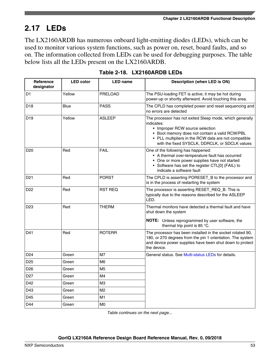# **2.17 LEDs**

The LX2160ARDB has numerous onboard light-emitting diodes (LEDs), which can be used to monitor various system functions, such as power on, reset, board faults, and so on. The information collected from LEDs can be used for debugging purposes. The table below lists all the LEDs present on the LX2160ARDB.

| Reference<br>designator | <b>LED color</b> | <b>LED</b> name | <b>Description (when LED is ON)</b>                                                                                                                                                                                                                                   |
|-------------------------|------------------|-----------------|-----------------------------------------------------------------------------------------------------------------------------------------------------------------------------------------------------------------------------------------------------------------------|
| D <sub>1</sub>          | Yellow           | PRELOAD         | The PSU-loading FET is active; it may be hot during<br>power-up or shortly afterward. Avoid touching this area.                                                                                                                                                       |
| D18                     | <b>Blue</b>      | <b>PASS</b>     | The CPLD has completed power and reset sequencing and<br>no errors are detected                                                                                                                                                                                       |
| D19                     | Yellow           | <b>ASLEEP</b>   | The processor has not exited Sleep mode, which generally<br>indicates:<br>• Improper RCW source selection<br>• Boot memory does not contain a valid RCW/PBL<br>• PLL multipliers in the RCW data are not compatible<br>with the fixed SYSCLK, DDRCLK, or SDCLK values |
| D <sub>20</sub>         | Red              | <b>FAIL</b>     | One of the following has happened:<br>• A thermal over-temperature fault has occurred<br>• One or more power supplies have not started<br>• Software has set the register CTL[0] (FAIL) to<br>indicate a software fault                                               |
| D <sub>21</sub>         | Red              | <b>PORST</b>    | The CPLD is asserting PORESET_B to the processor and<br>is in the process of restarting the system                                                                                                                                                                    |
| D <sub>22</sub>         | Red              | <b>RST REQ</b>  | The processor is asserting RESET_REQ_B. This is<br>typically due to the reasons described for the ASLEEP<br>LED.                                                                                                                                                      |
| D <sub>23</sub>         | Red              | <b>THERM</b>    | Thermal monitors have detected a thermal fault and have<br>shut down the system<br>NOTE: Unless reprogrammed by user software, the<br>thermal trip point is 85 °C.                                                                                                    |
| D41                     | Red              | <b>ROTERR</b>   | The processor has been installed in the socket rotated 90,<br>180, or 270 degrees from the pin 1 orientation. The system<br>and device power supplies have been shut down to protect<br>the device.                                                                   |
| D <sub>24</sub>         | Green            | M7              | General status. See Multi-status LEDs for details.                                                                                                                                                                                                                    |
| D <sub>25</sub>         | Green            | M <sub>6</sub>  |                                                                                                                                                                                                                                                                       |
| D <sub>26</sub>         | Green            | M <sub>5</sub>  |                                                                                                                                                                                                                                                                       |
| D <sub>27</sub>         | Green            | M4              |                                                                                                                                                                                                                                                                       |
| D42                     | Green            | MЗ              |                                                                                                                                                                                                                                                                       |
| D43                     | Green            | M <sub>2</sub>  |                                                                                                                                                                                                                                                                       |
| D45                     | Green            | M1              |                                                                                                                                                                                                                                                                       |
| D44                     | Green            | M <sub>0</sub>  |                                                                                                                                                                                                                                                                       |

**Table 2-18. LX2160ARDB LEDs**

*Table continues on the next page...*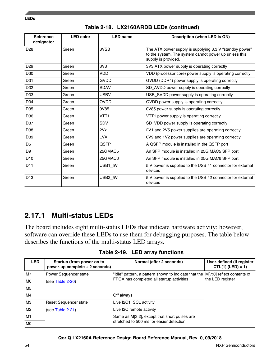<span id="page-53-0"></span>

| <b>Reference</b><br>designator | <b>LED color</b> | <b>LED</b> name  | <b>Description (when LED is ON)</b>                                                                                                     |
|--------------------------------|------------------|------------------|-----------------------------------------------------------------------------------------------------------------------------------------|
| D <sub>28</sub>                | Green            | 3VSB             | The ATX power supply is supplying 3.3 V "standby power"<br>to the system. The system cannot power up unless this<br>supply is provided. |
| D <sub>29</sub>                | Green            | 3V3              | 3V3 ATX power supply is operating correctly                                                                                             |
| D <sub>30</sub>                | Green            | <b>VDD</b>       | VDD (processor core) power supply is operating correctly                                                                                |
| D31                            | Green            | <b>GVDD</b>      | GVDD (DDR4) power supply is operating correctly                                                                                         |
| D32                            | Green            | <b>SDAV</b>      | SD_AVDD power supply is operating correctly                                                                                             |
| D33                            | Green            | <b>USBV</b>      | USB_SVDD power supply is operating correctly                                                                                            |
| D34                            | Green            | <b>OVDD</b>      | OVDD power supply is operating correctly                                                                                                |
| D35                            | Green            | 0V85             | 0V85 power supply is operating correctly                                                                                                |
| D36                            | Green            | VTT <sub>1</sub> | VTT1 power supply is operating correctly                                                                                                |
| D37                            | Green            | <b>SDV</b>       | SD_VDD power supply is operating correctly                                                                                              |
| D38                            | Green            | 2Vx              | 2V1 and 2V5 power supplies are operating correctly                                                                                      |
| D39                            | Green            | <b>LVX</b>       | 0V9 and 1V2 power supplies are operating correctly                                                                                      |
| D <sub>5</sub>                 | Green            | QSFP             | A QSFP module is installed in the QSFP port                                                                                             |
| D <sub>9</sub>                 | Green            | 25GMAC5          | An SFP module is installed in 25G MAC5 SFP port                                                                                         |
| D <sub>10</sub>                | Green            | 25GMAC6          | An SFP module is installed in 25G MAC6 SFP port                                                                                         |
| D <sub>11</sub>                | Green            | USB1_5V          | 5 V power is supplied to the USB #1 connector for external<br>devices                                                                   |
| D <sub>13</sub>                | Green            | <b>USB2 5V</b>   | 5 V power is supplied to the USB #2 connector for external<br>devices                                                                   |

**Table 2-18. LX2160ARDB LEDs (continued)**

## **2.17.1 Multi-status LEDs**

The board includes eight multi-status LEDs that indicate hardware activity; however, software can override these LEDs to use them for debugging purposes. The table below describes the functions of the multi-status LED arrays.

| Table 2-19. LED array functions |  |  |
|---------------------------------|--|--|
|---------------------------------|--|--|

| <b>LED</b>     | Startup (from power on to<br>power-up complete + 2 seconds) | Normal (after 2 seconds)                             | User-defined (if register<br>$CTL[1] (LED) = 1)$ |  |
|----------------|-------------------------------------------------------------|------------------------------------------------------|--------------------------------------------------|--|
| M7             | Power Sequencer state                                       | "Idle" pattern, a pattern shown to indicate that the | M[7:0] reflect contents of                       |  |
| M <sub>6</sub> | $(see Table 2-20)$                                          | FPGA has completed all startup activities            | the LED register                                 |  |
| M <sub>5</sub> |                                                             |                                                      |                                                  |  |
| M <sub>4</sub> |                                                             | Off always                                           |                                                  |  |
| M <sub>3</sub> | Reset Sequencer state                                       | Live I2C1_SCL activity                               |                                                  |  |
| M2             | $(see Table 2-21)$                                          | Live I2C remote activity                             |                                                  |  |
| M1             |                                                             | Same as M[3:2], except that short pulses are         |                                                  |  |
| M <sub>0</sub> |                                                             | stretched to 500 ms for easier detection             |                                                  |  |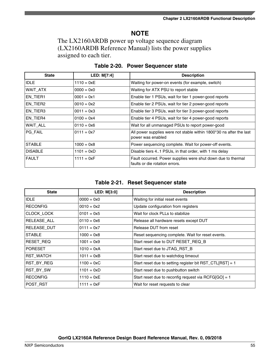### **NOTE**

<span id="page-54-0"></span>The LX2160ARDB power up voltage sequence diagram (LX2160ARDB Reference Manual) lists the power supplies assigned to each tier.

| <b>State</b>    | <b>LED: M[7:4]</b> | <b>Description</b>                                                                             |  |  |
|-----------------|--------------------|------------------------------------------------------------------------------------------------|--|--|
| <b>IDLE</b>     | $1110 = 0xE$       | Waiting for power-on events (for example, switch)                                              |  |  |
| WAIT ATX        | $0000 = 0x0$       | Waiting for ATX PSU to report stable                                                           |  |  |
| EN_TIER1        | $0001 = 0x1$       | Enable tier 1 PSUs, wait for tier 1 power-good reports                                         |  |  |
| EN_TIER2        | $0010 = 0x2$       | Enable tier 2 PSUs, wait for tier 2 power-good reports                                         |  |  |
| EN TIER3        | $0011 = 0x3$       | Enable tier 3 PSUs, wait for tier 3 power-good reports                                         |  |  |
| EN_TIER4        | $0100 = 0x4$       | Enable tier 4 PSUs, wait for tier 4 power-good reports                                         |  |  |
| <b>WAIT_ALL</b> | $0110 = 0x6$       | Wait for all unmanaged PSUs to report power-good                                               |  |  |
| PG FAIL         | $0111 = 0x7$       | All power supplies were not stable within 1800*30 ns after the last<br>power was enabled       |  |  |
| <b>STABLE</b>   | $1000 = 0x8$       | Power sequencing complete. Wait for power-off events.                                          |  |  |
| <b>DISABLE</b>  | $1101 = 0xD$       | Disable tiers 41 PSUs, in that order, with 1 ms delay                                          |  |  |
| <b>FAULT</b>    | $1111 = 0xF$       | Fault occurred. Power supplies were shut down due to thermal<br>faults or die rotation errors. |  |  |

**Table 2-20. Power Sequencer state**

| <b>State</b>    | <b>LED: M[3:0]</b>  | <b>Description</b>                                       |
|-----------------|---------------------|----------------------------------------------------------|
| <b>IDLE</b>     | $0000 = 0x0$        | Waiting for initial reset events                         |
| <b>RECONFIG</b> | $0010 = 0x2$        | Update configuration from registers                      |
| CLOCK LOCK      | $0101 = 0x5$        | Wait for clock PLLs to stabilize                         |
| RELEASE_ALL     | $0110 = 0x6$        | Release all hardware resets except DUT                   |
| RELEASE_DUT     | $0111 = 0x7$        | Release DUT from reset                                   |
| <b>STABLE</b>   | $1000 = 0x8$        | Reset sequencing complete. Wait for reset events.        |
| RESET_REQ       | $1001 = 0x9$        | Start reset due to DUT RESET_REQ_B                       |
| <b>PORESET</b>  | $1010 = 0xA$        | Start reset due to JTAG RST B                            |
| RST_WATCH       | $1011 = 0xB$        | Start reset due to watchdog timeout                      |
| RST_BY_REG      | $1100 = 0 \times C$ | Start reset due to setting register bit RST_CTL[RST] = 1 |
| RST_BY_SW       | $1101 = 0xD$        | Start reset due to pushbutton switch                     |
| <b>RECONFIG</b> | $1110 = 0xE$        | Start reset due to reconfig request via RCFG $[GO] = 1$  |
| POST RST        | $1111 = 0xF$        | Wait for reset requests to clear                         |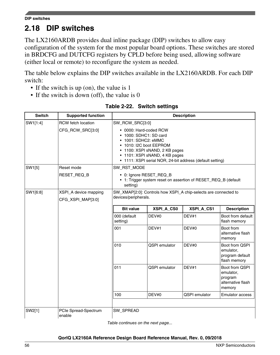# **2.18 DIP switches**

The LX2160ARDB provides dual inline package (DIP) switches to allow easy configuration of the system for the most popular board options. These switches are stored in BRDCFG and DUTCFG registers by CPLD before being used, allowing software (either local or remote) to reconfigure the system as needed.

The table below explains the DIP switches available in the LX2160ARDB. For each DIP switch:

- If the switch is up (on), the value is 1
- If the switch is down (off), the value is 0

| <b>Switch</b> | <b>Supported function</b>                  | <b>Description</b>                                                                                                                                                                                                                  |               |               |                                                                       |
|---------------|--------------------------------------------|-------------------------------------------------------------------------------------------------------------------------------------------------------------------------------------------------------------------------------------|---------------|---------------|-----------------------------------------------------------------------|
| SW1[1:4]      | <b>RCW</b> fetch location                  | SW_RCW_SRC[3:0]                                                                                                                                                                                                                     |               |               |                                                                       |
|               | CFG_RCW_SRC[3:0]                           | • 0000: Hard-coded RCW<br>• 1000: SDHC1: SD card<br>• 1001: SDHC2: eMMC<br>• 1010: I2C boot EEPROM<br>• 1100: XSPI sNAND, 2 KB pages<br>• 1101: XSPI sNAND, 4 KB pages<br>• 1111: XSPI serial NOR, 24-bit address (default setting) |               |               |                                                                       |
| SW1[5]        | Reset mode                                 | SW_RST_MODE                                                                                                                                                                                                                         |               |               |                                                                       |
|               | RESET_REQ_B                                | • 0: Ignore RESET_REQ_B<br>• 1: Trigger system reset on assertion of RESET_REQ_B (default<br>setting)                                                                                                                               |               |               |                                                                       |
| SW1[6:8]      | XSPI_A device mapping<br>CFG_XSPI_MAP[3:0] | SW_XMAP[2:0]: Controls how XSPI_A chip-selects are connected to<br>devices/peripherals.                                                                                                                                             |               |               |                                                                       |
|               |                                            | <b>Bit value</b><br>XSPI_A_CS0<br>XSPI A CS1<br><b>Description</b>                                                                                                                                                                  |               |               |                                                                       |
|               |                                            | 000 (default<br>setting)                                                                                                                                                                                                            | DEV#0         | DEV#1         | Boot from default<br>flash memory                                     |
|               |                                            | 001                                                                                                                                                                                                                                 | DEV#1         | DEV#0         | Boot from<br>alternative flash<br>memory                              |
|               |                                            | 010<br><b>QSPI</b> emulator<br>DEV#0<br>Boot from QSPI<br>emulator,<br>program default<br>flash memory                                                                                                                              |               |               |                                                                       |
|               |                                            | 011                                                                                                                                                                                                                                 | QSPI emulator | DEV#1         | Boot from QSPI<br>emulator,<br>program<br>alternative flash<br>memory |
|               |                                            | 100                                                                                                                                                                                                                                 | DEV#0         | QSPI emulator | <b>Emulator access</b>                                                |
|               |                                            |                                                                                                                                                                                                                                     |               |               |                                                                       |
| SW2[1]        | PCIe Spread-Spectrum<br>enable             | SW_SPREAD                                                                                                                                                                                                                           |               |               |                                                                       |

**Table 2-22. Switch settings**

*Table continues on the next page...*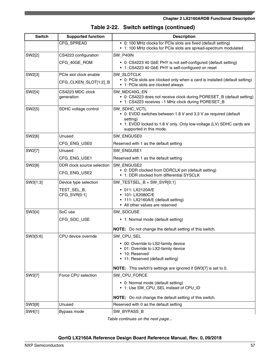#### **Chapter 2 LX2160ARDB Functional Description**

| rapie 2-22. Switch settings (continued) |                           |                                                                |  |
|-----------------------------------------|---------------------------|----------------------------------------------------------------|--|
| Switch                                  | <b>Supported function</b> | <b>Description</b>                                             |  |
|                                         | ICFG SPREAD               | • 0: 100 MHz clocks for PCIe slots are fixed (default setting) |  |
|                                         |                           | • 1: 100 MHz clocks for PCIe slots are spread-spectrum mo      |  |

|  | Table 2-22. Switch settings (continued) |  |
|--|-----------------------------------------|--|
|--|-----------------------------------------|--|

|                                      | CFG_SPREAD                     | • 0: 100 MHz clocks for PCIe slots are fixed (default setting)<br>• 1: 100 MHz clocks for PCIe slots are spread-spectrum modulated                                                             |  |
|--------------------------------------|--------------------------------|------------------------------------------------------------------------------------------------------------------------------------------------------------------------------------------------|--|
| SW2[2]                               | CS4223 configuration           | SW_P40IN                                                                                                                                                                                       |  |
|                                      | CFG_40GE_ROM                   | • 0: CS4223 40 GbE PHY is not self-configured (default setting)<br>• 1: CS4223 40 GbE PHY is self-configured on reset                                                                          |  |
| SW2[3]                               | PCIe slot clock enable         | SW_SLOTCLK                                                                                                                                                                                     |  |
|                                      | CFG_CLKEN_SLOT[1:2]_B          | • 0: PCIe slots are clocked only when a card is installed (default setting)<br>• 1: PCIe slots are clocked always                                                                              |  |
| SW2[4]                               | CS4223 MDC clock<br>generation | SW_MDC40G_EN<br>• 0: CS4223 does not receive clock during PORESET_B (default setting)<br>• 1: CS4223 receives ~1 MHz clock during PORESET_B                                                    |  |
| SW2[5]                               | SDHC voltage control           | SW_SDHC_VCTL<br>• 0: EVDD switches between 1.8 V and 3.3 V as required (default<br>setting)<br>• 1: EVDD locked to 1.8 V only. Only low-voltage (LV) SDHC cards are<br>supported in this mode. |  |
| SW2[6]                               | Unused                         | SW_ENGUSE0                                                                                                                                                                                     |  |
|                                      | CFG_ENG_USE0                   | Reserved with 1 as the default setting                                                                                                                                                         |  |
| SW2[7]                               | Unused                         | SW_ENGUSE1                                                                                                                                                                                     |  |
|                                      | CFG_ENG_USE1                   | Reserved with 1 as the default setting                                                                                                                                                         |  |
| SW2[8]<br>DDR clock source selection |                                | SW_ENGUSE2                                                                                                                                                                                     |  |
|                                      | CFG_ENG_USE2                   | • 0: DDR clocked from DDRCLK pin (default setting)<br>• 1: DDR clocked from differential SYSCLK                                                                                                |  |
| SW3[1:3]                             | Device type selection          | $SW_TESTSEL_B + SW_SVR[0:1]$                                                                                                                                                                   |  |
|                                      | TEST_SEL_B,<br>CFG_SVR[0:1]    | • 011: LX2120A/E<br>• 101: LX2080C/E<br>• 111: LX2160A/E (default setting)<br>• All other values are reserved                                                                                  |  |
| SW3[4]                               | SoC use                        | SW_SOCUSE                                                                                                                                                                                      |  |
|                                      | CFG_SOC_USE                    | • 1: Normal mode (default setting)                                                                                                                                                             |  |
|                                      |                                | NOTE: Do not change the default setting of this switch.                                                                                                                                        |  |
| SW3[5:6]                             | CPU device override            | SW_CPU_SEL                                                                                                                                                                                     |  |
|                                      |                                | • 00: Override to LS2-family device                                                                                                                                                            |  |
|                                      |                                | • 01: Override to LX2-family device<br>• 10: Reserved                                                                                                                                          |  |
|                                      |                                | • 11: Reserved (default setting)                                                                                                                                                               |  |
|                                      |                                | <b>NOTE:</b> This switch's settings are ignored if SW3[7] is set to 0.                                                                                                                         |  |
| SW3[7]                               | Force CPU selection            | SW_CPU_FORCE                                                                                                                                                                                   |  |
|                                      |                                | • 0: Normal mode (default setting)                                                                                                                                                             |  |
|                                      |                                | • 1: Use SW_CPU_SEL instead of CPU_ID                                                                                                                                                          |  |
|                                      |                                | NOTE: Do not change the default setting of this switch.                                                                                                                                        |  |
| SW3[8]                               | Unused                         | Reserved with 0 as the default setting                                                                                                                                                         |  |
| SW4[1]                               | Bypass mode                    | SW_BYPASS_B                                                                                                                                                                                    |  |

*Table continues on the next page...*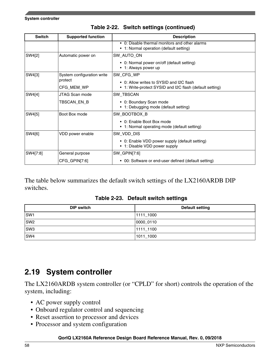| <b>Switch</b> | <b>Supported function</b>  | <b>Description</b>                                                                        |
|---------------|----------------------------|-------------------------------------------------------------------------------------------|
|               |                            | • 0: Disable thermal monitors and other alarms<br>• 1: Normal operation (default setting) |
| SW4[2]        | Automatic power on         | SW AUTO ON                                                                                |
|               |                            | • 0: Normal power on/off (default setting)<br>• 1: Always power up                        |
| SW4[3]        | System configuration write | SW CFG WP                                                                                 |
|               | protect                    | • 0: Allow writes to SYSID and I2C flash                                                  |
|               | CFG_MEM_WP                 | • 1: Write-protect SYSID and I2C flash (default setting)                                  |
| SW4[4]        | JTAG Scan mode             | SW_TBSCAN                                                                                 |
|               | TBSCAN EN B                | • 0: Boundary Scan mode<br>• 1: Debugging mode (default setting)                          |
| SW4[5]        | Boot Box mode              | SW BOOTBOX B                                                                              |
|               |                            | • 0: Enable Boot Box mode<br>• 1: Normal operating mode (default setting)                 |
| SW4[6]        | VDD power enable           | SW_VDD_DIS                                                                                |
|               |                            | • 0: Enable VDD power supply (default setting)<br>• 1: Disable VDD power supply           |
| SW4[7:8]      | General purpose            | SW_GPIN[7:6]                                                                              |
|               | CFG_GPIN[7:6]              | • 00: Software or end-user defined (default setting)                                      |

The table below summarizes the default switch settings of the LX2160ARDB DIP switches.

|  | Table 2-23. Default switch settings |
|--|-------------------------------------|
|--|-------------------------------------|

| <b>DIP switch</b> | <b>Default setting</b> |
|-------------------|------------------------|
| SW1               | 1111_1000              |
| SW <sub>2</sub>   | 0000 0110              |
| SW <sub>3</sub>   | 1111_1100              |
| SW4               | 1011_1000              |

# **2.19 System controller**

The LX2160ARDB system controller (or "CPLD" for short) controls the operation of the system, including:

- AC power supply control
- Onboard regulator control and sequencing
- Reset assertion to processor and devices
- Processor and system configuration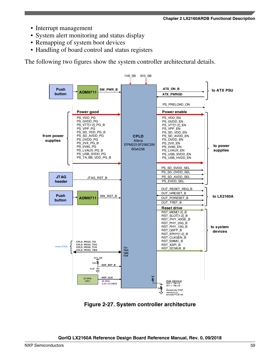- Interrupt management
- System alert monitoring and status display
- Remapping of system boot devices
- Handling of board control and status registers

The following two figures show the system controller architectural details.



**Figure 2-27. System controller architecture**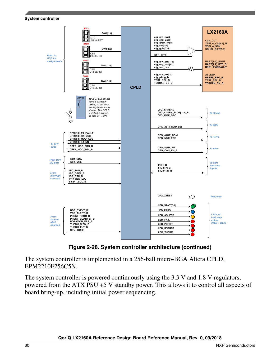



**Figure 2-28. System controller architecture (continued)**

The system controller is implemented in a 256-ball micro-BGA Altera CPLD, EPM2210F256C5N.

The system controller is powered continuously using the 3.3 V and 1.8 V regulators, powered from the ATX PSU +5 V standby power. This allows it to control all aspects of board bring-up, including initial power sequencing.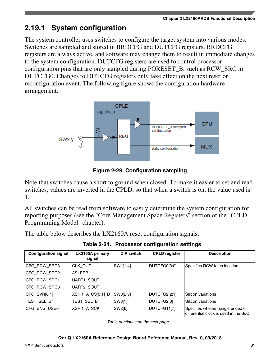# **2.19.1 System configuration**

The system controller uses switches to configure the target system into various modes. Switches are sampled and stored in BRDCFG and DUTCFG registers. BRDCFG registers are always active, and software may change them to result in immediate changes to the system configuration. DUTCFG registers are used to control processor configuration pins that are only sampled during PORESET\_B, such as RCW\_SRC in DUTCFG0. Changes to DUTCFG registers only take effect on the next reset or reconfiguration event. The following figure shows the configuration hardware arrangement.



**Figure 2-29. Configuration sampling**

Note that switches cause a short to ground when closed. To make it easier to set and read switches, values are inverted in the CPLD, so that when a switch is on, the value used is 1.

All switches can be read from software to easily determine the system configuration for reporting purposes (see the "Core Management Space Registers" section of the "CPLD Programming Model" chapter).

The table below describes the LX2160A reset configuration signals.

**Table 2-24. Processor configuration settings**

| <b>Configuration signal</b> | LX2160A primary<br>signal | <b>DIP</b> switch | <b>CPLD register</b> | <b>Description</b>                                                         |
|-----------------------------|---------------------------|-------------------|----------------------|----------------------------------------------------------------------------|
| CFG RCW SRC3                | ICLK OUT                  | SW1[1:4]          | DUTCFG0[3:0]         | Specifies RCW fetch location                                               |
| CFG RCW SRC2                | <b>ASLEEP</b>             |                   |                      |                                                                            |
| <b>CFG RCW SRC1</b>         | UART1_SOUT                |                   |                      |                                                                            |
| CFG RCW SRC0                | UART2_SOUT                |                   |                      |                                                                            |
| CFG_SVR[0:1]                | XSPI1_A_CS[0:1]_B         | SW3[2:3]          | DUTCFG2[2:1]         | Silicon variations                                                         |
| TEST_SEL_B <sup>1</sup>     | TEST_SEL_B                | SW3[1]            | DUTCFG2[0]           | Silicon variations                                                         |
| CFG_ENG_USE0                | XSPI1 A SCK               | SW2[6]            | DUTCFG11[7]          | Specifies whether single ended or<br>differential clock is used in the SoC |

*Table continues on the next page...*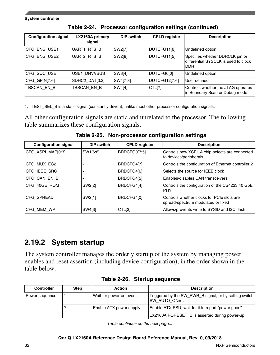<span id="page-61-0"></span>

| <b>Configuration signal</b> | LX2160A primary<br>signal | DIP switch    | <b>CPLD register</b> | <b>Description</b>                                                                    |
|-----------------------------|---------------------------|---------------|----------------------|---------------------------------------------------------------------------------------|
| CFG_ENG_USE1                | UART1_RTS_B               | SW2[7]        | DUTCFG11[6]          | Undefined option                                                                      |
| CFG ENG USE2                | UART2_RTS_B               | SW2[8]        | DUTCFG11[5]          | Specifies whether DDRCLK pin or<br>differential SYSCLK is used to clock<br><b>DDR</b> |
| CFG SOC USE                 | <b>USB1 DRVVBUS</b>       | <b>SW3[4]</b> | DUTCFG6[0]           | Undefined option                                                                      |
| CFG_GPIN[7:6]               | SDHC2_DAT[3:2]            | SW4[7:8]      | DUTCFG12[7:6]        | User defined                                                                          |
| TBSCAN EN B                 | TBSCAN EN B               | SW4[4]        | CTL[7]               | Controls whether the JTAG operates<br>in Boundary Scan or Debug mode                  |

**Table 2-24. Processor configuration settings (continued)**

1. TEST\_SEL\_B is a static signal (constantly driven), unlike most other processor configuration signals.

All other configuration signals are static and unrelated to the processor. The following table summarizes these configuration signals.

**Table 2-25. Non-processor configuration settings**

| <b>Configuration signal</b> | <b>DIP switch</b> | <b>CPLD register</b> | <b>Description</b>                                                               |
|-----------------------------|-------------------|----------------------|----------------------------------------------------------------------------------|
| CFG_XSPI_MAP[0:3]           | SW1[6:8]          | BRDCFG0[7:5]         | Controls how XSPI_A chip-selects are connected<br>to devices/peripherals         |
| CFG_MUX_EC2                 |                   | BRDCFG4[7]           | Controls the configuration of Ethernet controller 2                              |
| CFG_IEEE_SRC                |                   | BRDCFG4[6]           | Selects the source for IEEE clock                                                |
| CFG CAN EN B                |                   | BRDCFG4[5]           | Enables/disables CAN transceivers                                                |
| CFG 40GE ROM                | SW2[2]            | BRDCFG4[4]           | Controls the configuration of the CS4223 40 GbE<br><b>PHY</b>                    |
| CFG SPREAD                  | SW2[1]            | BRDCFG4[0]           | Controls whether clocks for PCIe slots are<br>spread-spectrum modulated or fixed |
| CFG MEM WP                  | SW4[3]            | CTL[3]               | Allows/prevents write to SYSID and I2C flash                                     |

# **2.19.2 System startup**

The system controller manages the orderly startup of the system by managing power enables and reset assertion (including device configuration), in the order shown in the table below.

| <b>Controller</b> | <b>Step</b> | <b>Action</b>            | <b>Description</b>                                                       |
|-------------------|-------------|--------------------------|--------------------------------------------------------------------------|
| Power sequencer   |             | Wait for power-on event. | Triggered by the SW_PWR_B signal, or by setting switch<br>ISW AUTO ON=1. |
|                   |             | Enable ATX power supply. | Enable ATX PSU, wait for it to report "power good".                      |
|                   |             |                          | LX2160A PORESET_B is asserted during power-up.                           |

**Table 2-26. Startup sequence**

*Table continues on the next page...*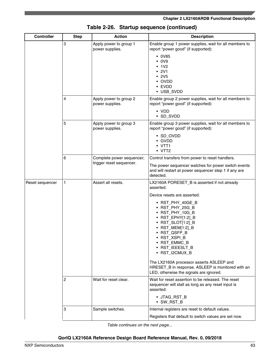#### **Chapter 2 LX2160ARDB Functional Description**

| <b>Controller</b> | <b>Step</b>    | <b>Action</b>                                         | <b>Description</b>                                                                                                                                                                                            |
|-------------------|----------------|-------------------------------------------------------|---------------------------------------------------------------------------------------------------------------------------------------------------------------------------------------------------------------|
|                   | 3              | Apply power to group 1<br>power supplies.             | Enable group 1 power supplies, wait for all members to<br>report "power good" (if supported):                                                                                                                 |
|                   |                |                                                       | $\bullet$ 0V85<br>0V9<br>$\cdot$ 1V2<br>$\cdot$ 2V1<br>$\cdot$ 2V5<br>• OVDD<br>• EVDD<br>• USB_SVDD                                                                                                          |
|                   | 4              | Apply power to group 2<br>power supplies.             | Enable group 2 power supplies, wait for all members to<br>report "power good" (if supported):                                                                                                                 |
|                   |                |                                                       | $\cdot$ VDD<br>• SD_SVDD                                                                                                                                                                                      |
|                   | 5              | Apply power to group 3<br>power supplies.             | Enable group 3 power supplies, wait for all members to<br>report "power good" (if supported):                                                                                                                 |
|                   |                |                                                       | • SD_OVDD<br>$\cdot$ GVDD<br>$\cdot$ VTT1<br>$\cdot$ VTT2                                                                                                                                                     |
|                   | 6              | Complete power sequencer;<br>trigger reset sequencer. | Control transfers from power to reset handlers.<br>The power sequencer watches for power switch events<br>and will restart at power sequencer step 1 if any are                                               |
| Reset sequencer   | 1              | Assert all resets.                                    | detected.<br>LX2160A PORESET_B is asserted if not already                                                                                                                                                     |
|                   |                |                                                       | asserted.                                                                                                                                                                                                     |
|                   |                |                                                       | Device resets are asserted:                                                                                                                                                                                   |
|                   |                |                                                       | • RST_PHY_40GE_B<br>• RST_PHY_25G_B<br>· RST_PHY_10G_B<br>• RST_EPHY[1:2]_B<br>$\cdot$ RST_SLOT[1:2]_B<br>• RST_MEM[1:2]_B<br>· RST_QSFP_B<br>RST_XSPI_B<br>• RST_EMMC_B<br>• RST_IEEESLT_B<br>• RST_I2CMUX_B |
|                   |                |                                                       | The LX2160A processor asserts ASLEEP and<br>HRESET_B in response. ASLEEP is monitored with an<br>LED, otherwise the signals are ignored.                                                                      |
|                   | $\overline{c}$ | Wait for reset clear.                                 | Wait for reset assertion to be released. The reset<br>sequencer will stall as long as any reset input is<br>asserted:                                                                                         |
|                   |                |                                                       | • JTAG_RST_B<br>$\cdot$ SW_RST_B                                                                                                                                                                              |
|                   | 3              | Sample switches.                                      | Internal registers are reset to default values.                                                                                                                                                               |
|                   |                |                                                       | Registers that default to switch values are set now.                                                                                                                                                          |

### **Table 2-26. Startup sequence (continued)**

*Table continues on the next page...*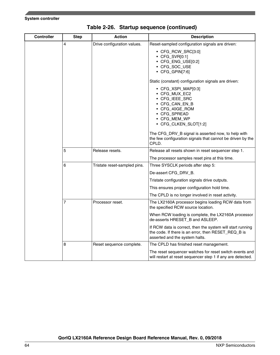| <b>Controller</b> | <b>Step</b>    | <b>Action</b>                | <b>Description</b>                                                                                                                                  |
|-------------------|----------------|------------------------------|-----------------------------------------------------------------------------------------------------------------------------------------------------|
|                   | 4              | Drive configuration values.  | Reset-sampled configuration signals are driven:                                                                                                     |
|                   |                |                              | • CFG_RCW_SRC[3:0]<br>• CFG_SVR[0:1]<br>• CFG_ENG_USE[0:2]<br>• CFG_SOC_USE<br>• CFG_GPIN[7:6]                                                      |
|                   |                |                              | Static (constant) configuration signals are driven:                                                                                                 |
|                   |                |                              | • CFG_XSPI_MAP[0:3]<br>• CFG MUX EC2<br>• CFG_IEEE_SRC<br>• CFG_CAN_EN_B<br>• CFG_40GE_ROM<br>• CFG_SPREAD<br>• CFG_MEM_WP<br>• CFG_CLKEN_SLOT[1:2] |
|                   |                |                              | The CFG_DRV_B signal is asserted now, to help with<br>the few configuration signals that cannot be driven by the<br>CPLD.                           |
|                   | 5              | Release resets.              | Release all resets shown in reset sequencer step 1.                                                                                                 |
|                   |                |                              | The processor samples reset pins at this time.                                                                                                      |
|                   | 6              | Tristate reset-sampled pins. | Three SYSCLK periods after step 5:                                                                                                                  |
|                   |                |                              | De-assert CFG_DRV_B.                                                                                                                                |
|                   |                |                              | Tristate configuration signals drive outputs.                                                                                                       |
|                   |                |                              | This ensures proper configuration hold time.                                                                                                        |
|                   |                |                              | The CPLD is no longer involved in reset activity.                                                                                                   |
|                   | $\overline{7}$ | Processor reset.             | The LX2160A processor begins loading RCW data from<br>the specified RCW source location.                                                            |
|                   |                |                              | When RCW loading is complete, the LX2160A processor<br>de-asserts HRESET_B and ASLEEP.                                                              |
|                   |                |                              | If RCW data is correct, then the system will start running<br>the code. If there is an error, then RESET_REQ_B is<br>asserted and the system halts. |
|                   | 8              | Reset sequence complete.     | The CPLD has finished reset management.                                                                                                             |
|                   |                |                              | The reset sequencer watches for reset switch events and<br>will restart at reset sequencer step 1 if any are detected.                              |

## **Table 2-26. Startup sequence (continued)**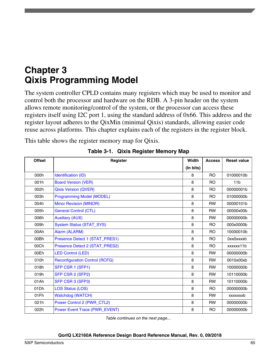# **Chapter 3 Qixis Programming Model**

The system controller CPLD contains many registers which may be used to monitor and control both the processor and hardware on the RDB. A 3-pin header on the system allows remote monitoring/control of the system, or the processor can access these registers itself using I2C port 1, using the standard address of 0x66. This address and the register layout adheres to the QixMin (minimal Qixis) standards, allowing easier code reuse across platforms. This chapter explains each of the registers in the register block.

This table shows the register memory map for Qixis.

| <b>Offset</b> | Register                              | Width     | <b>Access</b>  | <b>Reset value</b> |
|---------------|---------------------------------------|-----------|----------------|--------------------|
|               |                                       | (In bits) |                |                    |
| 000h          | Identification (ID)                   | 8         | <b>RO</b>      | 01000010b          |
| 001h          | <b>Board Version (VER)</b>            | 8         | RO.            | 11 <sub>b</sub>    |
| 002h          | <b>Qixis Version (QVER)</b>           | 8         | <b>RO</b>      | 00000001b          |
| 003h          | <b>Programming Model (MODEL)</b>      | 8         | <b>RO</b>      | 01000000b          |
| 004h          | <b>Minor Revision (MINOR)</b>         | 8         | <b>RW</b>      | 00000101b          |
| 005h          | <b>General Control (CTL)</b>          | 8         | <b>RW</b>      | 00000x00b          |
| 006h          | <b>Auxiliary (AUX)</b>                | 8         | <b>RW</b>      | 00000000b          |
| 009h          | <b>System Status (STAT_SYS)</b>       | 8         | <b>RO</b>      | 000x0000b          |
| 00Ah          | Alarm (ALARM)                         | 8         | <b>RO</b>      | 10000010b          |
| 00Bh          | Presence Detect 1 (STAT_PRES1)        | 8         | <b>RO</b>      | 0xx0xxxxb          |
| 00Ch          | Presence Detect 2 (STAT_PRES2)        | 8         | RO.            | xxxxxx11b          |
| 00Eh          | <b>LED Control (LED)</b>              | 8         | <b>RW</b>      | 00000000b          |
| 010h          | <b>Reconfiguration Control (RCFG)</b> | 8         | <b>RW</b>      | 0010x00xb          |
| 018h          | SFP CSR 1 (SFP1)                      | 8         | <b>RW</b>      | 10000000b          |
| 019h          | SFP CSR 2 (SFP2)                      | 8         | <b>RW</b>      | 10110000b          |
| 01Ah          | SFP CSR 3 (SFP3)                      | 8         | <b>RW</b>      | 10110000b          |
| 01Dh          | <b>LOS Status (LOS)</b>               | 8         | R <sub>O</sub> | 00000000b          |
| 01Fh          | <b>Watchdog (WATCH)</b>               | 8         | <b>RW</b>      | xxxxxxxb           |
| 021h          | Power Control 2 (PWR_CTL2)            | 8         | <b>RW</b>      | 00000000b          |
| 022h          | <b>Power Event Trace (PWR_EVENT)</b>  | 8         | R <sub>O</sub> | 00000000b          |

| Table 3-1. Qixis Register Memory Map |  |  |  |  |  |
|--------------------------------------|--|--|--|--|--|
|--------------------------------------|--|--|--|--|--|

*Table continues on the next page...*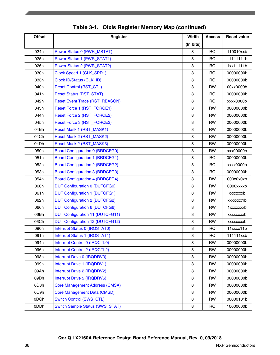| <b>Offset</b> | Register                               |           | <b>Access</b>  | <b>Reset value</b> |
|---------------|----------------------------------------|-----------|----------------|--------------------|
|               |                                        | (In bits) |                |                    |
| 024h          | <b>Power Status 0 (PWR_MSTAT)</b>      | 8         | <b>RO</b>      | 110010xxb          |
| 025h          | Power Status 1 (PWR_STAT1)             | 8         | <b>RO</b>      | 11111111b          |
| 026h          | Power Status 2 (PWR_STAT2)             | 8         | <b>RO</b>      | 1xx11111b          |
| 030h          | Clock Speed 1 (CLK_SPD1)               | 8         | <b>RO</b>      | 00000000b          |
| 033h          | Clock ID/Status (CLK_ID)               | 8         | <b>RO</b>      | 00000000b          |
| 040h          | <b>Reset Control (RST_CTL)</b>         | 8         | <b>RW</b>      | 00xx0000b          |
| 041h          | <b>Reset Status (RST_STAT)</b>         | 8         | <b>RO</b>      | 00000000b          |
| 042h          | <b>Reset Event Trace (RST_REASON)</b>  | 8         | <b>RO</b>      | xxxx0000b          |
| 043h          | Reset Force 1 (RST_FORCE1)             | 8         | <b>RW</b>      | 00000000b          |
| 044h          | Reset Force 2 (RST_FORCE2)             | 8         | <b>RW</b>      | 00000000b          |
| 045h          | Reset Force 3 (RST_FORCE3)             | 8         | <b>RW</b>      | 00000000b          |
| 04Bh          | Reset Mask 1 (RST_MASK1)               | 8         | <b>RW</b>      | 00000000b          |
| 04Ch          | Reset Mask 2 (RST_MASK2)               | 8         | <b>RW</b>      | 00000000b          |
| 04Dh          | Reset Mask 2 (RST_MASK3)               | 8         | RW             | 00000000b          |
| 050h          | <b>Board Configuration 0 (BRDCFG0)</b> | 8         | <b>RW</b>      | xxx00000b          |
| 051h          | <b>Board Configuration 1 (BRDCFG1)</b> | 8         | RO             | 00000000b          |
| 052h          | <b>Board Configuration 2 (BRDCFG2)</b> | 8         | RO             | xxxx0000b          |
| 053h          | <b>Board Configuration 3 (BRDCFG3)</b> | 8         | <b>RO</b>      | 00000000b          |
| 054h          | <b>Board Configuration 4 (BRDCFG4)</b> | 8         | <b>RW</b>      | 000x0x0xb          |
| 060h          | <b>DUT Configuration 0 (DUTCFG0)</b>   | 8         | <b>RW</b>      | 0000xxxxb          |
| 061h          | <b>DUT Configuration 1 (DUTCFG1)</b>   | 8         | <b>RW</b>      | xxxxxxxb           |
| 062h          | <b>DUT Configuration 2 (DUTCFG2)</b>   | 8         | <b>RW</b>      | xxxxxxx1b          |
| 066h          | <b>DUT Configuration 6 (DUTCFG6)</b>   | 8         | <b>RW</b>      | 1xxxxxxxb          |
| 06Bh          | <b>DUT Configuration 11 (DUTCFG11)</b> | 8         | <b>RW</b>      | xxxxxxxxb          |
| 06Ch          | <b>DUT Configuration 12 (DUTCFG12)</b> | 8         | <b>RW</b>      | xxxxxxxxb          |
| 090h          | Interrupt Status 0 (IRQSTAT0)          | 8         | R <sub>O</sub> | 11xxxx11b          |
| 091h          | Interrupt Status 1 (IRQSTAT1)          | 8         | <b>RO</b>      | 111111xxb          |
| 094h          | Interrupt Control 0 (IRQCTL0)          | 8         | RW             | 00000000b          |
| 096h          | Interrupt Control 2 (IRQCTL2)          | 8         | <b>RW</b>      | 00000000b          |
| 098h          | Interrupt Drive 0 (IRQDRV0)            | 8         | <b>RW</b>      | 00000000b          |
| 099h          | Interrupt Drive 1 (IRQDRV1)            | 8         | <b>RW</b>      | 00000000b          |
| 09Ah          | Interrupt Drive 2 (IRQDRV2)            | 8         | <b>RW</b>      | 00000000b          |
| 09Dh          | Interrupt Drive 5 (IRQDRV5)            | 8         | <b>RW</b>      | 00000000b          |
| 0D8h          | <b>Core Management Address (CMSA)</b>  | 8         | <b>RW</b>      | 00000000b          |
| 0D9h          | <b>Core Management Data (CMSD)</b>     | 8         | <b>RW</b>      | 00000000b          |
| 0DCh          | <b>Switch Control (SWS_CTL)</b>        | 8         | <b>RW</b>      | 00000101b          |
| 0DDh          | <b>Switch Sample Status (SWS_STAT)</b> | 8         | <b>RO</b>      | 10000000b          |

### **Table 3-1. Qixis Register Memory Map (continued)**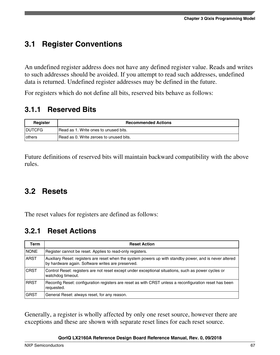# **3.1 Register Conventions**

An undefined register address does not have any defined register value. Reads and writes to such addresses should be avoided. If you attempt to read such addresses, undefined data is returned. Undefined register addresses may be defined in the future.

For registers which do not define all bits, reserved bits behave as follows:

## **3.1.1 Reserved Bits**

| Register       | <b>Recommended Actions</b>              |
|----------------|-----------------------------------------|
| <b>IDUTCFG</b> | Read as 1. Write ones to unused bits.   |
| lothers        | Read as 0. Write zeroes to unused bits. |

Future definitions of reserved bits will maintain backward compatibility with the above rules.

# **3.2 Resets**

The reset values for registers are defined as follows:

# **3.2.1 Reset Actions**

| Term        | <b>Reset Action</b>                                                                                                                                          |
|-------------|--------------------------------------------------------------------------------------------------------------------------------------------------------------|
| <b>NONE</b> | Register cannot be reset. Applies to read-only registers.                                                                                                    |
| <b>ARST</b> | Auxiliary Reset: registers are reset when the system powers up with standby power, and is never altered<br>by hardware again. Software writes are preserved. |
| <b>CRST</b> | Control Reset: registers are not reset except under exceptional situations, such as power cycles or<br>watchdog timeout.                                     |
| <b>RRST</b> | Reconfig Reset: configuration registers are reset as with CRST unless a reconfiguration reset has been<br>requested.                                         |
| <b>GRST</b> | General Reset: always reset, for any reason.                                                                                                                 |

Generally, a register is wholly affected by only one reset source, however there are exceptions and these are shown with separate reset lines for each reset source.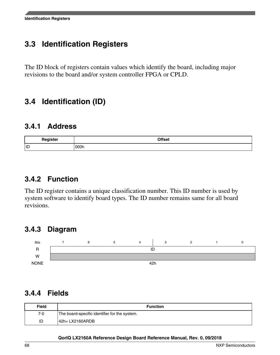# <span id="page-67-0"></span>**3.3 Identification Registers**

The ID block of registers contain values which identify the board, including major revisions to the board and/or system controller FPGA or CPLD.

# **3.4 Identification (ID)**

## **3.4.1 Address**

| <b>Donictor</b><br>⊥เ∿ษ<br>. | <b>つffset</b><br>. |
|------------------------------|--------------------|
| ID                           | 700h               |

## **3.4.2 Function**

The ID register contains a unique classification number. This ID number is used by system software to identify board types. The ID number remains same for all board revisions.

## **3.4.3 Diagram**



## **3.4.4 Fields**

| <b>Field</b> | <b>Function</b>                               |
|--------------|-----------------------------------------------|
| 7-0          | The board-specific identifier for the system. |
| ID           | 42h= LX2160ARDB                               |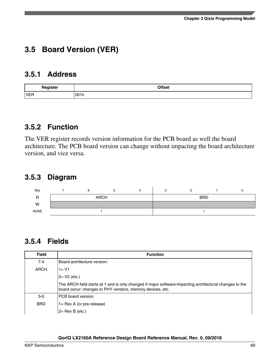# <span id="page-68-0"></span>**3.5 Board Version (VER)**

## **3.5.1 Address**

| Register        | <b>Offset</b> |
|-----------------|---------------|
| VER <sup></sup> | 001h          |

## **3.5.2 Function**

The VER register records version information for the PCB board as well the board architecture. The PCB board version can change without impacting the board architecture version, and vice versa.

## **3.5.3 Diagram**

| Bits        |  |             | 4 |  |            |  |
|-------------|--|-------------|---|--|------------|--|
| n           |  | <b>ARCH</b> |   |  | <b>BRD</b> |  |
| W           |  |             |   |  |            |  |
| <b>NONE</b> |  |             |   |  |            |  |

## **3.5.4 Fields**

| <b>Field</b> | <b>Function</b>                                                                                                                                                      |
|--------------|----------------------------------------------------------------------------------------------------------------------------------------------------------------------|
| $7 - 4$      | Board architecture version:                                                                                                                                          |
| ARCH         | $1 = VI$                                                                                                                                                             |
|              | 2 = V2 (etc.)                                                                                                                                                        |
|              | The ARCH field starts at 1 and is only changed if major software-impacting architectural changes to the<br>board occur: changes to PHY vendors, memory devices, etc. |
| $3-0$        | PCB board version:                                                                                                                                                   |
| <b>BRD</b>   | 1= Rev A (or pre-release)                                                                                                                                            |
|              | $2=$ Rev B (etc.)                                                                                                                                                    |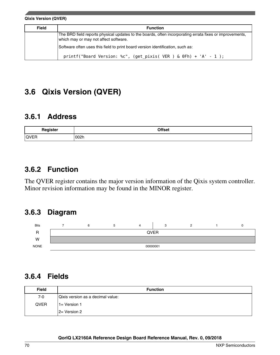#### <span id="page-69-0"></span>**Qixis Version (QVER)**

| <b>Field</b> | <b>Function</b>                                                                                                                                  |
|--------------|--------------------------------------------------------------------------------------------------------------------------------------------------|
|              | The BRD field reports physical updates to the boards, often incorporating errata fixes or improvements,<br>which may or may not affect software. |
|              | Software often uses this field to print board version identification, such as:                                                                   |
|              | printf("Board Version: $c$ ", (get_pixis( VER ) & OFh) + 'A' - 1 );                                                                              |

## **3.6 Qixis Version (QVER)**

## **3.6.1 Address**

| Register    | <b>Offset</b><br>. |
|-------------|--------------------|
| <b>QVER</b> | 002h               |

## **3.6.2 Function**

The QVER register contains the major version information of the Qixis system controller. Minor revision information may be found in the MINOR register.

### **3.6.3 Diagram**



### **3.6.4 Fields**

| Field | <b>Function</b>                   |
|-------|-----------------------------------|
| 7-0   | Qixis version as a decimal value: |
| QVER  | $1 = Version 1$                   |
|       | l 2= Version 2                    |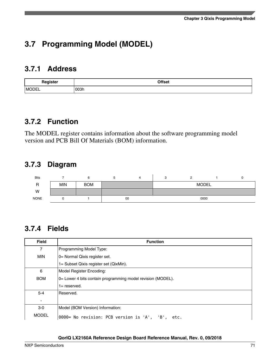# <span id="page-70-0"></span>**3.7 Programming Model (MODEL)**

## **3.7.1 Address**

| Register<br>ney | Offset |
|-----------------|--------|
| <b>MODEL</b>    | 003h   |

## **3.7.2 Function**

The MODEL register contains information about the software programming model version and PCB Bill Of Materials (BOM) information.

## **3.7.3 Diagram**

| <b>Bits</b> |            |            |    | 4 | $\sim$<br>v. |              |      |  |
|-------------|------------|------------|----|---|--------------|--------------|------|--|
| r<br>n      | <b>MIN</b> | <b>BOM</b> |    |   |              | <b>MODEL</b> |      |  |
| W           |            |            |    |   |              |              |      |  |
| <b>NONE</b> |            |            | 00 |   |              |              | 0000 |  |

# **3.7.4 Fields**

| <b>Field</b>   | <b>Function</b>                                             |
|----------------|-------------------------------------------------------------|
| $\overline{7}$ | Programming Model Type:                                     |
| <b>MIN</b>     | 0= Normal Qixis register set.                               |
|                | 1= Subset Qixis register set (QixMin).                      |
| 6              | Model Register Encoding:                                    |
| <b>BOM</b>     | 0= Lower 4 bits contain programming model revision (MODEL). |
|                | $1 =$ reserved.                                             |
| $5 - 4$        | Reserved.                                                   |
|                |                                                             |
| $3-0$          | Model (BOM Version) Information:                            |
| <b>MODEL</b>   | 0000= No revision: PCB version is 'A', 'B', etc.            |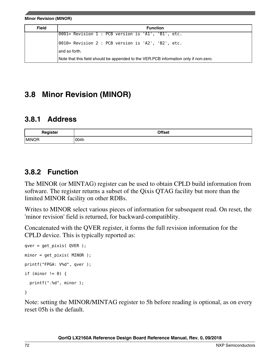```
Minor Revision (MINOR)
```

| <b>Field</b> | <b>Function</b>                                                                      |
|--------------|--------------------------------------------------------------------------------------|
|              | $ 0001$ = Revision $1:$ PCB version is 'A1', 'B1', etc.                              |
|              | $ 0010=$ Revision 2 : PCB version is 'A2', 'B2', etc.                                |
|              | land so forth.                                                                       |
|              | Note that this field should be appended to the VER.PCB information only if non-zero. |

# **3.8 Minor Revision (MINOR)**

## **3.8.1 Address**

| Register | <b>Offset</b> |
|----------|---------------|
| MINOR    | 004h          |

# **3.8.2 Function**

The MINOR (or MINTAG) register can be used to obtain CPLD build information from software. The register returns a subset of the Qixis QTAG facility but more than the limited MINOR facility on other RDBs.

Writes to MINOR select various pieces of information for subsequent read. On reset, the 'minor revision' field is returned, for backward-compatiblity.

Concatenated with the QVER register, it forms the full revision information for the CPLD device. This is typically reported as:

```
qver = get_pixis( QVER );
minor = get_pixis( MINOR );
printf("FPGA: V%d", qver );
if (minor != 0) {
   printf(".%d", minor );
}
```
Note: setting the MINOR/MINTAG register to 5h before reading is optional, as on every reset 05h is the default.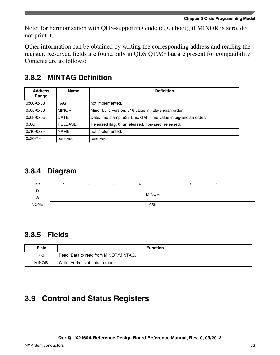Note: for harmonization with QDS-supporting code (e.g. uboot), if MINOR is zero, do not print it.

Other information can be obtained by writing the corresponding address and reading the register. Reserved fields are found only in QDS QTAG but are present for compatibility. Contents are as follows:

# **3.8.2 MINTAG Definition**

| <b>Address</b><br>Range | <b>Name</b>    | <b>Definition</b>                                             |  |  |  |  |
|-------------------------|----------------|---------------------------------------------------------------|--|--|--|--|
| 0x00-0x03               | TAG            | not implemented.                                              |  |  |  |  |
| 0x05-0x06               | <b>MINOR</b>   | Minor build version: u16 value in little-endian order.        |  |  |  |  |
| 0x08-0x0B               | <b>DATE</b>    | Date/time stamp: u32 Unix GMT time value in big-endian order. |  |  |  |  |
| 0x0C                    | <b>RELEASE</b> | Released flag: 0=unreleased, non-zero=released.               |  |  |  |  |
| 0x10-0x2F               | <b>NAMF</b>    | not implemented.                                              |  |  |  |  |
| 0x30-7F                 | reserved       | reserved                                                      |  |  |  |  |

## **3.8.4 Diagram**



# **3.8.5 Fields**

| <b>Field</b> | <b>Function</b>                              |  |  |  |
|--------------|----------------------------------------------|--|--|--|
| 7-0          | <b>Read: Data to read from MINOR/MINTAG.</b> |  |  |  |
| <b>MINOR</b> | Write: Address of data to read.              |  |  |  |

# **3.9 Control and Status Registers**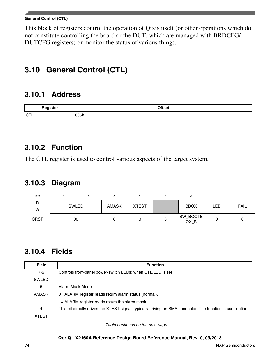**General Control (CTL)**

This block of registers control the operation of Qixis itself (or other operations which do not constitute controlling the board or the DUT, which are managed with BRDCFG/ DUTCFG registers) or monitor the status of various things.

# **3.10 General Control (CTL)**

## **3.10.1 Address**

| Register   | <b>Offset</b> |
|------------|---------------|
| <b>CTL</b> | 005h          |

#### **3.10.2 Function**

The CTL register is used to control various aspects of the target system.

#### **3.10.3 Diagram**

| <b>Bits</b>       |       |  |              |              |                  |     |             |
|-------------------|-------|--|--------------|--------------|------------------|-----|-------------|
| $\mathsf{R}$<br>W | SWLED |  | <b>AMASK</b> | <b>XTEST</b> | <b>BBOX</b>      | LED | <b>FAIL</b> |
| <b>CRST</b>       | 00    |  |              |              | SW_BOOTB<br>OX_B |     |             |

# **3.10.4 Fields**

| <b>Field</b> | <b>Function</b>                                                                                              |
|--------------|--------------------------------------------------------------------------------------------------------------|
| 7-6          | Controls front-panel power-switch LEDs: when CTL.LED is set                                                  |
| SWLED        |                                                                                                              |
| 5            | Alarm Mask Mode:                                                                                             |
| <b>AMASK</b> | 0 = ALARM register reads return alarm status (normal).                                                       |
|              | 1= ALARM register reads return the alarm mask.                                                               |
| 4            | This bit directly drives the XTEST signal, typically driving an SMA connector. The function is user-defined. |
| <b>XTEST</b> |                                                                                                              |

*Table continues on the next page...*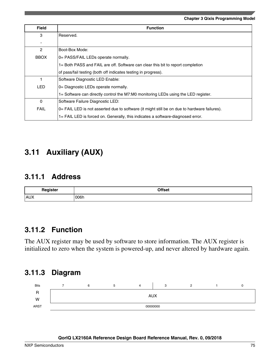#### **Chapter 3 Qixis Programming Model**

| <b>Field</b>  | <b>Function</b>                                                                              |
|---------------|----------------------------------------------------------------------------------------------|
| 3             | Reserved.                                                                                    |
|               |                                                                                              |
| $\mathcal{P}$ | Boot-Box Mode:                                                                               |
| <b>BBOX</b>   | 0= PASS/FAIL LEDs operate normally.                                                          |
|               | 1= Both PASS and FAIL are off. Software can clear this bit to report completion              |
|               | of pass/fail testing (both off indicates testing in progress).                               |
|               | Software Diagnostic LED Enable:                                                              |
| <b>LED</b>    | 0= Diagnostic LEDs operate normally.                                                         |
|               | 1= Software can directly control the M7:M0 monitoring LEDs using the LED register.           |
| $\mathbf{0}$  | Software Failure Diagnostic LED:                                                             |
| <b>FAIL</b>   | 0= FAIL LED is not asserted due to software (it might still be on due to hardware failures). |
|               | 1= FAIL LED is forced on. Generally, this indicates a software-diagnosed error.              |

# **3.11 Auxiliary (AUX)**

#### **3.11.1 Address**

| Register   | <b>Offset</b> |
|------------|---------------|
| <b>AUX</b> | 006h          |

#### **3.11.2 Function**

The AUX register may be used by software to store information. The AUX register is initialized to zero when the system is powered-up, and never altered by hardware again.

#### **3.11.3 Diagram**

| <b>Bits</b> | 6 | 4          | ≏<br>رب |  | u |
|-------------|---|------------|---------|--|---|
| B           |   | <b>AUX</b> |         |  |   |
| W           |   |            |         |  |   |
| ARST        |   | 00000000   |         |  |   |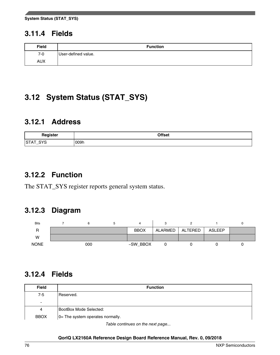# **3.11.4 Fields**

| <b>Field</b> | <b>Function</b>     |
|--------------|---------------------|
| $7-0$        | User-defined value. |
| <b>AUX</b>   |                     |

# **3.12 System Status (STAT\_SYS)**

#### **3.12.1 Address**

| <b>Dogictor</b><br>nstel<br><br>---- | <b>Offset</b><br>. |
|--------------------------------------|--------------------|
| ovo<br>!S1<br>È                      | 009h               |

#### **3.12.2 Function**

The STAT\_SYS register reports general system status.

#### **3.12.3 Diagram**

| <b>Bits</b> |     |             |                |         |               |  |
|-------------|-----|-------------|----------------|---------|---------------|--|
| R           |     | <b>BBOX</b> | <b>ALARMED</b> | ALTERED | <b>ASLEEP</b> |  |
| W           |     |             |                |         |               |  |
| <b>NONE</b> | 000 | ~SW_BBOX    |                |         |               |  |

## **3.12.4 Fields**

| <b>Field</b>             | <b>Function</b>                     |
|--------------------------|-------------------------------------|
| $7-5$                    | Reserved.                           |
| $\overline{\phantom{0}}$ |                                     |
| 4                        | BootBox Mode Selected:              |
| <b>BBOX</b>              | $ 0=$ The system operates normally. |

*Table continues on the next page...*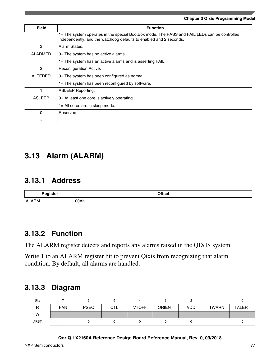| <b>Field</b>   | <b>Function</b>                                                                                                                                                    |
|----------------|--------------------------------------------------------------------------------------------------------------------------------------------------------------------|
|                | 1= The system operates in the special BootBox mode. The PASS and FAIL LEDs can be controlled<br>independently, and the watchdog defaults to enabled and 2 seconds. |
| 3              | Alarm Status:                                                                                                                                                      |
| ALARMED        | 0= The system has no active alarms.                                                                                                                                |
|                | 1= The system has an active alarms and is asserting FAIL.                                                                                                          |
| $\overline{c}$ | <b>Reconfiguration Active:</b>                                                                                                                                     |
| <b>ALTERED</b> | 0= The system has been configured as normal.                                                                                                                       |
|                | 1= The system has been reconfigured by software.                                                                                                                   |
|                | <b>ASLEEP Reporting:</b>                                                                                                                                           |
| <b>ASLEEP</b>  | $0=$ At least one core is actively operating.                                                                                                                      |
|                | 1= All cores are in sleep mode.                                                                                                                                    |
| $\Omega$       | Reserved.                                                                                                                                                          |
|                |                                                                                                                                                                    |

# **3.13 Alarm (ALARM)**

#### **3.13.1 Address**

| Register     | <b>Offset</b> |
|--------------|---------------|
| <b>ALARM</b> | 00Ah          |

#### **3.13.2 Function**

The ALARM register detects and reports any alarms raised in the QIXIS system.

Write 1 to an ALARM register bit to prevent Qixis from recognizing that alarm condition. By default, all alarms are handled.

#### **3.13.3 Diagram**

| <b>Bits</b> |            |             |            |              |               |            |              |               |
|-------------|------------|-------------|------------|--------------|---------------|------------|--------------|---------------|
|             | <b>FAN</b> | <b>PSEQ</b> | <b>CTL</b> | <b>VTOFF</b> | <b>ORIENT</b> | <b>VDD</b> | <b>TWARN</b> | <b>TALERT</b> |
| W           |            |             |            |              |               |            |              |               |
| <b>ARST</b> |            |             |            |              |               |            |              |               |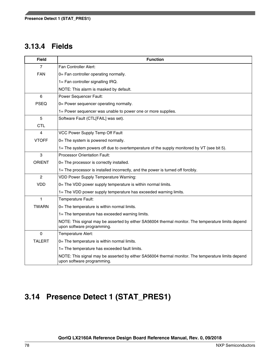## **3.13.4 Fields**

| <b>Field</b>   | <b>Function</b>                                                                                                                  |  |  |  |  |
|----------------|----------------------------------------------------------------------------------------------------------------------------------|--|--|--|--|
| 7              | Fan Controller Alert:                                                                                                            |  |  |  |  |
| <b>FAN</b>     | 0= Fan controller operating normally.                                                                                            |  |  |  |  |
|                | 1= Fan controller signalling IRQ.                                                                                                |  |  |  |  |
|                | NOTE: This alarm is masked by default.                                                                                           |  |  |  |  |
| 6              | <b>Power Sequencer Fault:</b>                                                                                                    |  |  |  |  |
| <b>PSEQ</b>    | 0= Power sequencer operating normally.                                                                                           |  |  |  |  |
|                | 1= Power sequencer was unable to power one or more supplies.                                                                     |  |  |  |  |
| 5              | Software Fault (CTL[FAIL] was set).                                                                                              |  |  |  |  |
| <b>CTL</b>     |                                                                                                                                  |  |  |  |  |
| 4              | VCC Power Supply Temp Off Fault                                                                                                  |  |  |  |  |
| <b>VTOFF</b>   | 0= The system is powered normally.                                                                                               |  |  |  |  |
|                | 1= The system powers off due to overtemperature of the supply monitored by VT (see bit 5).                                       |  |  |  |  |
| 3              | <b>Processor Orientation Fault:</b>                                                                                              |  |  |  |  |
| <b>ORIENT</b>  | 0= The processor is correctly installed.                                                                                         |  |  |  |  |
|                | 1= The processor is installed incorrectly, and the power is turned off forcibly.                                                 |  |  |  |  |
| $\overline{2}$ | VDD Power Supply Temperature Warning:                                                                                            |  |  |  |  |
| <b>VDD</b>     | 0= The VDD power supply temperature is within normal limits.                                                                     |  |  |  |  |
|                | 1= The VDD power supply temperature has exceeded warning limits.                                                                 |  |  |  |  |
| 1              | Temperature Fault:                                                                                                               |  |  |  |  |
| <b>TWARN</b>   | 0= The temperature is within normal limits.                                                                                      |  |  |  |  |
|                | 1= The temperature has exceeded warning limits.                                                                                  |  |  |  |  |
|                | NOTE: This signal may be asserted by either SA56004 thermal monitor. The temperature limits depend<br>upon software programming. |  |  |  |  |
| $\mathbf 0$    | Temperature Alert:                                                                                                               |  |  |  |  |
| <b>TALERT</b>  | 0= The temperature is within normal limits.                                                                                      |  |  |  |  |
|                | 1= The temperature has exceeded fault limits.                                                                                    |  |  |  |  |
|                | NOTE: This signal may be asserted by either SA56004 thermal monitor. The temperature limits depend<br>upon software programming. |  |  |  |  |

# **3.14 Presence Detect 1 (STAT\_PRES1)**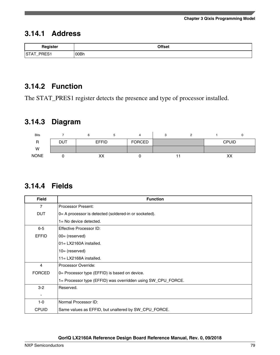#### **3.14.1 Address**

| Register                              | <b>Offset</b> |
|---------------------------------------|---------------|
| PRES1<br>.c T<br>ا ب∟ا<br>והוטן<br>—- | 00Bh          |

## **3.14.2 Function**

The STAT\_PRES1 register detects the presence and type of processor installed.

## **3.14.3 Diagram**



#### **3.14.4 Fields**

| <b>Field</b>   | <b>Function</b>                                              |
|----------------|--------------------------------------------------------------|
| $\overline{7}$ | <b>Processor Present:</b>                                    |
| <b>DUT</b>     | 0= A processor is detected (soldered-in or socketed).        |
|                | $1 = No$ device detected.                                    |
| $6 - 5$        | Effective Processor ID:                                      |
| <b>EFFID</b>   | $00=$ (reserved)                                             |
|                | $01 = LX2160A$ installed.                                    |
|                | $10=$ (reserved)                                             |
|                | $11 = LX2168A$ installed.                                    |
| 4              | Processor Override:                                          |
| <b>FORCED</b>  | 0= Processor type (EFFID) is based on device.                |
|                | 1= Processor type (EFFID) was overridden using SW_CPU_FORCE. |
| $3-2$          | Reserved.                                                    |
|                |                                                              |
| $1-0$          | Normal Processor ID:                                         |
| <b>CPUID</b>   | Same values as EFFID, but unaltered by SW_CPU_FORCE.         |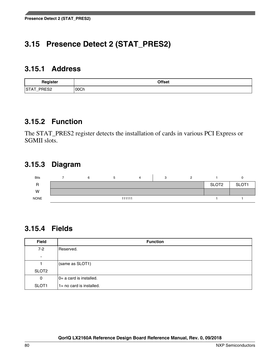# **3.15 Presence Detect 2 (STAT\_PRES2)**

#### **3.15.1 Address**

| Register                     | <b>Offset</b> |
|------------------------------|---------------|
| <b>Reg</b>                   | ------        |
| pproo<br>. Q7<br>והוט<br>-94 | 00Ch          |

#### **3.15.2 Function**

The STAT\_PRES2 register detects the installation of cards in various PCI Express or SGMII slots.

#### **3.15.3 Diagram**

| <b>Bits</b> |  |        | 4 | ◠<br>v. |                   |       |
|-------------|--|--------|---|---------|-------------------|-------|
| R           |  |        |   |         | SLOT <sub>2</sub> | SLOT1 |
| W           |  |        |   |         |                   |       |
| <b>NONE</b> |  | 111111 |   |         |                   |       |

## **3.15.4 Fields**

| <b>Field</b>             | <b>Function</b>             |
|--------------------------|-----------------------------|
| $7 - 2$                  | Reserved.                   |
| $\overline{\phantom{a}}$ |                             |
|                          | (same as SLOT1)             |
| SLOT <sub>2</sub>        |                             |
| 0                        | $0 = a$ card is installed.  |
| SLOT <sub>1</sub>        | $1 = no$ card is installed. |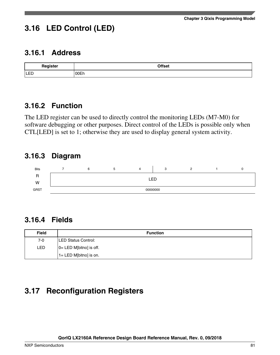# **3.16 LED Control (LED)**

#### **3.16.1 Address**

| oqister∼<br>ney. | <b>Offset</b> |
|------------------|---------------|
| <b>LED</b>       | 00Eh          |

# **3.16.2 Function**

The LED register can be used to directly control the monitoring LEDs (M7-M0) for software debugging or other purposes. Direct control of the LEDs is possible only when CTL[LED] is set to 1; otherwise they are used to display general system activity.

#### **3.16.3 Diagram**

| <b>Bits</b> | 6 | u | 4          | v. |  | U |
|-------------|---|---|------------|----|--|---|
| P<br>. .    |   |   | <b>LED</b> |    |  |   |
| W           |   |   |            |    |  |   |
| <b>GRST</b> |   |   | 00000000   |    |  |   |

# **3.16.4 Fields**

| <b>Field</b> | <b>Function</b>            |
|--------------|----------------------------|
| 7-0          | <b>LED Status Control:</b> |
| LED          | $ 0=$ LED M[bitno] is off. |
|              | 1= LED M[bitno] is on.     |

# **3.17 Reconfiguration Registers**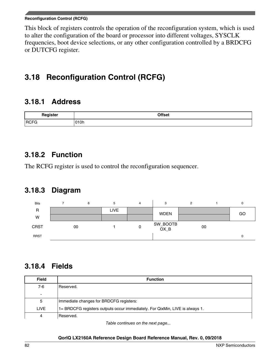#### **Reconfiguration Control (RCFG)**

This block of registers controls the operation of the reconfiguration system, which is used to alter the configuration of the board or processor into different voltages, SYSCLK frequencies, boot device selections, or any other configuration controlled by a BRDCFG or DUTCFG register.

# **3.18 Reconfiguration Control (RCFG)**

#### **3.18.1 Address**

| Register<br>⊥เ∿ษ<br>. | <b>Offset</b><br>. |
|-----------------------|--------------------|
| <b>RCF</b>            | 210h               |

#### **3.18.2 Function**

The RCFG register is used to control the reconfiguration sequencer.

## **3.18.3 Diagram**

| <b>Bits</b> |    | 6 | 5    | $\overline{4}$ | 3                | 2 |    |    |
|-------------|----|---|------|----------------|------------------|---|----|----|
| R           |    |   | LIVE |                | <b>WDEN</b>      |   |    | GO |
| W           |    |   |      |                |                  |   |    |    |
| <b>CRST</b> | 00 |   |      | 0              | SW_BOOTB<br>OX_B |   | 00 |    |
| <b>RRST</b> |    |   |      |                |                  |   |    |    |

#### **3.18.4 Fields**

| <b>Field</b>             | <b>Function</b>                                                              |
|--------------------------|------------------------------------------------------------------------------|
| $7-6$                    | Reserved.                                                                    |
| $\overline{\phantom{a}}$ |                                                                              |
| 5                        | Immediate changes for BRDCFG registers:                                      |
| <b>LIVE</b>              | 1= BRDCFG registers outputs occur immediately. For QixMin, LIVE is always 1. |
| 4                        | Reserved.                                                                    |

*Table continues on the next page...*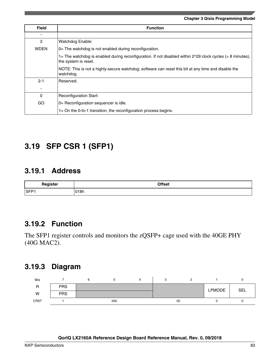| <b>Field</b> | <b>Function</b>                                                                                                                    |
|--------------|------------------------------------------------------------------------------------------------------------------------------------|
|              |                                                                                                                                    |
| 3            | Watchdog Enable:                                                                                                                   |
| <b>WDEN</b>  | 0= The watchdog is not enabled during reconfiguration.                                                                             |
|              | 1= The watchdog is enabled during reconfiguration. If not disabled within 2^29 clock cycles (> 8 minutes),<br>the system is reset. |
|              | NOTE: This is not a highly-secure watchdog; software can reset this bit at any time and disable the<br>watchdog.                   |
| $2 - 1$      | Reserved.                                                                                                                          |
|              |                                                                                                                                    |
| 0            | <b>Reconfiguration Start:</b>                                                                                                      |
| GO           | 0= Reconfiguration sequencer is idle.                                                                                              |
|              | 1= On the 0-to-1 transition, the reconfiguration process begins.                                                                   |

# **3.19 SFP CSR 1 (SFP1)**

#### **3.19.1 Address**

| Register         | <b>Offset</b> |
|------------------|---------------|
| SFP <sup>-</sup> | 018h          |

## **3.19.2 Function**

The SFP1 register controls and monitors the zQSFP+ cage used with the 40GE PHY (40G MAC2).

## **3.19.3 Diagram**

| <b>Bits</b> |            |     | 4 | ີ<br>ບ |               |            |
|-------------|------------|-----|---|--------|---------------|------------|
| R           | <b>PRS</b> |     |   |        | <b>LPMODE</b> | <b>SEL</b> |
| W           | <b>PRS</b> |     |   |        |               |            |
| CRST        |            | 000 |   | 00     |               |            |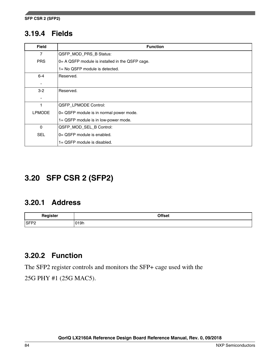# **3.19.4 Fields**

| <b>Field</b>   | <b>Function</b>                                 |
|----------------|-------------------------------------------------|
| $\overline{7}$ | QSFP_MOD_PRS_B Status:                          |
| <b>PRS</b>     | 0= A QSFP module is installed in the QSFP cage. |
|                | 1= No QSFP module is detected.                  |
| $6 - 4$        | Reserved.                                       |
|                |                                                 |
| $3 - 2$        | Reserved.                                       |
|                |                                                 |
| 1              | <b>QSFP LPMODE Control:</b>                     |
| <b>LPMODE</b>  | 0= QSFP module is in normal power mode.         |
|                | 1= QSFP module is in low-power mode.            |
| $\mathbf 0$    | QSFP_MOD_SEL_B Control:                         |
| <b>SEL</b>     | $0 = QSFP$ module is enabled.                   |
|                | $1 =$ OSFP module is disabled.                  |

# **3.20 SFP CSR 2 (SFP2)**

#### **3.20.1 Address**

| Donieter i<br><br>$  -$           | <b>Offset</b><br>. |
|-----------------------------------|--------------------|
| <b>CED</b> <sup></sup><br>יש<br>_ | ገ19h               |

## **3.20.2 Function**

The SFP2 register controls and monitors the SFP+ cage used with the

25G PHY #1 (25G MAC5).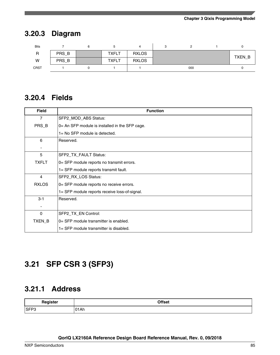## **3.20.3 Diagram**

| <b>Bits</b> |       |              |              | ບ |     |        |
|-------------|-------|--------------|--------------|---|-----|--------|
| R           | PRS_B | <b>TXFLT</b> | <b>RXLOS</b> |   |     | TXEN_B |
| W           | PRS_B | <b>TXFLT</b> | <b>RXLOS</b> |   |     |        |
| CRST        |       |              |              |   | 000 |        |

## **3.20.4 Fields**

| <b>Field</b>   | <b>Function</b>                                |
|----------------|------------------------------------------------|
| $\overline{7}$ | SFP2_MOD_ABS Status:                           |
| PRS_B          | 0= An SFP module is installed in the SFP cage. |
|                | 1= No SFP module is detected.                  |
| 6              | Reserved.                                      |
|                |                                                |
| 5              | SFP2_TX_FAULT Status:                          |
| <b>TXFLT</b>   | 0= SFP module reports no transmit errors.      |
|                | 1= SFP module reports transmit fault.          |
| 4              | SFP2_RX_LOS Status:                            |
| <b>RXLOS</b>   | 0= SFP module reports no receive errors.       |
|                | 1= SFP module reports receive loss-of-signal.  |
| $3 - 1$        | Reserved.                                      |
|                |                                                |
| 0              | SFP2_TX_EN Control:                            |
| TXEN_B         | 0= SFP module transmitter is enabled.          |
|                | 1= SFP module transmitter is disabled.         |

# **3.21 SFP CSR 3 (SFP3)**

# **3.21.1 Address**

| Register         | <b>Offset</b> |
|------------------|---------------|
| SFP <sub>3</sub> | 01Ah          |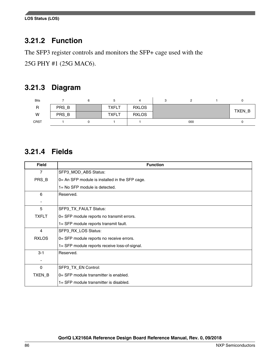#### **3.21.2 Function**

The SFP3 register controls and monitors the SFP+ cage used with the

25G PHY #1 (25G MAC6).

## **3.21.3 Diagram**

| <b>Bits</b> |       |       |              | 3 |     |        |
|-------------|-------|-------|--------------|---|-----|--------|
| D<br>n      | PRS_B | TXFLT | <b>RXLOS</b> |   |     | TXEN_B |
| W           | PRS_B | TXFLT | <b>RXLOS</b> |   |     |        |
| <b>CRST</b> |       |       |              |   | 000 |        |

#### **3.21.4 Fields**

| <b>Field</b>   | <b>Function</b>                                |
|----------------|------------------------------------------------|
| $\overline{7}$ | SFP3_MOD_ABS Status:                           |
| PRS_B          | 0= An SFP module is installed in the SFP cage. |
|                | $1 = No$ SFP module is detected.               |
| 6              | Reserved.                                      |
|                |                                                |
| 5              | SFP3_TX_FAULT Status:                          |
| <b>TXFLT</b>   | 0= SFP module reports no transmit errors.      |
|                | 1= SFP module reports transmit fault.          |
| 4              | SFP3_RX_LOS Status:                            |
| <b>RXLOS</b>   | 0= SFP module reports no receive errors.       |
|                | 1= SFP module reports receive loss-of-signal.  |
| $3 - 1$        | Reserved.                                      |
|                |                                                |
| 0              | SFP3_TX_EN Control:                            |
| TXEN_B         | 0= SFP module transmitter is enabled.          |
|                | 1= SFP module transmitter is disabled.         |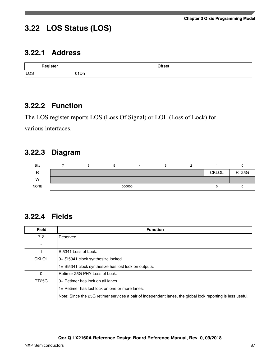# **3.22 LOS Status (LOS)**

#### **3.22.1 Address**

| Register | <b>Offset</b> |
|----------|---------------|
| LOS      | า1Dh          |

#### **3.22.2 Function**

The LOS register reports LOS (Loss Of Signal) or LOL (Loss of Lock) for various interfaces.

## **3.22.3 Diagram**

| <b>Bits</b> |  | 4      |  |              |              |
|-------------|--|--------|--|--------------|--------------|
| R           |  |        |  | <b>CKLOL</b> | <b>RT25G</b> |
| W           |  |        |  |              |              |
| <b>NONE</b> |  | 000000 |  |              |              |

## **3.22.4 Fields**

| <b>Field</b> | <b>Function</b>                                                                                             |
|--------------|-------------------------------------------------------------------------------------------------------------|
| $7-2$        | Reserved.                                                                                                   |
| ۰            |                                                                                                             |
|              | SI5341 Loss of Lock:                                                                                        |
| <b>CKLOL</b> | 0= SI5341 clock synthesize locked.                                                                          |
|              | 1= SI5341 clock synthesize has lost lock on outputs.                                                        |
| 0            | Retimer 25G PHY Loss of Lock:                                                                               |
| <b>RT25G</b> | $0=$ Retimer has lock on all lanes.                                                                         |
|              | 1= Retimer has lost lock on one or more lanes.                                                              |
|              | Note: Since the 25G retimer services a pair of independent lanes, the global lock reporting is less useful. |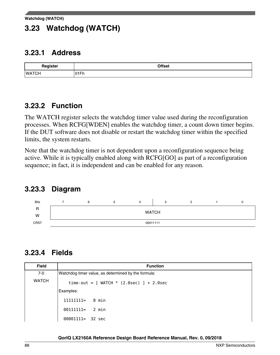# **3.23 Watchdog (WATCH)**

#### **3.23.1 Address**

| Register<br>ney | <b>Offset</b> |
|-----------------|---------------|
| <b>WATCH</b>    | 01Fh          |

## **3.23.2 Function**

The WATCH register selects the watchdog timer value used during the reconfiguration processes. When RCFG[WDEN] enables the watchdog timer, a count down timer begins. If the DUT software does not disable or restart the watchdog timer within the specified limits, the system restarts.

Note that the watchdog timer is not dependent upon a reconfiguration sequence being active. While it is typically enabled along with RCFG[GO] as part of a reconfiguration sequence; in fact, it is independent and can be enabled for any reason.

## **3.23.3 Diagram**



## **3.23.4 Fields**

| <b>Field</b> | <b>Function</b>                                     |
|--------------|-----------------------------------------------------|
| $7-0$        | Watchdog timer value, as determined by the formula: |
| <b>WATCH</b> | time-out = $[$ WATCH * $(2.0 sec) ] + 2.0 sec$      |
|              | Examples:                                           |
|              | $11111111 = 8 min$                                  |
|              | 00111111= 2 min                                     |
|              | 00001111= 32 sec                                    |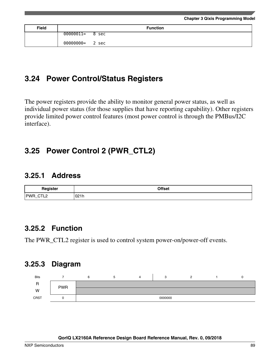|  |  | <b>Chapter 3 Qixis Programming Model</b> |  |
|--|--|------------------------------------------|--|
|--|--|------------------------------------------|--|

| <b>Field</b> |                            | <b>Function</b> |  |
|--------------|----------------------------|-----------------|--|
|              | $00000011 = 8 \text{ sec}$ |                 |  |
|              | $00000000 = 2 sec$         |                 |  |

## **3.24 Power Control/Status Registers**

The power registers provide the ability to monitor general power status, as well as individual power status (for those supplies that have reporting capability). Other registers provide limited power control features (most power control is through the PMBus/I2C interface).

# **3.25 Power Control 2 (PWR\_CTL2)**

#### **3.25.1 Address**

| Register                         | <b>Offset</b> |
|----------------------------------|---------------|
| PWR<br>$CTI$ $Q$<br>1 L.C<br>. . | 021h          |

#### **3.25.2 Function**

The PWR\_CTL2 register is used to control system power-on/power-off events.

#### **3.25.3 Diagram**

| <b>Bits</b> |            | u |         |  |  |
|-------------|------------|---|---------|--|--|
| R           | <b>PWR</b> |   |         |  |  |
| W           |            |   |         |  |  |
| CRST        |            |   | 0000000 |  |  |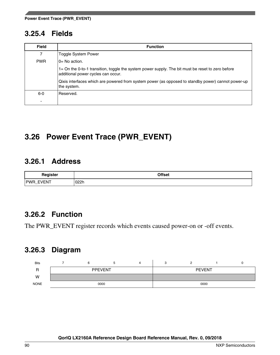# **3.25.4 Fields**

| <b>Field</b>   | <b>Function</b>                                                                                                                         |
|----------------|-----------------------------------------------------------------------------------------------------------------------------------------|
|                | <b>Toggle System Power</b>                                                                                                              |
| <b>PWR</b>     | l 0= No action.                                                                                                                         |
|                | 1= On the 0-to-1 transition, toggle the system power supply. The bit must be reset to zero before<br>additional power cycles can occur. |
|                | Qixis interfaces which are powered from system power (as opposed to standby power) cannot power-up<br>the system.                       |
| $6-0$          | Reserved.                                                                                                                               |
| $\overline{a}$ |                                                                                                                                         |

# **3.26 Power Event Trace (PWR\_EVENT)**

#### **3.26.1 Address**

| Register<br>טסוו<br>----                   | <b>Offset</b><br>. |
|--------------------------------------------|--------------------|
| <b>FVENT</b><br><b>PW<sub>R</sub></b><br>. | 022h               |

## **3.26.2 Function**

The PWR\_EVENT register records which events caused power-on or -off events.

## **3.26.3 Diagram**

| <b>Bits</b> |                |  |  |               |  |
|-------------|----------------|--|--|---------------|--|
| D<br>n      | <b>PPEVENT</b> |  |  | <b>PEVENT</b> |  |
| W           |                |  |  |               |  |
| <b>NONE</b> | 0000           |  |  | 0000          |  |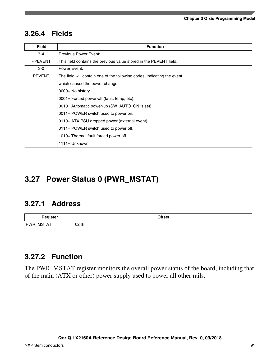#### **3.26.4 Fields**

| <b>Field</b>   | <b>Function</b>                                                         |  |  |  |
|----------------|-------------------------------------------------------------------------|--|--|--|
| $7 - 4$        | Previous Power Event:                                                   |  |  |  |
| <b>PPEVENT</b> | This field contains the previous value stored in the PEVENT field.      |  |  |  |
| $3-0$          | Power Event:                                                            |  |  |  |
| <b>PEVENT</b>  | The field will contain one of the following codes, indicating the event |  |  |  |
|                | which caused the power change:                                          |  |  |  |
|                | 0000= No history.                                                       |  |  |  |
|                | 0001 = Forced power-off (fault, temp, etc).                             |  |  |  |
|                | 0010= Automatic power-up (SW_AUTO_ON is set).                           |  |  |  |
|                | 0011= POWER switch used to power on.                                    |  |  |  |
|                | 0110= ATX PSU dropped power (external event).                           |  |  |  |
|                | 0111 = POWER switch used to power off.                                  |  |  |  |
|                | 1010 = Thermal fault forced power off.                                  |  |  |  |
|                | $1111 =$ Unknown.                                                       |  |  |  |

# **3.27 Power Status 0 (PWR\_MSTAT)**

## **3.27.1 Address**

| Register<br>negr<br>----     | <b>Offset</b>     |
|------------------------------|-------------------|
| <b>MSTAT</b><br>' PWR<br>$-$ | <sup>1</sup> 024h |

## **3.27.2 Function**

The PWR\_MSTAT register monitors the overall power status of the board, including that of the main (ATX or other) power supply used to power all other rails.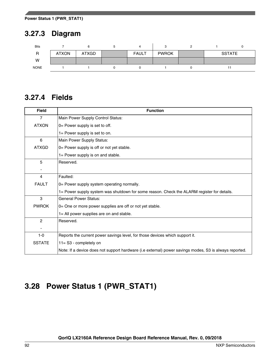# **3.27.3 Diagram**



# **3.27.4 Fields**

| <b>Field</b>   | <b>Function</b>                                                                                        |
|----------------|--------------------------------------------------------------------------------------------------------|
| $\overline{7}$ | Main Power Supply Control Status:                                                                      |
| <b>ATXON</b>   | 0= Power supply is set to off.                                                                         |
|                | 1= Power supply is set to on.                                                                          |
| 6              | Main Power Supply Status:                                                                              |
| <b>ATXGD</b>   | 0= Power supply is off or not yet stable.                                                              |
|                | 1= Power supply is on and stable.                                                                      |
| 5              | Reserved.                                                                                              |
|                |                                                                                                        |
| $\overline{4}$ | Faulted:                                                                                               |
| <b>FAULT</b>   | 0= Power supply system operating normally.                                                             |
|                | 1= Power supply system was shutdown for some reason. Check the ALARM register for details.             |
| 3              | <b>General Power Status:</b>                                                                           |
| <b>PWROK</b>   | 0= One or more power supplies are off or not yet stable.                                               |
|                | 1= All power supplies are on and stable.                                                               |
| $\overline{c}$ | Reserved.                                                                                              |
|                |                                                                                                        |
| $1-0$          | Reports the current power savings level, for those devices which support it.                           |
| <b>SSTATE</b>  | $11 = S3$ - completely on                                                                              |
|                | Note: If a device does not support hardware (i.e external) power savings modes, S3 is always reported. |

# **3.28 Power Status 1 (PWR\_STAT1)**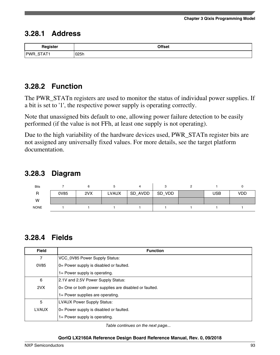## **3.28.1 Address**

| oqister∼<br>ney                  | <b>Offset</b> |
|----------------------------------|---------------|
| $\sim$<br> PWF<br>ヽ゠<br><u>-</u> | 025h          |

# **3.28.2 Function**

The PWR\_STATn registers are used to monitor the status of individual power supplies. If a bit is set to '1', the respective power supply is operating correctly.

Note that unassigned bits default to one, allowing power failure detection to be easily performed (if the value is not FFh, at least one supply is not operating).

Due to the high variability of the hardware devices used, PWR\_STATn register bits are not assigned any universally fixed values. For more details, see the target platform documentation.

## **3.28.3 Diagram**

| <b>Bits</b> |      |     |              |         |        |            |            |
|-------------|------|-----|--------------|---------|--------|------------|------------|
| R           | 0V85 | 2VX | <b>LVAUX</b> | SD_AVDD | SD_VDD | <b>USB</b> | <b>VDD</b> |
| W           |      |     |              |         |        |            |            |
| <b>NONE</b> |      |     |              |         |        |            |            |

## **3.28.4 Fields**

| <b>Field</b> | <b>Function</b>                                        |
|--------------|--------------------------------------------------------|
| 7            | VCC_0V85 Power Supply Status:                          |
| 0V85         | 0= Power supply is disabled or faulted.                |
|              | $1 =$ Power supply is operating.                       |
| 6            | 2.1V and 2.5V Power Supply Status:                     |
| 2VX          | 0= One or both power supplies are disabled or faulted. |
|              | 1= Power supplies are operating.                       |
| 5            | <b>LVAUX Power Supply Status:</b>                      |
| <b>LVAUX</b> | 0= Power supply is disabled or faulted.                |
|              | $1 =$ Power supply is operating.                       |

*Table continues on the next page...*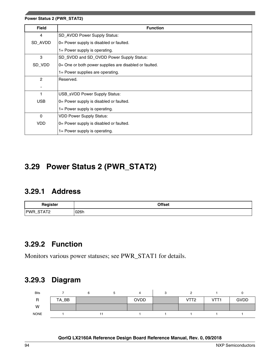#### **Power Status 2 (PWR\_STAT2)**

| <b>Field</b>  | <b>Function</b>                                        |
|---------------|--------------------------------------------------------|
| 4             | <b>SD_AVDD Power Supply Status:</b>                    |
| SD AVDD       | 0= Power supply is disabled or faulted.                |
|               | 1= Power supply is operating.                          |
| 3             | SD_SVDD and SD_OVDD Power Supply Status:               |
| SD_VDD        | 0= One or both power supplies are disabled or faulted. |
|               | 1= Power supplies are operating.                       |
| $\mathcal{P}$ | Reserved.                                              |
|               |                                                        |
| 1             | USB_sVDD Power Supply Status:                          |
| USB.          | 0= Power supply is disabled or faulted.                |
|               | $1 =$ Power supply is operating.                       |
| $\Omega$      | <b>VDD Power Supply Status:</b>                        |
| VDD.          | 0= Power supply is disabled or faulted.                |
|               | 1= Power supply is operating.                          |

# **3.29 Power Status 2 (PWR\_STAT2)**

#### **3.29.1 Address**

| Register            | <b>Offset</b> |
|---------------------|---------------|
| <b>PWR</b><br>STAT2 | 026h          |

#### **3.29.2 Function**

Monitors various power statuses; see PWR\_STAT1 for details.

#### **3.29.3 Diagram**

| <b>Bits</b> |       |  | 4           |                  |                  |             |
|-------------|-------|--|-------------|------------------|------------------|-------------|
| R           | TA_BB |  | <b>OVDD</b> | VTT <sub>2</sub> | VTT <sup>-</sup> | <b>GVDD</b> |
| W           |       |  |             |                  |                  |             |
| <b>NONE</b> |       |  |             |                  |                  |             |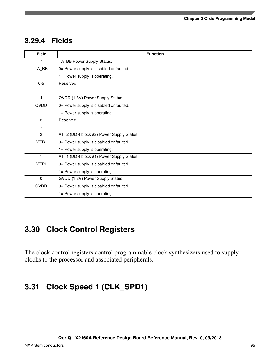## **3.29.4 Fields**

| <b>Field</b>     | <b>Function</b>                          |
|------------------|------------------------------------------|
| $\overline{7}$   | TA_BB Power Supply Status:               |
| TA_BB            | 0= Power supply is disabled or faulted.  |
|                  | 1= Power supply is operating.            |
| $6-5$            | Reserved.                                |
|                  |                                          |
| $\overline{4}$   | OVDD (1.8V) Power Supply Status:         |
| <b>OVDD</b>      | 0= Power supply is disabled or faulted.  |
|                  | 1= Power supply is operating.            |
| 3                | Reserved.                                |
|                  |                                          |
| $\overline{2}$   | VTT2 (DDR block #2) Power Supply Status: |
| VTT <sub>2</sub> | 0= Power supply is disabled or faulted.  |
|                  | 1= Power supply is operating.            |
| 1                | VTT1 (DDR block #1) Power Supply Status: |
| VTT <sub>1</sub> | 0= Power supply is disabled or faulted.  |
|                  | 1= Power supply is operating.            |
| $\mathbf 0$      | GVDD (1.2V) Power Supply Status:         |
| <b>GVDD</b>      | 0= Power supply is disabled or faulted.  |
|                  | 1= Power supply is operating.            |

# **3.30 Clock Control Registers**

The clock control registers control programmable clock synthesizers used to supply clocks to the processor and associated peripherals.

# **3.31 Clock Speed 1 (CLK\_SPD1)**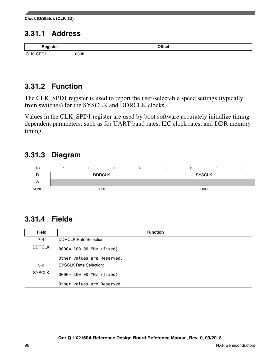## **3.31.1 Address**

| Register             | <b>Offset</b> |
|----------------------|---------------|
| SPD1<br>'CLK<br>$ -$ | 030h          |

# **3.31.2 Function**

The CLK\_SPD1 register is used to report the user-selectable speed settings (typically from switches) for the SYSCLK and DDRCLK clocks.

Values in the CLK\_SPD1 register are used by boot software accurately initialize timingdependent parameters, such as for UART baud rates, I2C clock rates, and DDR memory timing.

## **3.31.3 Diagram**

| <b>Bits</b> |  |               | 4 |  |               |  |
|-------------|--|---------------|---|--|---------------|--|
| R           |  | <b>DDRCLK</b> |   |  | <b>SYSCLK</b> |  |
| W           |  |               |   |  |               |  |
| <b>NONE</b> |  | 0000          |   |  | 0000          |  |

#### **3.31.4 Fields**

| <b>Field</b>  | <b>Function</b>               |
|---------------|-------------------------------|
| $7 - 4$       | <b>DDRCLK Rate Selection:</b> |
| <b>DDRCLK</b> | $0000 = 100.00$ MHz (fixed)   |
|               | Other values are Reserved.    |
| $3-0$         | <b>SYSCLK Rate Selection:</b> |
| <b>SYSCLK</b> | 0000= 100.00 MHz (fixed)      |
|               | Other values are Reserved.    |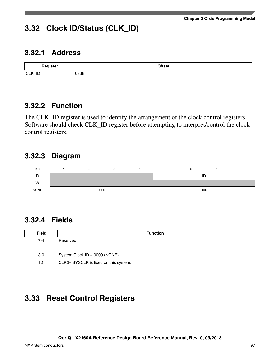# **3.32 Clock ID/Status (CLK\_ID)**

#### **3.32.1 Address**

| Register<br>ı ı <del>c</del> y | <b>Offset</b> |
|--------------------------------|---------------|
| CLK_ID                         | 033h          |

## **3.32.2 Function**

The CLK\_ID register is used to identify the arrangement of the clock control registers. Software should check CLK\_ID register before attempting to interpret/control the clock control registers.

#### **3.32.3 Diagram**

| Bits        |      | 4 |  |      |  |
|-------------|------|---|--|------|--|
| ∍           |      |   |  | ID   |  |
| W           |      |   |  |      |  |
| <b>NONE</b> | 0000 |   |  | 0000 |  |

# **3.32.4 Fields**

| <b>Field</b>             | <b>Function</b>                       |
|--------------------------|---------------------------------------|
| 7-4                      | Reserved.                             |
| $\overline{\phantom{0}}$ |                                       |
| $3-0$                    | System Clock ID = 0000 (NONE)         |
| ID                       | CLK0= SYSCLK is fixed on this system. |

# **3.33 Reset Control Registers**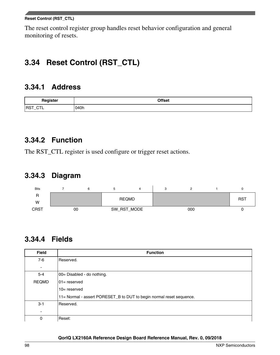```
Reset Control (RST_CTL)
```
The reset control register group handles reset behavior configuration and general monitoring of resets.

# **3.34 Reset Control (RST\_CTL)**

## **3.34.1 Address**

| Register<br>ney<br>    | <b>Offset</b>   |
|------------------------|-----------------|
| ~-<br><b>RS</b><br>. . | $^{\circ}$ 040h |

#### **3.34.2 Function**

The RST\_CTL register is used configure or trigger reset actions.

#### **3.34.3 Diagram**



# **3.34.4 Fields**

| <b>Field</b>             | <b>Function</b>                                                      |
|--------------------------|----------------------------------------------------------------------|
| 7-6                      | Reserved.                                                            |
| $\overline{\phantom{a}}$ |                                                                      |
| $5 - 4$                  | 00= Disabled - do nothing.                                           |
| <b>REQMD</b>             | $101 =$ reserved                                                     |
|                          | $10 =$ reserved                                                      |
|                          | 11= Normal - assert PORESET_B to DUT to begin normal reset sequence. |
| $3 - 1$                  | Reserved.                                                            |
| $\overline{\phantom{a}}$ |                                                                      |
| 0                        | Reset:                                                               |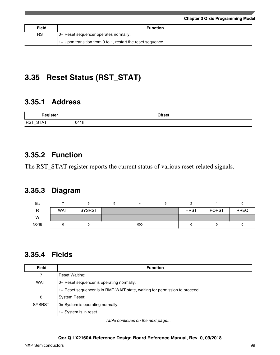| <b>Field</b> | <b>Function</b>                                             |
|--------------|-------------------------------------------------------------|
| <b>RST</b>   | $ 0=$ Reset sequencer operates normally.                    |
|              | 1= Upon transition from 0 to 1, restart the reset sequence. |

# **3.35 Reset Status (RST\_STAT)**

#### **3.35.1 Address**

| Register                        | <b>Offset</b><br>. |
|---------------------------------|--------------------|
| .<br><b>RS</b><br>.71<br>$\sim$ | 041h               |

#### **3.35.2 Function**

The RST\_STAT register reports the current status of various reset-related signals.

#### **3.35.3 Diagram**

| <b>Bits</b> |             |               | ັ |     | ັ |             |              |             |
|-------------|-------------|---------------|---|-----|---|-------------|--------------|-------------|
| $\mathsf R$ | <b>WAIT</b> | <b>SYSRST</b> |   |     |   | <b>HRST</b> | <b>PORST</b> | <b>RREQ</b> |
| W           |             |               |   |     |   |             |              |             |
| <b>NONE</b> |             |               |   | 000 |   |             |              |             |

# **3.35.4 Fields**

| <b>Field</b>  | <b>Function</b>                                                             |
|---------------|-----------------------------------------------------------------------------|
|               | <b>Reset Waiting:</b>                                                       |
| WAIT          | 0= Reset sequencer is operating normally.                                   |
|               | 1= Reset sequencer is in RMT-WAIT state, waiting for permission to proceed. |
| 6             | <b>System Reset:</b>                                                        |
| <b>SYSRST</b> | 0 = System is operating normally.                                           |
|               | 1= System is in reset.                                                      |

*Table continues on the next page...*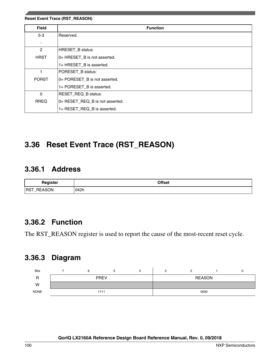| <b>Reset Event Trace (RST_REASON)</b> |                                 |  |  |  |  |
|---------------------------------------|---------------------------------|--|--|--|--|
| <b>Field</b>                          | <b>Function</b>                 |  |  |  |  |
| $5 - 3$                               | Reserved.                       |  |  |  |  |
|                                       |                                 |  |  |  |  |
| $\overline{2}$                        | HRESET_B status:                |  |  |  |  |
| <b>HRST</b>                           | 0= HRESET_B is not asserted.    |  |  |  |  |
|                                       | 1= HRESET_B is asserted.        |  |  |  |  |
|                                       | PORESET_B status:               |  |  |  |  |
| <b>PORST</b>                          | 0= PORESET_B is not asserted.   |  |  |  |  |
|                                       | 1= PORESET_B is asserted.       |  |  |  |  |
| $\Omega$                              | RESET_REQ_B status:             |  |  |  |  |
| RREQ                                  | 0= RESET_REQ_B is not asserted. |  |  |  |  |
|                                       | 1= RESET_REQ_B is asserted.     |  |  |  |  |

# **3.36 Reset Event Trace (RST\_REASON)**

## **3.36.1 Address**

| Register       | <b>Offset</b> |
|----------------|---------------|
| REASON<br>!RS1 | 042h          |

## **3.36.2 Function**

The RST\_REASON register is used to report the cause of the most-recent reset cycle.

#### **3.36.3 Diagram**

| <b>Bits</b> |             |  |      |  |               |  |      |  |  |
|-------------|-------------|--|------|--|---------------|--|------|--|--|
| R           | <b>PREV</b> |  |      |  | <b>REASON</b> |  |      |  |  |
| W           |             |  |      |  |               |  |      |  |  |
| <b>NONE</b> |             |  | 1111 |  |               |  | 0000 |  |  |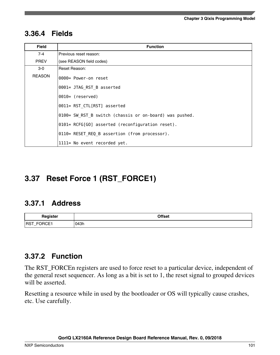#### **3.36.4 Fields**

| <b>Field</b>  | <b>Function</b>                                         |  |  |  |  |  |  |
|---------------|---------------------------------------------------------|--|--|--|--|--|--|
| $7 - 4$       | Previous reset reason:                                  |  |  |  |  |  |  |
| <b>PREV</b>   | (see REASON field codes)                                |  |  |  |  |  |  |
| $3-0$         | Reset Reason:                                           |  |  |  |  |  |  |
| <b>REASON</b> | 0000= Power-on reset                                    |  |  |  |  |  |  |
|               | 0001= JTAG_RST_B asserted                               |  |  |  |  |  |  |
|               | $0010 = (respectved)$                                   |  |  |  |  |  |  |
|               | 0011= RST_CTL[RST] asserted                             |  |  |  |  |  |  |
|               | 0100= SW_RST_B switch (chassis or on-board) was pushed. |  |  |  |  |  |  |
|               | 0101= RCFG[GO] asserted (reconfiguration reset).        |  |  |  |  |  |  |
|               | 0110= RESET_REQ_B assertion (from processor).           |  |  |  |  |  |  |
|               | 1111= No event recorded yet.                            |  |  |  |  |  |  |

# **3.37 Reset Force 1 (RST\_FORCE1)**

#### **3.37.1 Address**

| Register      | <b>Offset</b> |
|---------------|---------------|
| RS1<br>FORCE1 | '043h         |

## **3.37.2 Function**

The RST\_FORCEn registers are used to force reset to a particular device, independent of the general reset sequencer. As long as a bit is set to 1, the reset signal to grouped devices will be asserted.

Resetting a resource while in used by the bootloader or OS will typically cause crashes, etc. Use carefully.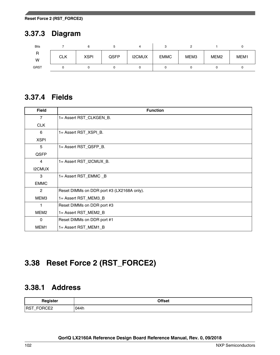**Reset Force 2 (RST\_FORCE2)**

## **3.37.3 Diagram**



## **3.37.4 Fields**

| <b>Field</b>     | <b>Function</b>                            |
|------------------|--------------------------------------------|
| $\overline{7}$   | 1= Assert RST_CLKGEN_B.                    |
| <b>CLK</b>       |                                            |
| 6                | 1= Assert RST_XSPI_B.                      |
| <b>XSPI</b>      |                                            |
| 5                | 1= Assert RST_QSFP_B.                      |
| QSFP             |                                            |
| 4                | 1= Assert RST_I2CMUX_B.                    |
| <b>I2CMUX</b>    |                                            |
| 3                | 1= Assert RST_EMMC _B                      |
| <b>EMMC</b>      |                                            |
| $\overline{2}$   | Reset DIMMs on DDR port #3 (LX2168A only). |
| MEM3             | 1= Assert RST_MEM3_B                       |
| 1                | Reset DIMMs on DDR port #3                 |
| MEM <sub>2</sub> | 1= Assert RST_MEM2_B                       |
| 0                | Reset DIMMs on DDR port #1                 |
| MEM <sub>1</sub> | 1= Assert RST_MEM1_B                       |

# **3.38 Reset Force 2 (RST\_FORCE2)**

#### **3.38.1 Address**

| Register                  | <b>Offset</b>     |
|---------------------------|-------------------|
| <b>DRCE2</b><br>RS<br>— 1 | <sup>∣</sup> 044h |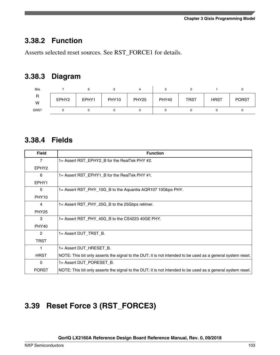## **3.38.2 Function**

Asserts selected reset sources. See RST\_FORCE1 for details.

# **3.38.3 Diagram**

| <b>Bits</b> |                   |       |                   |                   |       |             |             |              |
|-------------|-------------------|-------|-------------------|-------------------|-------|-------------|-------------|--------------|
| R           | EPHY <sub>2</sub> | EPHY1 | PHY <sub>10</sub> | PHY <sub>25</sub> | PHY40 | <b>TRST</b> | <b>HRST</b> | <b>PORST</b> |
| W           |                   |       |                   |                   |       |             |             |              |
| <b>GRST</b> |                   |       |                   |                   |       |             |             |              |

## **3.38.4 Fields**

| <b>Field</b>      | <b>Function</b>                                                                                             |
|-------------------|-------------------------------------------------------------------------------------------------------------|
| $\overline{7}$    | 1= Assert RST_EPHY2_B for the RealTek PHY #2.                                                               |
| EPHY <sub>2</sub> |                                                                                                             |
| 6                 | 1= Assert RST_EPHY1_B for the RealTek PHY #1.                                                               |
| EPHY1             |                                                                                                             |
| 5                 | 1= Assert RST_PHY_10G_B to the Aquantia AQR107 10Gbps PHY.                                                  |
| PHY <sub>10</sub> |                                                                                                             |
| 4                 | 1= Assert RST_PHY_25G_B to the 25Gbps retimer.                                                              |
| PHY <sub>25</sub> |                                                                                                             |
| 3                 | 1= Assert RST PHY 40G B to the CS4223 40GE PHY.                                                             |
| PHY40             |                                                                                                             |
| $\overline{2}$    | 1= Assert DUT TRST B.                                                                                       |
| <b>TRST</b>       |                                                                                                             |
| 1                 | 1= Assert DUT_HRESET_B.                                                                                     |
| <b>HRST</b>       | NOTE: This bit only asserts the signal to the DUT; it is not intended to be used as a general system reset. |
| 0                 | 1= Assert DUT_PORESET_B.                                                                                    |
| <b>PORST</b>      | NOTE: This bit only asserts the signal to the DUT; it is not intended to be used as a general system reset. |

# **3.39 Reset Force 3 (RST\_FORCE3)**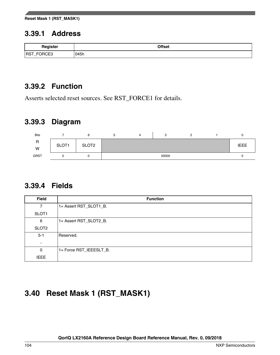## **3.39.1 Address**

| Register      | <b>Offset</b> |
|---------------|---------------|
| FORCE3<br> RS | 045h          |

## **3.39.2 Function**

Asserts selected reset sources. See RST\_FORCE1 for details.

#### **3.39.3 Diagram**



## **3.39.4 Fields**

| <b>Field</b>             | <b>Function</b>         |
|--------------------------|-------------------------|
| 7                        | 1= Assert RST_SLOT1_B.  |
| SLOT <sub>1</sub>        |                         |
| 6                        | 1= Assert RST_SLOT2_B.  |
| SLOT <sub>2</sub>        |                         |
| $5 - 1$                  | Reserved.               |
| $\overline{\phantom{a}}$ |                         |
| 0                        | 1= Force RST_IEEESLT_B. |
| <b>IEEE</b>              |                         |

# **3.40 Reset Mask 1 (RST\_MASK1)**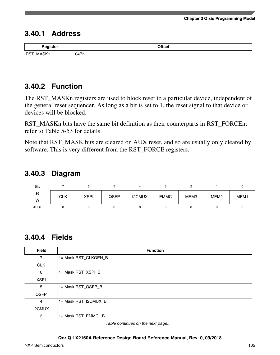## **3.40.1 Address**

| Register            | <b>Offset</b> |
|---------------------|---------------|
| MASK1<br>∣RS`<br>—- | 04Bh          |

# **3.40.2 Function**

The RST\_MASKn registers are used to block reset to a particular device, independent of the general reset sequencer. As long as a bit is set to 1, the reset signal to that device or devices will be blocked.

RST\_MASKn bits have the same bit definition as their counterparts in RST\_FORCEn; refer to Table 5-53 for details.

Note that RST\_MASK bits are cleared on AUX reset, and so are usually only cleared by software. This is very different from the RST\_FORCE registers.

# **3.40.3 Diagram**

| <b>Bits</b> |     |             |      | 4             |             |      |                  |                  |
|-------------|-----|-------------|------|---------------|-------------|------|------------------|------------------|
| R           | CLK | <b>XSPI</b> | QSFP | <b>I2CMUX</b> | <b>EMMC</b> | MEM3 | MEM <sub>2</sub> | MEM <sub>1</sub> |
| W           |     |             |      |               |             |      |                  |                  |
| ARST        |     |             |      |               |             |      |                  |                  |

# **3.40.4 Fields**

| <b>Field</b>  | <b>Function</b>       |
|---------------|-----------------------|
| 7             | 1= Mask RST_CLKGEN_B. |
| <b>CLK</b>    |                       |
| 6             | 1= Mask RST_XSPI_B.   |
| <b>XSPI</b>   |                       |
| 5             | 1= Mask RST_QSFP_B.   |
| QSFP          |                       |
| 4             | 1= Mask RST_I2CMUX_B. |
| <b>I2CMUX</b> |                       |
| 3             | 1= Mask RST_EMMC _B   |

*Table continues on the next page...*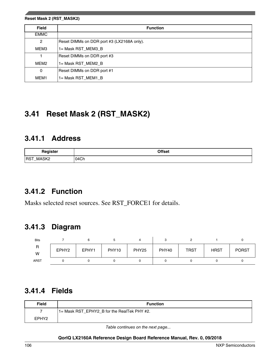**Reset Mask 2 (RST\_MASK2)**

| <b>Field</b>     | <b>Function</b>                            |
|------------------|--------------------------------------------|
| EMMC             |                                            |
| $\overline{2}$   | Reset DIMMs on DDR port #3 (LX2168A only). |
| МЕМЗ             | 1= Mask RST_MEM3_B                         |
|                  | Reset DIMMs on DDR port #3                 |
| MEM <sub>2</sub> | 1= Mask RST MEM2 B                         |
| $\mathbf 0$      | Reset DIMMs on DDR port #1                 |
| MEM1             | 1= Mask RST MEM1 B                         |

# **3.41 Reset Mask 2 (RST\_MASK2)**

#### **3.41.1 Address**

| <b>Register</b>                                        | <b>Offset</b> |
|--------------------------------------------------------|---------------|
| <b>RKS</b><br>RS <sup>:</sup><br>. ለለ ^<br>ישוע<br>— 1 | 04Ch          |

#### **3.41.2 Function**

Masks selected reset sources. See RST\_FORCE1 for details.

#### **3.41.3 Diagram**

| <b>Bits</b> |                   |       |                   |                   |       |             |             |              |
|-------------|-------------------|-------|-------------------|-------------------|-------|-------------|-------------|--------------|
| D           | EPHY <sub>2</sub> | EPHY1 | PHY <sub>10</sub> | PHY <sub>25</sub> | PHY40 | <b>TRST</b> | <b>HRST</b> | <b>PORST</b> |
| W           |                   |       |                   |                   |       |             |             |              |
| <b>ARST</b> |                   |       |                   |                   |       |             |             |              |

## **3.41.4 Fields**

| <b>Field</b>      | <b>Function</b>                             |
|-------------------|---------------------------------------------|
|                   | 1= Mask RST_EPHY2_B for the RealTek PHY #2. |
| EPHY <sub>2</sub> |                                             |

*Table continues on the next page...*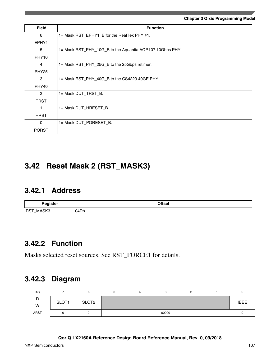| <b>Field</b>      | <b>Function</b>                                          |
|-------------------|----------------------------------------------------------|
| 6                 | 1= Mask RST_EPHY1_B for the RealTek PHY #1.              |
| EPHY1             |                                                          |
| 5                 | 1= Mask RST_PHY_10G_B to the Aquantia AQR107 10Gbps PHY. |
| PHY <sub>10</sub> |                                                          |
| 4                 | 1= Mask RST_PHY_25G_B to the 25Gbps retimer.             |
| PHY <sub>25</sub> |                                                          |
| 3                 | 1= Mask RST_PHY_40G_B to the CS4223 40GE PHY.            |
| PHY40             |                                                          |
| $\overline{2}$    | 1= Mask DUT_TRST_B.                                      |
| <b>TRST</b>       |                                                          |
|                   | 1= Mask DUT_HRESET_B.                                    |
| <b>HRST</b>       |                                                          |
| $\Omega$          | 1= Mask DUT_PORESET_B.                                   |
| <b>PORST</b>      |                                                          |

# **3.42 Reset Mask 2 (RST\_MASK3)**

# **3.42.1 Address**

| Register       | <b>Offset</b>     |
|----------------|-------------------|
| RST <br>_MASK3 | $\overline{04Dh}$ |

## **3.42.2 Function**

Masks selected reset sources. See RST\_FORCE1 for details.

## **3.42.3 Diagram**

| <b>Bits</b> |       |                   | 4 | ີ<br>ں |  |             |
|-------------|-------|-------------------|---|--------|--|-------------|
| $\mathsf R$ | SLOT1 | SLOT <sub>2</sub> |   |        |  | <b>IEEE</b> |
| W           |       |                   |   |        |  |             |
| <b>ARST</b> |       |                   |   | 00000  |  |             |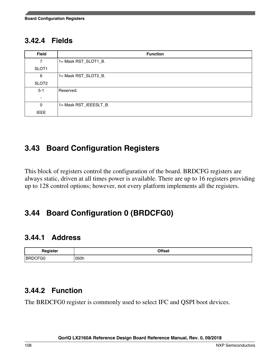# **3.42.4 Fields**

| <b>Field</b>             | <b>Function</b>        |
|--------------------------|------------------------|
| $\overline{\phantom{a}}$ | 1= Mask RST_SLOT1_B.   |
| SLOT <sub>1</sub>        |                        |
| 6                        | 1= Mask RST_SLOT2_B.   |
| SLOT <sub>2</sub>        |                        |
| $5 - 1$                  | Reserved.              |
| $\overline{\phantom{a}}$ |                        |
| $\mathbf{0}$             | 1= Mask RST_IEEESLT_B. |
| <b>IEEE</b>              |                        |

# **3.43 Board Configuration Registers**

This block of registers control the configuration of the board. BRDCFG registers are always static, driven at all times power is available. There are up to 16 registers providing up to 128 control options; however, not every platform implements all the registers.

# **3.44 Board Configuration 0 (BRDCFG0)**

## **3.44.1 Address**

| Danietar | $Q_{\text{ff}}$ |
|----------|-----------------|
|          | ,,,,,           |
| $  -$    | .               |
| ΒR<br>uu | 050h            |

# **3.44.2 Function**

The BRDCFG0 register is commonly used to select IFC and QSPI boot devices.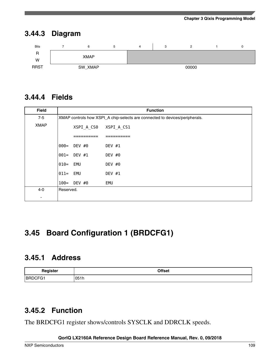# **3.44.3 Diagram**



## **3.44.4 Fields**

| <b>Field</b> | <b>Function</b> |            |                                                                             |  |  |  |
|--------------|-----------------|------------|-----------------------------------------------------------------------------|--|--|--|
| $7 - 5$      |                 |            | XMAP controls how XSPI_A chip-selects are connected to devices/peripherals. |  |  |  |
| <b>XMAP</b>  |                 | XSPI_A_CS0 | XSPI A CS1                                                                  |  |  |  |
|              |                 | ---------  |                                                                             |  |  |  |
|              | $000 =$         | DEV #0     | DEV #1                                                                      |  |  |  |
|              | $001 =$         | DEV #1     | DEV #0                                                                      |  |  |  |
|              | $010 =$         | EMU        | DEV #0                                                                      |  |  |  |
|              | $011 =$         | EMU        | DEV #1                                                                      |  |  |  |
|              | $100 =$         | DEV #0     | EMU                                                                         |  |  |  |
| $4 - 0$      | Reserved.       |            |                                                                             |  |  |  |
| -            |                 |            |                                                                             |  |  |  |

# **3.45 Board Configuration 1 (BRDCFG1)**

# **3.45.1 Address**

| Register<br>טסוו | <b>Offset</b> |
|------------------|---------------|
| ⊺BRI<br>n        | 051h          |

# **3.45.2 Function**

The BRDCFG1 register shows/controls SYSCLK and DDRCLK speeds.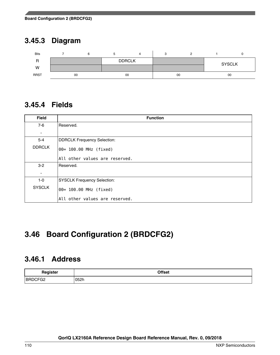# **3.45.3 Diagram**



# **3.45.4 Fields**

| <b>Field</b>   | <b>Function</b>                    |
|----------------|------------------------------------|
| $7-6$          | Reserved.                          |
| ۰              |                                    |
| $5-4$          | <b>DDRCLK Frequency Selection:</b> |
| <b>DDRCLK</b>  | 00= 100.00 MHz (fixed)             |
|                | All other values are reserved.     |
| $3 - 2$        | Reserved.                          |
| $\blacksquare$ |                                    |
| $1-0$          | <b>SYSCLK Frequency Selection:</b> |
| <b>SYSCLK</b>  | 00= 100.00 MHz (fixed)             |
|                | All other values are reserved.     |

# **3.46 Board Configuration 2 (BRDCFG2)**

### **3.46.1 Address**

| Register        | <b>Offset</b> |
|-----------------|---------------|
| 'BRL<br>``<br>∽ | 052h          |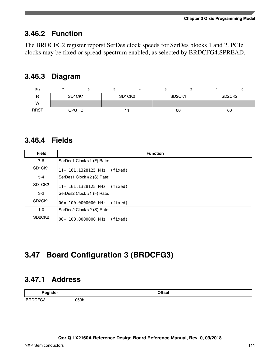### **3.46.2 Function**

The BRDCFG2 register reporst SerDes clock speeds for SerDes blocks 1 and 2. PCIe clocks may be fixed or spread-spectrum enabled, as selected by BRDCFG4.SPREAD.

## **3.46.3 Diagram**

| <b>Bits</b>  |                                 |  |                                 |  |                                 |  |                                 |  |
|--------------|---------------------------------|--|---------------------------------|--|---------------------------------|--|---------------------------------|--|
| $\mathsf{R}$ | SD <sub>1</sub> CK <sub>1</sub> |  | SD <sub>1</sub> CK <sub>2</sub> |  | SD <sub>2</sub> CK <sub>1</sub> |  | SD <sub>2</sub> CK <sub>2</sub> |  |
| W            |                                 |  |                                 |  |                                 |  |                                 |  |
| RRST         | CPU_ID                          |  |                                 |  | 00                              |  | 00                              |  |

### **3.46.4 Fields**

| <b>Field</b>                    | <b>Function</b>                |  |  |  |  |  |
|---------------------------------|--------------------------------|--|--|--|--|--|
| 7-6                             | SerDes1 Clock #1 (F) Rate:     |  |  |  |  |  |
| SD <sub>1</sub> CK <sub>1</sub> | 11= 161.1328125 MHz<br>(fixed) |  |  |  |  |  |
| $5-4$                           | SerDes1 Clock #2 (S) Rate:     |  |  |  |  |  |
| SD <sub>1</sub> CK <sub>2</sub> | 11= 161.1328125 MHz<br>(fixed) |  |  |  |  |  |
| $3-2$                           | SerDes2 Clock #1 (F) Rate:     |  |  |  |  |  |
| SD <sub>2</sub> CK <sub>1</sub> | 00= 100.0000000 MHz<br>(fixed) |  |  |  |  |  |
| $1-0$                           | SerDes2 Clock #2 (S) Rate:     |  |  |  |  |  |
| SD <sub>2</sub> CK <sub>2</sub> | 00= 100.0000000 MHz<br>(fixed) |  |  |  |  |  |

# **3.47 Board Configuration 3 (BRDCFG3)**

# **3.47.1 Address**

| Register               | <b>Offset</b> |
|------------------------|---------------|
| -ົດ<br>'BRL<br>n<br>ு∪ | 053h          |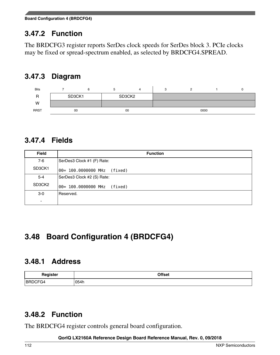# **3.47.2 Function**

The BRDCFG3 register reports SerDes clock speeds for SerDes block 3. PCIe clocks may be fixed or spread-spectrum enabled, as selected by BRDCFG4.SPREAD.

# **3.47.3 Diagram**

| Bits        |        |    | u      | 4  |  |      |  |
|-------------|--------|----|--------|----|--|------|--|
| □<br>n      | SD3CK1 |    | SD3CK2 |    |  |      |  |
| W           |        |    |        |    |  |      |  |
| <b>RRST</b> |        | 00 |        | 00 |  | 0000 |  |

# **3.47.4 Fields**

| <b>Field</b>             | <b>Function</b>             |
|--------------------------|-----------------------------|
| 7-6                      | SerDes3 Clock #1 (F) Rate:  |
| SD3CK1                   | 00= 100.0000000 MHz (fixed) |
| $5 - 4$                  | SerDes3 Clock #2 (S) Rate:  |
| SD3CK2                   | 00= 100.0000000 MHz (fixed) |
| $3-0$                    | Reserved.                   |
| $\overline{\phantom{a}}$ |                             |

# **3.48 Board Configuration 4 (BRDCFG4)**

# **3.48.1 Address**

| Register        | <b>Offset</b><br>------ |
|-----------------|-------------------------|
| <b>BR</b><br>-4 | '054h                   |

# **3.48.2 Function**

The BRDCFG4 register controls general board configuration.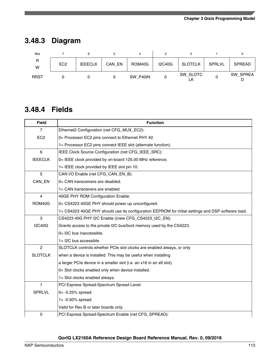# **3.48.3 Diagram**

| <b>Bits</b> |                 |                |        | 4        |               |                |               |               |
|-------------|-----------------|----------------|--------|----------|---------------|----------------|---------------|---------------|
| R<br>W      | EC <sub>2</sub> | <b>IEEECLK</b> | CAN_EN | ROM40G   | <b>I2C40G</b> | <b>SLOTCLK</b> | <b>SPRLVL</b> | <b>SPREAD</b> |
| <b>RRST</b> |                 |                |        | SW_P40IN |               | SW_SLOTC       |               | SW SPREA      |

# **3.48.4 Fields**

| <b>Field</b>    | <b>Function</b>                                                                                    |
|-----------------|----------------------------------------------------------------------------------------------------|
| $\overline{7}$  | Ethernet2 Configuration (net CFG_MUX_EC2):                                                         |
| EC <sub>2</sub> | 0= Processor EC2 pins connect to Ethernet PHY #2.                                                  |
|                 | 1= Processor EC2 pins connect IEEE slot (alternate function).                                      |
| 6               | IEEE Clock Source Configuration (net CFG_IEEE_SRC):                                                |
| <b>IEEECLK</b>  | 0= IEEE clock provided by on-board 125.00 MHz reference.                                           |
|                 | 1= IEEE clock provided by IEEE slot pin 10.                                                        |
| 5               | CAN I/O Enable (net CFG_CAN_EN_B):                                                                 |
| CAN_EN          | 0= CAN transceivers are disabled.                                                                  |
|                 | 1= CAN transceivers are enabled.                                                                   |
| $\overline{4}$  | 40GE PHY ROM Configuration Enable:                                                                 |
| ROM40G          | 0= CS4223 40GE PHY should power up unconfigured.                                                   |
|                 | 1= CS4223 40GE PHY should use its configuration EEPROM for initial settings and DSP software load. |
| 3               | CS4223 40G PHY I2C Enable ((new CFG_CS4223_I2C_EN):                                                |
| <b>I2C40G</b>   | Grants access to the private I2C bus/boot memory used by the CS4223.                               |
|                 | 0= I2C bus inaccessible.                                                                           |
|                 | 1= I2C bus accessible.                                                                             |
| $\overline{2}$  | SLOTCLK controls whether PCIe slot clocks are enabled always, or only                              |
| <b>SLOTCLK</b>  | when a device is installed. This may be useful when installing                                     |
|                 | a larger PCIe device in a smaller slot (i.e. an x16 in an x8 slot).                                |
|                 | 0= Slot clocks enabled only when device installed.                                                 |
|                 | 1= Slot clocks enabled always.                                                                     |
| 1               | PCI Express Spread-Spectrum Spread Level:                                                          |
| <b>SPRLVL</b>   | $0 = -0.25\%$ spread.                                                                              |
|                 | $1 = -0.50\%$ spread.                                                                              |
|                 | Valid for Rev B or later boards only.                                                              |
| $\mathsf 0$     | PCI Express Spread-Spectrum Enable (net CFG_SPREAD):                                               |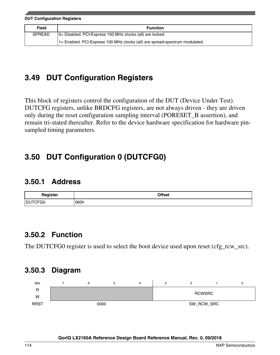| <b>DUT Configuration Registers</b> |                |
|------------------------------------|----------------|
| Field                              | <b>Eunctio</b> |

| Field         | <b>Function</b>                                                              |
|---------------|------------------------------------------------------------------------------|
| <b>SPREAD</b> | 0 = Disabled: PCI-Express 100 MHz clocks (all) are locked.                   |
|               | 1 = Enabled: PCI-Express 100 MHz clocks (all) are spread-spectrum modulated. |

# **3.49 DUT Configuration Registers**

This block of registers control the configuration of the DUT (Device Under Test). DUTCFG registers, unlike BRDCFG registers, are not always driven - they are driven only during the reset configuration sampling interval (PORESET\_B assertion), and remain tri-stated thereafter. Refer to the device hardware specification for hardware pinsampled timing parameters.

# **3.50 DUT Configuration 0 (DUTCFG0)**

# **3.50.1 Address**

| Register                          | <b>Offset</b><br>. |
|-----------------------------------|--------------------|
| DU<br>$\sim$ $\sim$ $\sim$<br>−ख∪ | 060h               |

# **3.50.2 Function**

The DUTCFG0 register is used to select the boot device used upon reset (cfg\_rcw\_src).

# **3.50.3 Diagram**

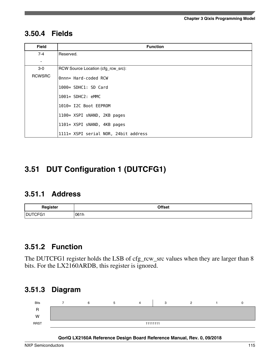### **3.50.4 Fields**

| <b>Field</b>  | <b>Function</b>                      |
|---------------|--------------------------------------|
| $7 - 4$       | Reserved.                            |
|               |                                      |
| $3-0$         | RCW Source Location (cfg_rcw_src):   |
| <b>RCWSRC</b> | Onnn= Hard-coded RCW                 |
|               | 1000= SDHC1: SD Card                 |
|               | $1001 =$ SDHC2: eMMC                 |
|               | 1010= I2C Boot EEPROM                |
|               | 1100= XSPI sNAND, 2KB pages          |
|               | 1101= XSPI sNAND, 4KB pages          |
|               | 1111= XSPI serial NOR, 24bit address |

# **3.51 DUT Configuration 1 (DUTCFG1)**

# **3.51.1 Address**

| Register | <b>Offset</b> |
|----------|---------------|
| 'du      | 061h          |

# **3.51.2 Function**

The DUTCFG1 register holds the LSB of cfg\_rcw\_src values when they are larger than 8 bits. For the LX2160ARDB, this register is ignored.

# **3.51.3 Diagram**

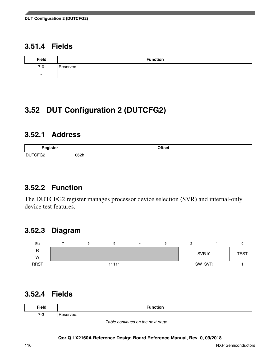# **3.51.4 Fields**

| <b>Field</b>             | <b>Function</b> |
|--------------------------|-----------------|
| $7-0$                    | Reserved.       |
| $\overline{\phantom{a}}$ |                 |

# **3.52 DUT Configuration 2 (DUTCFG2)**

### **3.52.1 Address**

| Register | <b>Offset</b> |
|----------|---------------|
| TCFG2    | 062h          |
| DU       | $\sim$        |

#### **3.52.2 Function**

The DUTCFG2 register manages processor device selection (SVR) and internal-only device test features.

# **3.52.3 Diagram**



### **3.52.4 Fields**

| <b>Field</b>           | mction <sup>-</sup><br>. |
|------------------------|--------------------------|
| $\overline{z}$<br>د- ⁄ | -<br>ervea.              |

*Table continues on the next page...*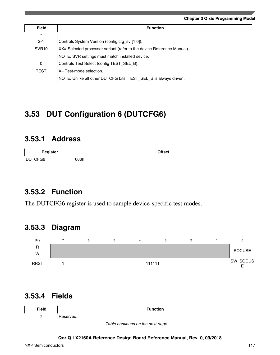| <b>Field</b>             | <b>Function</b>                                                        |
|--------------------------|------------------------------------------------------------------------|
| $\overline{\phantom{0}}$ |                                                                        |
| $2 - 1$                  | Controls System Version (config cfg_svr[1:0]):                         |
| SVR <sub>10</sub>        | XX= Selected processor variant (refer to the device Reference Manual). |
|                          | NOTE: SVR settings must match installed device.                        |
| 0                        | Controls Test Select (config TEST_SEL_B):                              |
| <b>TEST</b>              | $X = Test$ -mode selection.                                            |
|                          | NOTE: Unlike all other DUTCFG bits, TEST_SEL_B is always driven.       |

# **3.53 DUT Configuration 6 (DUTCFG6)**

# **3.53.1 Address**

| - Ragister | <b>Offset</b> |
|------------|---------------|
| । । जु     | .             |
| DU<br>uu   | 066h          |

# **3.53.2 Function**

The DUTCFG6 register is used to sample device-specific test modes.

### **3.53.3 Diagram**



# **3.53.4 Fields**

| <b>Field</b> | <b>Function</b><br>. |
|--------------|----------------------|
| -            | D<br>aconior'        |

*Table continues on the next page...*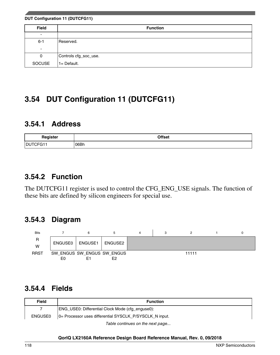| <b>DUT Configuration 11 (DUTCFG11)</b> |                       |  |
|----------------------------------------|-----------------------|--|
| <b>Field</b>                           | <b>Function</b>       |  |
| $\overline{\phantom{0}}$               |                       |  |
| $6 - 1$                                | Reserved.             |  |
| $\overline{\phantom{a}}$               |                       |  |
| 0                                      | Controls cfg_soc_use. |  |
| <b>SOCUSE</b>                          | $1 =$ Default.        |  |

# **3.54 DUT Configuration 11 (DUTCFG11)**

## **3.54.1 Address**

| Register | <b>Offset</b> |
|----------|---------------|
| ney      | .             |
| 'DU      | 06Bh          |

### **3.54.2 Function**

The DUTCFG11 register is used to control the CFG\_ENG\_USE signals. The function of these bits are defined by silicon engineers for special use.

# **3.54.3 Diagram**

| <b>Bits</b> |                                              |         |                | 4 |       |  |
|-------------|----------------------------------------------|---------|----------------|---|-------|--|
| R<br>W      | <b>ENGUSE0</b>                               | ENGUSE1 | ENGUSE2        |   |       |  |
| <b>RRST</b> | SW_ENGUS SW_ENGUS SW_ENGUS<br>E <sub>0</sub> | E.      | E <sub>2</sub> |   | 11111 |  |

# **3.54.4 Fields**

| <b>Field</b>   | <b>Function</b>                                         |
|----------------|---------------------------------------------------------|
|                | ENG USE0: Differential Clock Mode (cfg enguse0):        |
| <b>ENGUSE0</b> | 0= Processor uses differential SYSCLK_P/SYSCLK_N input. |
|                | Table continuos on the next peac                        |

*Table continues on the next page...*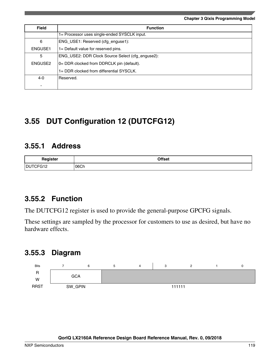| <b>Field</b>             | <b>Function</b>                                  |
|--------------------------|--------------------------------------------------|
|                          | 1= Processor uses single-ended SYSCLK input.     |
| 6                        | ENG_USE1: Reserved (cfg_enguse1):                |
| ENGUSE1                  | 1= Default value for reserved pins.              |
| 5                        | ENG_USE2: DDR Clock Source Select (cfg_enguse2): |
| ENGUSE2                  | 0 = DDR clocked from DDRCLK pin (default).       |
|                          | 1= DDR clocked from differential SYSCLK.         |
| $4-0$                    | Reserved.                                        |
| $\overline{\phantom{0}}$ |                                                  |

# **3.55 DUT Configuration 12 (DUTCFG12)**

# **3.55.1 Address**

| Register<br>। । जु<br>---- | <b>Offset</b><br>. |
|----------------------------|--------------------|
| DU<br>◡                    | 06Ch               |

### **3.55.2 Function**

The DUTCFG12 register is used to provide the general-purpose GPCFG signals.

These settings are sampled by the processor for customers to use as desired, but have no hardware effects.

#### **3.55.3 Diagram**

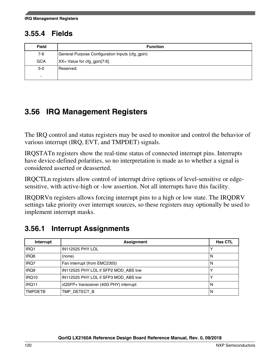# **3.55.4 Fields**

| <b>Field</b>             | <b>Function</b>                                  |
|--------------------------|--------------------------------------------------|
| 7-6                      | General Purpose Configuration Inputs (cfg_gpin): |
| <b>GCA</b>               | $XX = Value for cfg\_gpin[7:6].$                 |
| $5-0$                    | Reserved.                                        |
| $\overline{\phantom{0}}$ |                                                  |

# **3.56 IRQ Management Registers**

The IRQ control and status registers may be used to monitor and control the behavior of various interrupt (IRQ, EVT, and TMPDET) signals.

IRQSTATn registers show the real-time status of connected interrupt pins. Interrupts have device-defined polarities, so no interpretation is made as to whether a signal is considered asserted or deasserted.

IRQCTLn registers allow control of interrupt drive options of level-sensitive or edgesensitive, with active-high or -low assertion. Not all interrupts have this facility.

IRQDRVn registers allows forcing interrupt pins to a high or low state. The IRQDRV settings take priority over interrupt sources, so these registers may optionally be used to implement interrupt masks.

# **3.56.1 Interrupt Assignments**

| Interrupt      | <b>Assignment</b>                      | <b>Has CTL</b> |
|----------------|----------------------------------------|----------------|
| IRQ1           | <b>IN112525 PHY LOL</b>                |                |
| IRQ6           | (none)                                 | N              |
| IRQ7           | Fan interrupt (from EMC2305)           | N              |
| IRQ9           | IN112525 PHY LOL if SFP2 MOD ABS low   |                |
| IRQ10          | IN112525 PHY LOL if SFP3 MOD ABS low   |                |
| IRQ11          | zQSFP+ transceiver (40G PHY) interrupt | N              |
| <b>TMPDETB</b> | TMP DETECT B                           | N              |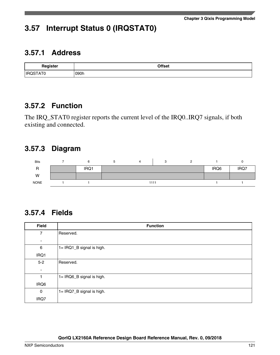# **3.57 Interrupt Status 0 (IRQSTAT0)**

# **3.57.1 Address**

| Register     | <b>Offset</b> |
|--------------|---------------|
| 'IRQ∈<br>AIU | 090h          |

# **3.57.2 Function**

The IRQ\_STAT0 register reports the current level of the IRQ0..IRQ7 signals, if both existing and connected.

# **3.57.3 Diagram**

| <b>Bits</b> |      | 4    |  |      |      |
|-------------|------|------|--|------|------|
| □           | IRQ1 |      |  | IRQ6 | IRQ7 |
| W           |      |      |  |      |      |
| <b>NONE</b> |      | 1111 |  |      |      |

# **3.57.4 Fields**

| <b>Field</b>             | <b>Function</b>           |
|--------------------------|---------------------------|
| $\overline{7}$           | Reserved.                 |
| -                        |                           |
| 6                        | 1= IRQ1_B signal is high. |
| IRQ1                     |                           |
| $5-2$                    | Reserved.                 |
| $\overline{\phantom{a}}$ |                           |
|                          | 1= IRQ6_B signal is high. |
| IRQ6                     |                           |
| $\mathbf 0$              | 1= IRQ7_B signal is high. |
| IRQ7                     |                           |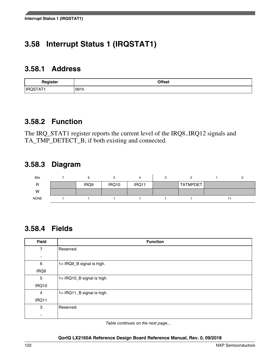# **3.58 Interrupt Status 1 (IRQSTAT1)**

#### **3.58.1 Address**

| Register             | <b>Offset</b><br>. |
|----------------------|--------------------|
| <b>IRGC</b><br>''A⊥. | 091h               |

#### **3.58.2 Function**

The IRQ\_STAT1 register reports the current level of the IRQ8..IRQ12 signals and TA\_TMP\_DETECT\_B, if both existing and connected.

#### **3.58.3 Diagram**

| <b>Bits</b> |      |              |       |                 |  |
|-------------|------|--------------|-------|-----------------|--|
| □<br>n      | IRQ9 | <b>IRQ10</b> | IRQ11 | <b>TATMPDET</b> |  |
| W           |      |              |       |                 |  |
| <b>NONE</b> |      |              |       |                 |  |

# **3.58.4 Fields**

| <b>Field</b>   | <b>Function</b>            |
|----------------|----------------------------|
| 7              | Reserved.                  |
| -              |                            |
| 6              | 1= IRQ9_B signal is high.  |
| IRQ9           |                            |
| 5              | 1= IRQ10_B signal is high. |
| IRQ10          |                            |
| $\overline{4}$ | 1= IRQ11_B signal is high. |
| IRQ11          |                            |
| 3              | Reserved.                  |
| ٠              |                            |

*Table continues on the next page...*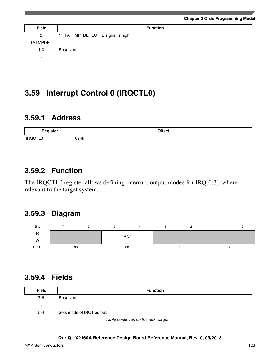| <b>Field</b>             | <b>Function</b>                    |
|--------------------------|------------------------------------|
| 2                        | 1= TA_TMP_DETECT_B signal is high. |
| <b>TATMPDET</b>          |                                    |
| 1-0                      | Reserved.                          |
| $\overline{\phantom{0}}$ |                                    |

# **3.59 Interrupt Control 0 (IRQCTL0)**

#### **3.59.1 Address**

| Register         | <b>Offset</b> |
|------------------|---------------|
| 'IROC<br>╹┕<br>. | 094h          |

## **3.59.2 Function**

The IRQCTL0 register allows defining interrupt output modes for IRQ[0:3], where relevant to the target system.

### **3.59.3 Diagram**

| <b>Bits</b> | ~  | 4    |    |    |
|-------------|----|------|----|----|
| D<br>┍      |    | IRQ1 |    |    |
| W           |    |      |    |    |
| <b>CRST</b> | 00 | 00   | 00 | 00 |

# **3.59.4 Fields**

| <b>Field</b>             | <b>Function</b>           |
|--------------------------|---------------------------|
| $7-6$                    | Reserved.                 |
| $\overline{\phantom{0}}$ |                           |
| $5 - 4$                  | Sets mode of IRQ1 output: |

*Table continues on the next page...*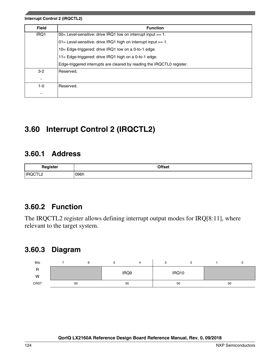**Interrupt Control 2 (IRQCTL2)**

| <b>Field</b> | <b>Function</b>                                                        |
|--------------|------------------------------------------------------------------------|
| IRQ1         | $00=$ Level-sensitive: drive IRQ1 low on interrupt input $== 1$ .      |
|              | $01 =$ Level-sensitive: drive IRQ1 high on interrupt input $== 1$ .    |
|              | 10= Edge-triggered: drive IRQ1 low on a 0-to-1 edge.                   |
|              | 11= Edge-triggered: drive IRQ1 high on a 0-to-1 edge.                  |
|              | Edge-triggered interrupts are cleared by reading the IRQCTL0 register. |
| $3-2$        | Reserved.                                                              |
| ٠            |                                                                        |
| $1 - 0$      | Reserved.                                                              |
|              |                                                                        |

# **3.60 Interrupt Control 2 (IRQCTL2)**

## **3.60.1 Address**

| <b>Daaintau</b><br><br>---- | ำffset<br>. |
|-----------------------------|-------------|
| IR(<br>M.<br>.              | 096h        |

# **3.60.2 Function**

The IRQCTL2 register allows defining interrupt output modes for IRQ[8:11], where relevant to the target system.

# **3.60.3 Diagram**

| <b>Bits</b> |    |      | u |       |    |
|-------------|----|------|---|-------|----|
| R           |    | IRQ9 |   | IRQ10 |    |
| W           |    |      |   |       |    |
| CRST        | 00 | 00   |   | 00    | 00 |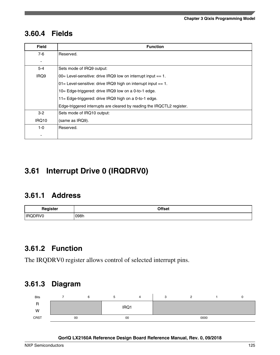# **3.60.4 Fields**

| <b>Field</b> | <b>Function</b>                                                        |
|--------------|------------------------------------------------------------------------|
| $7-6$        | Reserved.                                                              |
|              |                                                                        |
| $5-4$        | Sets mode of IRQ9 output:                                              |
| IRQ9         | $00=$ Level-sensitive: drive IRQ9 low on interrupt input $== 1$ .      |
|              | 01= Level-sensitive: drive IRQ9 high on interrupt input $== 1$ .       |
|              | 10= Edge-triggered: drive IRQ9 low on a 0-to-1 edge.                   |
|              | 11= Edge-triggered: drive IRQ9 high on a 0-to-1 edge.                  |
|              | Edge-triggered interrupts are cleared by reading the IRQCTL2 register. |
| $3-2$        | Sets mode of IRQ10 output:                                             |
| IRQ10        | (same as IRQ9).                                                        |
| $1-0$        | Reserved.                                                              |
|              |                                                                        |

# **3.61 Interrupt Drive 0 (IRQDRV0)**

### **3.61.1 Address**

| - Ranietar | <b>Offset</b> |
|------------|---------------|
| יפיי       | .             |
| ΙR         | 098h          |

# **3.61.2 Function**

The IRQDRV0 register allows control of selected interrupt pins.

### **3.61.3 Diagram**

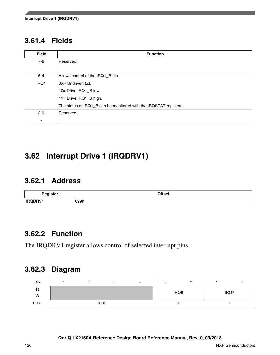# **3.61.4 Fields**

| <b>Field</b> | <b>Function</b>                                                   |
|--------------|-------------------------------------------------------------------|
| 7-6          | Reserved.                                                         |
| ۰            |                                                                   |
| $5 - 4$      | Allows control of the IRQ1_B pin.                                 |
| IRQ1         | 0X= Undriven (Z).                                                 |
|              | 10= Drive IRQ1_B low.                                             |
|              | 11= Drive IRQ1_B high.                                            |
|              | The status of IRQ1_B can be monitored with the IRQSTAT registers. |
| $3-0$        | Reserved.                                                         |
|              |                                                                   |

# **3.62 Interrupt Drive 1 (IRQDRV1)**

### **3.62.1 Address**

| Register       | <b>Offset</b> |
|----------------|---------------|
| <b>IRQDRV1</b> | 099h          |

### **3.62.2 Function**

The IRQDRV1 register allows control of selected interrupt pins.

### **3.62.3 Diagram**

| <b>Bits</b> |      |  | ີ<br>υ |  |      |
|-------------|------|--|--------|--|------|
| □<br>n      |      |  | IRQ6   |  | IRQ7 |
| W           |      |  |        |  |      |
| <b>CRST</b> | 0000 |  | 00     |  | 00   |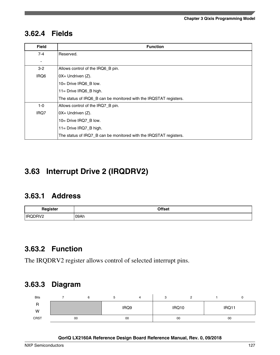## **3.62.4 Fields**

| <b>Field</b> | <b>Function</b>                                                   |
|--------------|-------------------------------------------------------------------|
| $7 - 4$      | Reserved.                                                         |
|              |                                                                   |
| $3 - 2$      | Allows control of the IRQ6_B pin.                                 |
| IRQ6         | 0X= Undriven (Z).                                                 |
|              | 10= Drive IRQ6 B low.                                             |
|              | 11= Drive IRQ6_B high.                                            |
|              | The status of IRQ6_B can be monitored with the IRQSTAT registers. |
| 1-0          | Allows control of the IRQ7_B pin.                                 |
| IRQ7         | 0X= Undriven (Z).                                                 |
|              | 10= Drive IRQ7_B low.                                             |
|              | 11= Drive IRQ7_B high.                                            |
|              | The status of IRQ7_B can be monitored with the IRQSTAT registers. |

# **3.63 Interrupt Drive 2 (IRQDRV2)**

### **3.63.1 Address**

| Register | <b>Offset</b> |
|----------|---------------|
| । । जु   | .             |
| ID       | 09Ah          |

### **3.63.2 Function**

The IRQDRV2 register allows control of selected interrupt pins.

#### **3.63.3 Diagram**

| <b>Bits</b> |    | ت    | ت |       |       |
|-------------|----|------|---|-------|-------|
| R           |    | IRQ9 |   | IRQ10 | IRQ11 |
| W           |    |      |   |       |       |
| CRST        | 00 | 00   |   | 00    | 00    |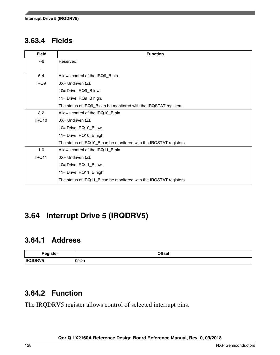# **3.63.4 Fields**

| <b>Field</b> | <b>Function</b>                                                    |
|--------------|--------------------------------------------------------------------|
| $7-6$        | Reserved.                                                          |
|              |                                                                    |
| $5 - 4$      | Allows control of the IRQ9_B pin.                                  |
| IRQ9         | 0X= Undriven (Z).                                                  |
|              | 10= Drive IRQ9_B low.                                              |
|              | 11= Drive IRQ9_B high.                                             |
|              | The status of IRQ9_B can be monitored with the IRQSTAT registers.  |
| $3-2$        | Allows control of the IRQ10_B pin.                                 |
| IRQ10        | 0X= Undriven (Z).                                                  |
|              | 10= Drive IRQ10_B low.                                             |
|              | 11= Drive IRQ10_B high.                                            |
|              | The status of IRQ10_B can be monitored with the IRQSTAT registers. |
| $1 - 0$      | Allows control of the IRQ11_B pin.                                 |
| IRQ11        | 0X= Undriven (Z).                                                  |
|              | 10= Drive IRQ11_B low.                                             |
|              | 11= Drive IRQ11_B high.                                            |
|              | The status of IRQ11_B can be monitored with the IRQSTAT registers. |

# **3.64 Interrupt Drive 5 (IRQDRV5)**

### **3.64.1 Address**

| Ranietar | <b>Offset</b> |
|----------|---------------|
| ----     | .             |
| ID       | 09Dh          |

# **3.64.2 Function**

The IRQDRV5 register allows control of selected interrupt pins.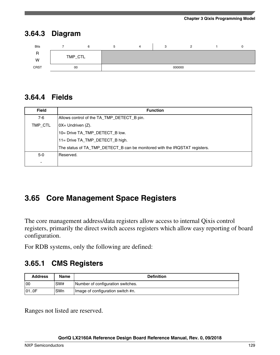# **3.64.3 Diagram**



# **3.64.4 Fields**

| <b>Field</b>             | <b>Function</b>                                                            |
|--------------------------|----------------------------------------------------------------------------|
| 7-6                      | Allows control of the TA_TMP_DETECT_B pin.                                 |
| TMP_CTL                  | 0X= Undriven (Z).                                                          |
|                          | 10= Drive TA_TMP_DETECT_B low.                                             |
|                          | 11= Drive TA_TMP_DETECT_B high.                                            |
|                          | The status of TA_TMP_DETECT_B can be monitored with the IRQSTAT registers. |
| $5-0$                    | Reserved.                                                                  |
| $\overline{\phantom{0}}$ |                                                                            |

# **3.65 Core Management Space Registers**

The core management address/data registers allow access to internal Qixis control registers, primarily the direct switch access registers which allow easy reporting of board configuration.

For RDB systems, only the following are defined:

# **3.65.1 CMS Registers**

| <b>Address</b> | Name | <b>Definition</b>                 |
|----------------|------|-----------------------------------|
| 00             | SW#  | Number of configuration switches. |
| 010F           | SWn  | Image of configuration switch #n. |

Ranges not listed are reserved.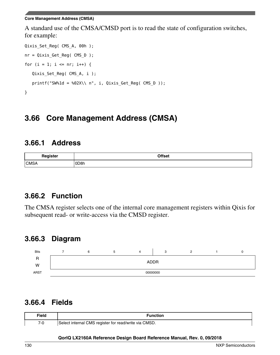#### **Core Management Address (CMSA)**

A standard use of the CMSA/CMSD port is to read the state of configuration switches, for example:

```
Qixis_Set_Reg( CMS_A, 00h );
nr = Qixis_Get_Reg( CMS_D );
for (i = 1; i \leq mr; i++) {
    Qixis_Set_Reg( CMS_A, i );
   printf("SW\$1d = \$02X\setminus n", i, Qixis_Get\_Reg(CMS_D));
}
```
# **3.66 Core Management Address (CMSA)**

#### **3.66.1 Address**

| Register          | <b>Offset</b> |  |  |  |
|-------------------|---------------|--|--|--|
| <sup>1</sup> CMSA | '0D8h         |  |  |  |

### **3.66.2 Function**

The CMSA register selects one of the internal core management registers within Qixis for subsequent read- or write-access via the CMSD register.

#### **3.66.3 Diagram**



#### **3.66.4 Fields**

| Field                  | Function                                              |
|------------------------|-------------------------------------------------------|
| 7 <sub>0</sub><br>′ −∪ | Select internal CMS register for read/write via CMSD. |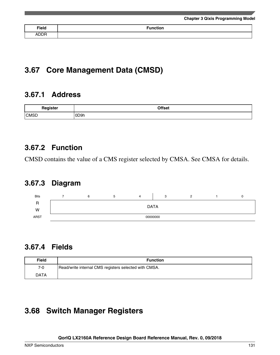| <b>Field</b> | $F \sim 100 \times 10^{-1}$<br>∴וטוי∵ |
|--------------|---------------------------------------|
| ADDR         |                                       |

# **3.67 Core Management Data (CMSD)**

#### **3.67.1 Address**

| Register    | <b>Offset</b> |
|-------------|---------------|
| <b>CMSD</b> | 0D9h          |

#### **3.67.2 Function**

CMSD contains the value of a CMS register selected by CMSA. See CMSA for details.

#### **3.67.3 Diagram**



# **3.67.4 Fields**

| <b>Field</b> | <b>Function</b>                                       |
|--------------|-------------------------------------------------------|
| 7-0          | Read/write internal CMS registers selected with CMSA. |
| DATA         |                                                       |

# **3.68 Switch Manager Registers**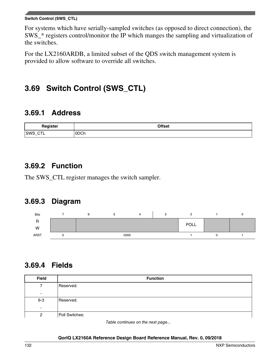#### **Switch Control (SWS\_CTL)**

For systems which have serially-sampled switches (as opposed to direct connection), the SWS\_\* registers control/monitor the IP which manges the sampling and virtualization of the switches.

For the LX2160ARDB, a limited subset of the QDS switch management system is provided to allow software to override all switches.

# **3.69 Switch Control (SWS\_CTL)**

#### **3.69.1 Address**

| Register                                      | <b>Offset</b> |
|-----------------------------------------------|---------------|
| ⌒⊤<br><b>SWS</b><br>. .<br>$\check{ }$<br>. — | 0DCh          |

### **3.69.2 Function**

The SWS\_CTL register manages the switch sampler.

### **3.69.3 Diagram**

| <b>Bits</b> |   | ◡ |      | υ |      |  |
|-------------|---|---|------|---|------|--|
| R           |   |   |      |   | POLL |  |
| W           |   |   |      |   |      |  |
| ARST        | ν |   | 0000 |   |      |  |

### **3.69.4 Fields**

| <b>Field</b>             | <b>Function</b> |
|--------------------------|-----------------|
|                          | Reserved.       |
| ٠                        |                 |
| $6-3$                    | Reserved.       |
| $\overline{\phantom{a}}$ |                 |
| 2                        | Poll Switches:  |

*Table continues on the next page...*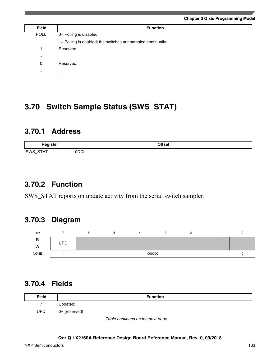| <b>Field</b>             | <b>Function</b>                                              |
|--------------------------|--------------------------------------------------------------|
| <b>POLL</b>              | $O=$ Polling is disabled.                                    |
|                          | 1= Polling is enabled; the switches are sampled continually. |
|                          | Reserved.                                                    |
| ٠                        |                                                              |
| 0                        | Reserved.                                                    |
| $\overline{\phantom{0}}$ |                                                              |

# **3.70 Switch Sample Status (SWS\_STAT)**

# **3.70.1 Address**

| Register                  | <b>Offset</b> |
|---------------------------|---------------|
| יפיי                      | .             |
| SWS<br><b>STAT</b><br>$-$ | 0DDh          |

# **3.70.2 Function**

SWS\_STAT reports on update activity from the serial switch sampler.

# **3.70.3 Diagram**



# **3.70.4 Fields**

| <b>Field</b> | <b>Function</b>  |
|--------------|------------------|
|              | Updated:         |
| <b>UPD</b>   | $ 0=$ (reserved) |

*Table continues on the next page...*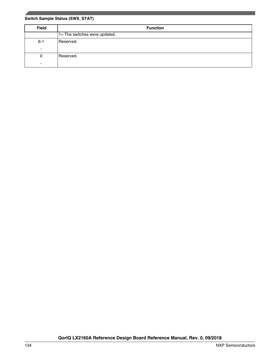#### **Switch Sample Status (SWS\_STAT)**

| <b>Field</b>             | <b>Function</b>                             |  |  |
|--------------------------|---------------------------------------------|--|--|
|                          | $\overline{1}$ = The switches were updated. |  |  |
| $6 - 1$                  | Reserved.                                   |  |  |
| $\overline{\phantom{0}}$ |                                             |  |  |
| 0                        | Reserved.                                   |  |  |
| $\overline{\phantom{0}}$ |                                             |  |  |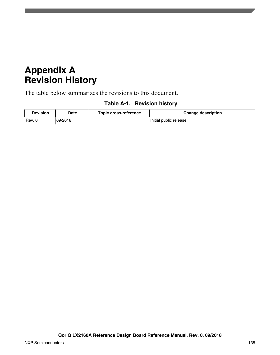# **Appendix A Revision History**

The table below summarizes the revisions to this document.

#### **Table A-1. Revision history**

| Revision | Date    | Topic cross-reference | <b>Change description</b> |
|----------|---------|-----------------------|---------------------------|
| 'Rev. ∖  | 09/2018 |                       | Initial public release    |